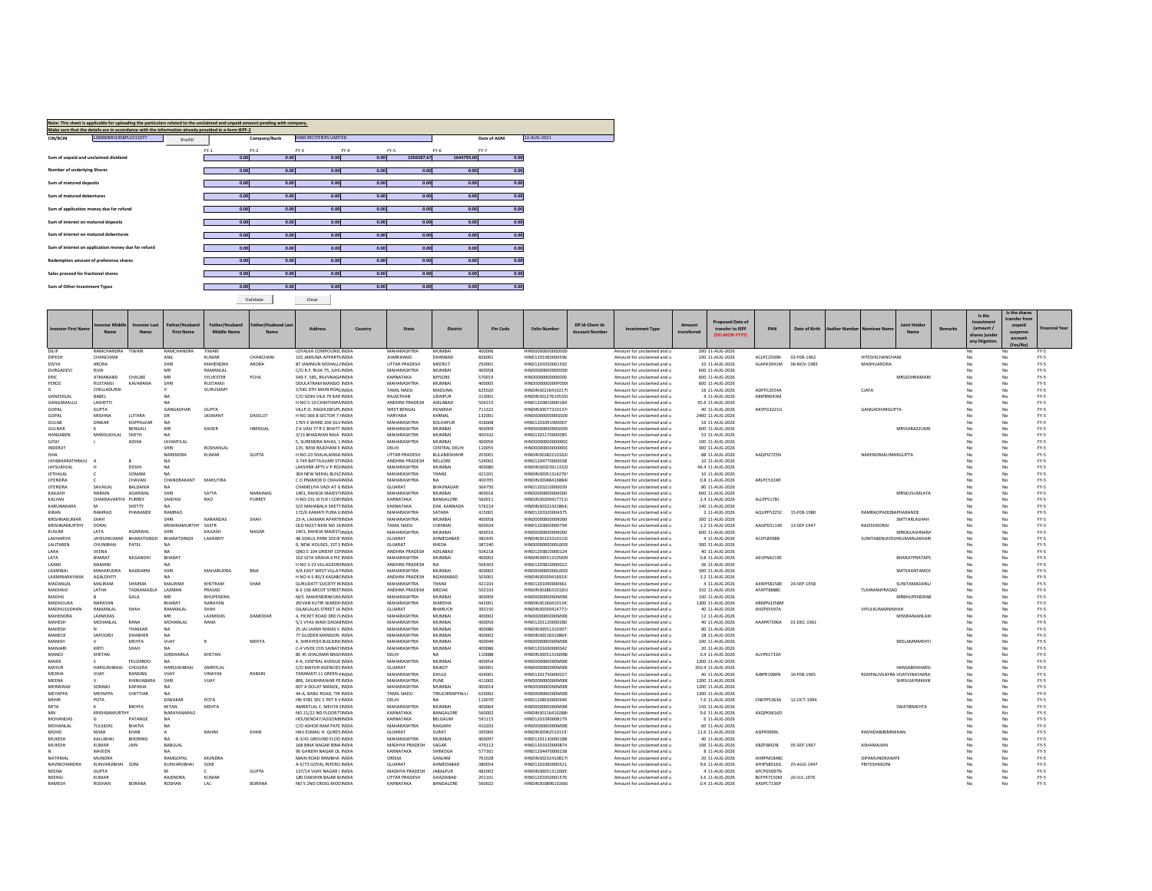|                                     | Note: This sheet is applicable for uploading the particulars related to the unclaimed and unpaid amount pending with company.<br>Make sure that the details are in accordance with the information already provided in e-form IEPF-2 |         |        |              |                                |        |            |            |             |             |
|-------------------------------------|--------------------------------------------------------------------------------------------------------------------------------------------------------------------------------------------------------------------------------------|---------|--------|--------------|--------------------------------|--------|------------|------------|-------------|-------------|
| CIN/BCIN                            | L28900MH1958PLC011077                                                                                                                                                                                                                | Prefill |        | Company/Bank | <b>HIND RECTIFIERS LIMITED</b> |        |            |            | Date of AGM | 12-AUG-2021 |
|                                     |                                                                                                                                                                                                                                      |         |        |              |                                |        |            |            |             |             |
|                                     |                                                                                                                                                                                                                                      |         | $FY-1$ | $FY-2$       | $FY-3$                         | $FY-4$ | FY-5       | $FY-6$     | $FY-7$      |             |
|                                     | Sum of unpaid and unclaimed dividend                                                                                                                                                                                                 |         | 0.00   | 0.00         | 0.00                           | 0.00   | 1056587.67 | 1644793.00 | 0.00        |             |
|                                     |                                                                                                                                                                                                                                      |         |        |              |                                |        |            |            |             |             |
| Number of underlying Shares         |                                                                                                                                                                                                                                      |         | 0.00   | 0.00         | 0.00                           | 0.00   | 0.00       | 0.00       | 0.00        |             |
|                                     |                                                                                                                                                                                                                                      |         |        |              |                                |        |            |            |             |             |
| Sum of matured deposits             |                                                                                                                                                                                                                                      |         | 0.00   | 0.00         | 0.00                           | 0.00   | 0.00       | 0.00       | 0.00        |             |
|                                     |                                                                                                                                                                                                                                      |         |        |              |                                |        |            |            |             |             |
| Sum of matured debentures           |                                                                                                                                                                                                                                      |         | 0.00   | 0.00         | 0.00                           | 0.00   | 0.00       | 0.00       | 0.00        |             |
|                                     |                                                                                                                                                                                                                                      |         |        |              |                                |        |            |            |             |             |
|                                     | Sum of application money due for refund                                                                                                                                                                                              |         | 0.00   | 0.00         | 0.00                           | 0.00   | 0.00       | 0.00       | 0.00        |             |
|                                     |                                                                                                                                                                                                                                      |         |        |              |                                |        |            |            |             |             |
| Sum of interest on matured deposits |                                                                                                                                                                                                                                      |         | 0.00   | 0.00         | 0.00                           | 0.00   | 0.00       | 0.00       | 0.00        |             |
|                                     |                                                                                                                                                                                                                                      |         |        |              |                                |        |            |            |             |             |
|                                     | Sum of interest on matured debentures                                                                                                                                                                                                |         | 0.00   | 0.00         | 0.00                           | 0.00   | 0.00       | 0.00       | 0.00        |             |
|                                     |                                                                                                                                                                                                                                      |         |        |              |                                |        |            |            |             |             |
|                                     | Sum of interest on application money due for refund                                                                                                                                                                                  |         | 0.00   | 0.00         | 0.00                           | 0.00   | 0.00       | 0.00       | 0.00        |             |
|                                     |                                                                                                                                                                                                                                      |         |        |              |                                |        |            |            |             |             |
|                                     | Redemption amount of preference shares                                                                                                                                                                                               |         | 0.00   | 0.00         | 0.00                           | 0.00   | 0.00       | 0.00       | 0.00        |             |
|                                     |                                                                                                                                                                                                                                      |         |        |              |                                |        |            |            |             |             |
| Sales proceed for fractional shares |                                                                                                                                                                                                                                      |         | 0.00   | 0.00         | 0.00                           | 0.00   | 0.00       | 0.00       | 0.00        |             |
|                                     |                                                                                                                                                                                                                                      |         |        |              |                                |        |            |            |             |             |
| Sum of Other Investment Types       |                                                                                                                                                                                                                                      |         | 0.00   | 0.00         | 0.00                           | 0.00   | 0.00       | 0.00       | 0.00        |             |
|                                     |                                                                                                                                                                                                                                      |         |        |              |                                |        |            |            |             |             |

Validate Clear

| Proposed Date of<br><b>Investor Last</b><br>Father/Husbang<br>Father/Husband<br>ather/Hushand La<br>DP Id-Client Id<br>loint Ho<br>vestor Middl<br>Amount<br>unpaid<br><b>Address</b><br>State<br><b>District</b><br><b>Folio Number</b><br>transfer to IFPF<br><b>Financial Year</b><br><b>Investor First Nam</b><br>Country<br>Pin Code<br><b>Investment Type</b><br><b>PAN</b><br>Date of Rirth<br>Aadhar Number<br>Remarks<br><b>Iominee Nam</b><br>amount.<br><b>First Name</b><br>Middle Name<br><b>Account Number</b><br>transferred<br>Name<br><b>Nam</b><br>Name<br>suspens<br>(DD-MON-YYYY)<br>thares lunde<br>account<br>any litigation<br>Vae/Ne<br>RAMCHANDRA TIWARI<br>RAMCHANDRA<br><b>LOYALKA COMPOUND INDIA</b><br>MUMRAI<br><b>TIWAR</b><br>MAHARASHTRA<br>400006<br>HIND0000000000000<br>200 11-AUG-2026<br>DILIP<br>Amount for unclaimed and u<br>FY-S<br>No<br>DIPESH<br>CHANCHANI<br>DHANRAD<br>826001<br>100 11-AUG-2026<br>ACLPC2500N<br>02-FFB-1962<br>FY-5<br>CHANCHANI<br>ANIL<br>KUMAR<br>101 IAMUNA APPARTIUNDIA<br><b>IHARKHAND</b><br>HIND1201060000596<br>Amount for unclaimed and u<br><b>HITESHICHANCHANI</b><br>No<br><b>MAHENDRA</b><br><b>MEERLIT</b><br>ALAPA3941M<br>MADHUARORA<br>DIVYA<br>ARORA<br><b>SHIP</b><br>ARORA<br>87 IAMMUN MOHALLUNDIA<br><b>UTTAR PRADESH</b><br>250001<br>HIND1203350001592<br>Amount for unclaimed and u<br>10 11-AUG-2026<br>06-NOV-1985<br>FY-5<br>No<br>MUMBAL<br>DURGADEV<br>RUIA<br>MR<br><b>RAMANIA</b><br>C/O R.F. RUIA 75, JUHUNDIA<br>MAHARASHTRA<br>400058<br>HIND0000000000000<br>Amount for unclaimed and u<br>600 11-AUG-2026<br>No<br>FY-5<br>ATMANAND<br>MR<br>SYLVESTER<br>PCHA<br>KARNATAKA<br>MYSORE<br>570019<br>HIND000000000E000<br>600 11-AUG-2026<br><b>MRSZOHRAMAR</b><br>FY-5<br>CHALIRE<br>349-F 585 RAILVNAGUNDIA<br>No<br><b>FRIC</b><br>Amount for unclaimed and u<br>No<br>KAVARANA<br>SHRI<br>MUMBAL<br>400005<br>$FY-S$<br>FEROZ<br>RUSTAMIL<br><b>RUSTAMJI</b><br>DOLLATRAM MANSIO INDIA<br>MAHARASHTRA<br>HIND000000000F000<br>600 11-AUG-2026<br>Amount for unclaimed and u<br>No<br><b>MADURAL</b><br>ADPPC20544<br>CHELLADURAL<br>GURUSAMY<br>2/581 6TH MAIN ROAF INDIA<br>TAMIL NADU<br>625020<br>HINDIN30216410217<br>16 11-AUG-2026<br>CIAVA<br>FY-5<br>Amount for unclaimed and u<br>No<br>No<br><b>UDAIPUR</b><br>313001<br>ABIPB9043M<br>FY-5<br><b>GANESHIAI</b><br>RARFI<br>C/O SIDHI VILA 79 KAR INDIA<br>RAIASTHAN<br>HINDIN30127610535<br>Amount for unclaimed and u<br>4 11-AUG-2026<br>No<br>ADILARAD<br>504215<br>GANGAMALLU<br>LASHETTI<br>H NO 5-10 CHINTHAPA INDIA<br>ANDHRA PRADESH<br>HIND1203810000184<br>Amount for unclaimed and u<br>95.6 11-AUG-2026<br>FY-5<br>N/A<br>No<br>GANGADHAR<br>GOPAL<br><b>GLIPTA</b><br>GUPTA<br>VILLP.O- RAGHUDEVPLINDIA<br><b>WEST BENGAL</b><br>HOWRAH<br>711322<br>HINDIN30077310137<br>Amount for unclaimed and u<br>40 11-AUG-2026<br>AKVPG3221G<br><b>GANGADHARGUPTA</b><br>No<br>FY-5<br>No<br>DASSLUT<br><b>ILITHRA</b><br><b>IASWAN</b><br>KARNAL<br>GOPAL<br>KRISHNA<br><b>DR</b><br>H NO 366 B SECTOR 7 INDIA<br>132001<br>HIND0000000006000<br>2400 11-AUG-2026<br>FY-5<br>HARYANA<br>Amount for unclaimed and u<br>No<br><b>KOPPAIKAR</b><br>KOLHAPUR<br>DINKAR<br>MAHARASHTRA<br>416008<br>HIND1201091900007<br>16 11-AUG-2026<br>FY-5<br><b>GULAB</b><br>NA<br>1765 E WARD 206 SILVINDIA<br>Amount for unclaimed and u<br>No<br>HBENGAL<br><b>RENGALL</b><br>MR<br>KAISER<br>MUMRAL<br>400009<br>600 11-AUG-2026<br>MRSSARA221MK<br>FY-5<br><b>GULNAR</b><br><b>7 A VASI 77 R C RHATT INDIA</b><br>MAHARASHTRA<br>HIND0000000006000<br>Amount for unclaimed and u<br>No<br>к<br>No<br>MUMRAL<br>400102<br>FY-5<br>HANSABEN<br>MANSHKHLAI<br>SHETH<br>2/13 BHAGWAN RAJA INDIA<br>MAHARASHTRA<br>HIND1201170000085<br>Amount for unclaimed and u<br>52 11-AUG-2026<br>No<br>N/A<br>400056<br><b>ILESH</b><br>ADHIA<br><b>JAYANTILAI</b><br>5. SURENDRA NIVAS, 1 INDIA<br>MAHARASHTRA<br><b>MUMBAI</b><br>HIND000000000000<br>100 11-AUG-2026<br>FY-5<br>Amount for unclaimed and u<br>No<br>INDERJIT<br><b>SHIP</b><br><b>ROSHANLAI</b><br>135. NEW RAJDHANI E INDIA<br>DELHI<br><b>CENTRAL DELH</b><br>110055<br>HIND000000000000<br>Amount for unclaimed and u<br>300 11-AUG-2026<br>No<br>FY-5<br>No<br><b>GUPTA</b><br>NARENDRA<br><b>BUILANDSHAHR</b><br>AAQPI2725N<br>KUMAR<br><b>UTTAR PRADESH</b><br>203001<br>HINDIN30282210162<br>NARENDRAKUMARGUPTA<br>FY-5<br><b>ISHA</b><br>H.NO-23 SIVILALAINSA INDIA<br>Amount for unclaimed and u<br>88 11-AUG-2026<br>No<br>No<br>NELLORE<br>524002<br>HIND1204770000038<br>FY-5<br><b>IAYARHARATHRAIL</b><br>R<br>3-749 BATTILAVARI STUNDIA<br>ANDHRA PRADESH<br>Amount for unclaimed and u<br>10 11-AUG-2026<br>No<br>NA<br>MUMBAL<br>400080<br>FY-5<br><b>JAYSLIKHLAL</b><br>DOSHI<br><b>NA</b><br><b>LAKSHMLAPTS V P ROJINDIA</b><br><b>MAHARASHTRA</b><br>HINDIN30023911332<br>Amount for unclaimed and u<br>46.4 11-AUG-2026<br>No<br><b>IFTHALAL</b><br>SOMANI<br>N/A<br>304 NEW NEHAL BUILE INDIA<br>MAHARASHTRA<br>THANE<br>421201<br>HINDIN30051314276<br>Amount for unclaimed and u<br>10 11-AUG-2026<br>No<br>FY-5<br>No<br><b>ITENDRA</b><br>CHAVAN<br>CHANDRAKANT<br><b>MARUTIRA</b><br>C O PRAMOD D CHAV/ INDIA<br>MAHARASHTRA<br>NA<br>400705<br>HINDIN30048416884<br>0.8 11-AUG-2026<br>ARLPC5324R<br>FY-5<br>Amount for unclaimed and u<br>No<br>No<br><b>IITENDRA</b><br><b>SAVAILAI</b><br><b>BALDANIA</b><br>CHAMELIYA VADI AT G INDIA<br><b>GUIARAT</b><br>RHAVNAGAR<br>364750<br>HIND1203210000039<br>80 11-AUG-2026<br>No<br>FY-5<br><b>NA</b><br>Amount for unclaimed and u<br>No<br><b>NARAIN</b><br>AGARWAL<br>SATYA<br>NARAINAG<br>MAHARASHTRA<br>MUMBAI<br>400016<br>MRSKUSUMLATA<br>FY-5<br>KAILASH<br>SHRI<br>1401, RAHEJA MAJEST INDIA<br>HIND000000000K000<br>Amount for unclaimed and u<br>600 11-AUG-2026<br>No<br>No<br>PURREY<br><b>BANGALORE</b><br>560011<br>ALLPP5178J<br>KAIYAN<br>CHAKRAVARTHI PLIRREY<br>SANYASI<br>RAO<br>H NO-231 III FLR I COR INDIA<br>KARNATAKA<br>HINDIN30039417711<br>Amount for unclaimed and u<br>2.4 11-AUG-2026<br>No<br>FY-5<br>576224<br>KARLINAKARA<br>SHETTY<br><b>NA</b><br>S/O MAHABALA SHETTINDIA<br>KARNATAKA<br>DAK KANNADA<br>HINDIN30021422864<br>Amount for unclaimed and u<br>140 11-AUG-2026<br>No<br>FY-5<br>M<br>KIRAN<br>RAMRAO<br>PHARANDE<br>RAMRAO<br>172/6 KAMATI PURA GINDIA<br>MAHARASHTRA<br>SATARA<br>415001<br>HIND1203320004375<br>2 11-AUG-2026<br>AQUPP5225C 15-FEB-1980<br>RAMRAOPADOBAPHARANDE<br>No<br>FY-5<br>Amount for unclaimed and u<br>No<br><b>KRISHNAKLIMAF</b><br>NARANDA <sup>®</sup><br>SHAH<br>23-A, LAXMAN APARTI INDIA<br>MAHARASHTRA<br>MUMBAL<br>400058<br>HIND000000000K000<br>300 11-AUG-2026<br>FY-5<br><b>SHAH</b><br><b>SHIP</b><br>Amount for unclaimed and u<br><b>SMTTARLASHAI</b><br>N <sub>1</sub><br>No<br>KRISHNAMURTHY<br>DORAI<br>KRISHNAMURTHY<br>SASTR<br>TAMIL NADU<br>CHENNAL<br>600024<br>HIND120300000079<br>1.2 11-AUG-2026<br>AAGPD3113K<br>13-SEP-1947<br>RAJESHDORAI<br>FY-5<br>OLD NO27 NEW NO 16 INDIA<br>Amount for unclaimed and u<br>No<br>No<br>LATA<br>AGARWA<br>NAGAR<br>MUMBAI<br>400016<br>MRKAILASHNARA<br>FY-5<br>KUSUM<br>SHRI<br>KAILASH<br>1401, RAHEJA MAJEST INDIA<br>MAHARASHTRA<br>HIND000000000K000<br>Amount for unclaimed and u<br>600 11-AUG-2026<br>No<br>No<br>ΔΗΜΕΠΔΒΔΠ<br>SUNITABENJAYESHKUMARLAKHARI<br><b>LAKHARIYA</b><br>JAYESHKUM<br>BHARATSINGH<br>RHARATSINGH<br><b>LAKHARIY</b><br>48 GOKUL PARK SOCIE INDIA<br><b>GUIARAT</b><br>382445<br>HINDIN30123310153<br>Amount for unclaimed and u<br>4 11-AUG-2026<br>ACIPL8598E<br>No<br>FY-5<br>No<br>LALITABEN<br>CHUNIBHA<br>PATEL<br>9, NEW HOUSES, 1ST S INDIA<br><b>GUIARAT</b><br>KHEDA<br>387240<br>HIND000000000L000<br>Amount for unclaimed and u<br>300 11-AUG-2026<br>No<br>FY-5<br>N/A<br>VEENA<br>QNO E 104 ORIENT CEI INDIA<br>ANDHRA PRADESH<br>ADILABAD<br>504218<br>HIND1203810000124<br>40 11-AUG-2026<br>No<br>FY-5<br><b>IARA</b><br>Amount for unclaimed and u<br>No<br>BHARAT<br>NEGANDHI<br>BHARAT<br>102 GITA GRAHA 4 PIC INDIA<br>MAHARASHTRA<br>MUMBAI<br>400002<br>HINDIN30051310569<br>0.8 11-AUG-2026<br>AEUPN4219E<br>BHARATPRATAPS<br>FY-5<br><b>LATA</b><br>Amount for unclaimed and u<br>No<br>No<br>NAMANI<br>ANDHRA PRADESH<br>504303<br>36 11-AUG-2026<br>FY-5<br><b>LAXMI</b><br>H NO 3-23 VILLAGESRI INDIA<br>NA<br>HIND120381000002<br>Amount for unclaimed and u<br>No<br>MAHARUDRA<br>MAHARUDRA<br>400002<br><b>SMTSHANTAMOR</b><br>$FY-S$<br>LAXMIBA<br>NADKARN<br>SHRI<br><b>BNA</b><br>A/6 EAST WEST VILLA I INDIA<br>MAHARASHTRA<br><b>MUMBA</b><br>HIND000000000L000<br>Amount for unclaimed and u<br>300 11-AUG-2026<br>No<br>No<br><b>LAXMINARAYANA</b><br><b>AGALDIVITI</b><br>H NO 4-5-85/3 KASAB(INDIA<br>ANDHRA PRADESH<br>NIZAMARAD<br>503001<br>HINDIN30039416919<br>3.2 11-AUG-2026<br>No<br>FY-5<br>Amount for unclaimed and u<br>N<br>MADANI AI<br>MALIRAM<br>SHARMA<br>MALIRAM<br>KHFTRAM<br>SHAR<br><b>GURUDATT SOCIETY RUNDIA</b><br>MAHARASHTRA<br>THANE<br>421103<br>HIND120109000066<br>4 11-AUG-2026<br>AXWPS8158E<br>24-SEP-1958<br>SUNITAMADANU<br>No<br>FY-5<br>Amount for unclaimed and u<br>No<br>MADHAV<br><b>LATHA</b><br>ΤΑΟΚΑΜΑΟΙ.<br>LAXMAN<br>PRASAD<br>8-3-106 ARCOT STREETINDIA<br>ANDHRA PRADESH<br>MEDAK<br>502103<br>HINDIN30286310181<br>332 11-AUG-2026<br><b>AFAPTRRRRC</b><br>ΤΙ ΔΧΜΔΝΡΡΑ ΚΑΓ<br>No<br>FY-5<br>Amount for unclaimed and u<br>No<br>BHUPENDRA<br>MAHARASHTRA<br>MUMBAI<br>400009<br>HIND00000000M00<br>MRBHUPENDRAB<br>FY-5<br>MADHU<br>GALA<br><b>MAR</b><br>M/S. MAHENDRAKUM INDIA<br>Amount for unclaimed and u<br>100 11-AUG-2026<br>No<br>No<br>NARAYAN<br>BHARAT<br>NARAYAN<br>WARDHA<br>442001<br>ARNPN3258M<br>FY-5<br><b>MADHULIK</b><br>JEEVAN KUTIR WARDHINDIA<br>MAHARASHTRA<br>HINDIN30160410134<br>Amount for unclaimed and u<br>1200 11-AUG-2026<br>No<br>RAMANLAL<br>392150<br>$FY-S$<br>MADHUSUDHAN<br>SHAH<br>RAMANLAL<br>SHAH<br><b>GILAKLALAS STREET JA INDIA</b><br>GUJARAT<br><b>BHARUCH</b><br>HINDIN30039414771<br>Amount for unclaimed and u<br>40 11-AUG-2026<br>AHZPS5597A<br>VIPULKUMARMSHAF<br>No<br>No<br><b>MAHENDRA</b><br>LAXMIDAS<br>MR<br>LAXMIDAS<br>DAMODAR<br>4. PICKET ROAD 3RD FIINDIA<br>MAHARASHTRA<br>MUMBAI<br>400002<br>HIND000000000M00<br>12 11-AUG-2026<br>MISSRANJANLAXI<br>No<br>FY-5<br>Amount for unclaimed and u<br>No<br>MOHANLAL<br>RANA<br>MOHANLAL<br>RANA<br>5/1 VYAS WADI DADAEINDIA<br>MAHARASHTRA<br>MUMBAL<br>400056<br>HIND1201120000280<br>40 11-AUG-2026<br>AAAPR7396A 01-DEC-1961<br>FY-5<br>МАНЕЅН<br>Amount for unclaimed and u<br>No<br>THAKKAR<br>25 JAI LAXMI NIWAS S INDIA<br>MAHARASHTRA<br>MUMBAL<br>400080<br>HINDIN30051310397<br>80 11-AUG-2026<br>FY-5<br>MAHESH<br>N<br><b>NA</b><br>Amount for unclaimed and u<br>No<br>No<br>MUMBAI<br>400002<br>FY-5<br>MANECI<br>SAPOORI<br>DHABHER<br><b>NA</b><br>77 GUZDER MANSION INDIA<br>MAHARASHTRA<br>HINDIN30018310864<br>Amount for unclaimed and u<br>28 11-AUG-2026<br>No<br>MEHTA<br>VIJAY<br>MEHTA<br><b>MUMBAI</b><br>400049<br>100 11-AUG-2026<br>NEELAMMMEHT/<br>$FY-S$<br>MANISH<br>$\vee$<br>4. SHRAYESH BUILDING INDIA<br>MAHARASHTRA<br>HIND000000000M00<br>Amount for unclaimed and u<br>No<br>No<br>MANIAR<br>KIRTI<br>SHAH<br>C-4 VIVEK CHS SAINATHNDIA<br><b>MAHARASHTRA</b><br>MUMBAL<br>400086<br>HIND1201690000042<br>20 11-AUG-2026<br>No<br>FY-5<br>Amount for unclaimed and u<br><b>OIAN</b><br>KHFTAN<br><b>GIRDHARIL</b><br>KHETAN<br>RE 45 SHALIMAR RAGHINDIA<br><b>DELHI</b><br>NA.<br>110088<br>HINDIN30051316098<br>0.4 11-AUG-2026<br>ALVPK1733A<br>No<br>No<br>FY-5<br>Amount for unclaimed and u<br><b>FFI IZARDO</b><br>4-A, CENTRAL AVENUE INDIA<br>MAHARASHTRA<br>MUMBA<br>400054<br>HIND000000000M000<br>1200 11-AUG-2026<br>FY-5<br>MAXIF<br>N/A<br>Amount for unclaimed and u<br>N<br>No<br>HARSUKHBHA<br>CHOLERA<br>HARSUKHBHAI<br>AMRITI AI<br>GUJARAT<br>RAJKOT<br>360001<br>HIND000000000M00<br>HANSARENHARS<br>FY-5<br>MAYUR<br>C/O MAYUR AGENCIES INDIA<br>Amount for unclaimed and u<br>350.4 11-AUG-2026<br>No<br>No<br>RANSIN<br>424001<br>16-FEB-1965<br>ROOPALIVIJAYRA VIJAYVINAYAKRA<br>$FY-S$<br>MEDHA<br>VIJAY<br>RANSING<br>VIJAY<br>VINAYAR<br>TARAMATI 11 GREEN FINDIA<br>MAHARASHTRA<br>DHULE<br>HIND120175000002<br>Amount for unclaimed and u<br>40 11-AUG-2026<br>AJBPR1900N<br>No<br>No<br>PUNE<br>411002<br>MEENA<br><b>KHINVABARA</b><br>SHRI<br>VIJAY<br>806, SHUKHRAWAR PEINDIA<br>MAHARASHTRA<br>HIND000000000M00<br>Amount for unclaimed and u<br>1200 11-AUG-2026<br>SHRIVIJAYMKHIN<br>No<br>No<br>FY-5<br>MERWANI<br>SORARI<br>KAPADIA<br><b>NA</b><br>607 A DOLAT MANZIL INDIA<br>MAHARASHTRA<br>MUMBA<br>400014<br>HIND000000000M00<br>1200 11-AUG-2026<br>No<br>FY-5<br>Amount for unclaimed and u<br>MEYAPPA<br><b>MFYAPP/</b><br>CHETTIAR<br>44-A, BABU ROAD, TIR INDIA<br>TAMIL NADU<br>TIRUCHIRAPPALLI<br>620002<br>HIND000000000M00<br>1200 11-AUG-2026<br>No<br>No<br>FY-5<br>Amount for unclaimed and u<br>POTA<br>POTA<br>NA<br>110070<br>7.6 11-AUG-2026<br>CNEPP5363A<br>12-OCT-1994<br>FY-5<br>MIHIE<br>DIWAKAR<br>HN 9781 SEC C PKT 9 VINDIA<br>DELHI<br>HIND1208160000940<br>Amount for unclaimed and u<br>No<br>MITA<br>MEHTA<br>KETAN<br>MEHTA<br>MAHARASHTRA<br>MUMBAI<br>400064<br>150 11-AUG-2026<br>SWATIBMEHTA<br>FY-5<br>AMRATLAL C. MEHTA I INDIA<br>HIND000000000M00<br>Amount for unclaimed and u<br>No<br>No<br>NARAYANARAO<br>560002<br>MN<br>KRISHNAMURTHY<br>NO 21/22 ND FLOOR71INDIA<br>KARNATAKA<br>BANGALORI<br>HINDIN30216410288<br>Amount for unclaimed and u<br>9.6 11-AUG-2026<br>AXQPK9616D<br>No<br>FY-5<br>591115<br><b>MOHANDAS</b><br>G<br>PATANGE<br><b>NA</b><br>HOUSENO47/A2GOME INDIA<br>KARNATAKA<br><b>RELGAUM</b><br>HIND120109000817<br>Amount for unclaimed and u<br>6 11-AUG-2026<br>No<br>FY-5<br><b>MOHANIA</b><br><b>TULSIDAS</b><br>RHATIA<br>C/O ASHOK RAM PATE INDIA<br>MAHARASHTRA<br>RAIGARH<br>410203<br>HIND000000000M00<br>60 11-AUG-2026<br>No<br>FY-5<br><b>NA</b><br>Amount for unclaimed and u<br><b>NISAR</b><br>KHAN<br>RAHIM<br>KHAN<br>HAJI ESMAIL H. QURES INDIA<br>GUIARAT<br>SURAT<br>395005<br>HINDIN30042510119<br>11.6 11-AUG-2026<br>ASIPK9909L<br>RASHIDABIBIMNKHAN<br>No<br>FY-5<br>MOHD<br>Amount for unclaimed and u<br>No<br>BHORING<br>MAHARASHTRA<br>MUMBAI<br>400097<br>FY-5<br><b>MUKESE</b><br>KALUBHA<br><b>NA</b><br>B-3/41 GROUND FLOO INDIA<br>HIND120113000018<br>Amount for unclaimed and u<br>40 11-AUG-2026<br>No<br><b>BABULAL</b><br>SAGAR<br>470113<br>05-SEP-1967<br>ASHAMAJAIN<br>$FY-S$<br><b>MUKESE</b><br><b>KUMAR</b><br>JAIN<br>168 BINA NAGAR BINA INDIA<br><b>MADHYA PRADESH</b><br>HIND120332000087<br>Amount for unclaimed and u<br>106 11-AUG-2026<br>ABZPJ8429L<br>No<br>No<br>577301<br><b>NAVEEN</b><br>90 GANDHI NAGAR OL INDIA<br>KARNATAKA<br>SHIMOGA<br>HIND1204470006238<br>8 11-AUG-2026<br>FY-5<br>Amount for unclaimed and u<br>NATHMAI<br>MUNDRA<br>RAMGOPAL<br><b>MUNDRA</b><br>MAIN ROAD RAMBHA INDIA<br>ORISSA<br><b>GANIAM</b><br>761028<br>HINDIN30232410817<br>20 11-AUG-2026<br>AHRPM18486<br><b>DIPAMUNDRAWIER</b><br>FY-5<br>Amount for unclaimed and u<br>NAVINCHANDRA<br>KUNVARJIBHAI SONI<br>KUNVARJIBHAI<br>SONI<br>GUIARAT<br>AHMEDARAD<br>380054<br>HIND1201060000521<br>9.6 11-AUG-2026<br>AFHPS8016G<br>25-AUG-1947<br>PRITESHNSONI<br>FY-5<br>A-5/73 GOYAL INTERCHNDIA<br>No<br>Amount for unclaimed and u<br>GUPTA<br><b>GUPTA</b><br>137/14 VUAY NAGAR J INDIA<br><b>JARALPUR</b><br>482002<br>AFCPG5697N<br>$FY-S$<br>NEENA<br><b>MADHYA PRADESH</b><br>HINDIN30051312069<br>4 11-AUG-2026<br>No<br>Amount for unclaimed and u<br>RAJENDRA<br><b>KUMAR</b><br>GHAZIABAD<br>201101<br>FY-5<br>NEERAJ<br>KUMAR<br>180 DAKSHIN BAJAR B/ INDIA<br><b>UTTAR PRADESH</b><br>HIND1203350001576<br>Amount for unclaimed and u<br>3.6 11-AUG-2026<br>BCFPK7150M<br>20-JUL-1976<br>RAMESH<br>ROSHAN<br>BORANA<br>BORANA<br>BANGALORE<br>560022<br>0.4 11-AUG-2026<br>AASPC7136F<br>ROSHAN<br>LAL<br>NO 5 2ND CROSS MODINDIA<br>KARNATAKA<br>HINDIN30089610266<br>FY-5 |  |  |  |  |  |  |                            |  |  |  |  | Is the | Is the share:<br>transfer from |  |
|---------------------------------------------------------------------------------------------------------------------------------------------------------------------------------------------------------------------------------------------------------------------------------------------------------------------------------------------------------------------------------------------------------------------------------------------------------------------------------------------------------------------------------------------------------------------------------------------------------------------------------------------------------------------------------------------------------------------------------------------------------------------------------------------------------------------------------------------------------------------------------------------------------------------------------------------------------------------------------------------------------------------------------------------------------------------------------------------------------------------------------------------------------------------------------------------------------------------------------------------------------------------------------------------------------------------------------------------------------------------------------------------------------------------------------------------------------------------------------------------------------------------------------------------------------------------------------------------------------------------------------------------------------------------------------------------------------------------------------------------------------------------------------------------------------------------------------------------------------------------------------------------------------------------------------------------------------------------------------------------------------------------------------------------------------------------------------------------------------------------------------------------------------------------------------------------------------------------------------------------------------------------------------------------------------------------------------------------------------------------------------------------------------------------------------------------------------------------------------------------------------------------------------------------------------------------------------------------------------------------------------------------------------------------------------------------------------------------------------------------------------------------------------------------------------------------------------------------------------------------------------------------------------------------------------------------------------------------------------------------------------------------------------------------------------------------------------------------------------------------------------------------------------------------------------------------------------------------------------------------------------------------------------------------------------------------------------------------------------------------------------------------------------------------------------------------------------------------------------------------------------------------------------------------------------------------------------------------------------------------------------------------------------------------------------------------------------------------------------------------------------------------------------------------------------------------------------------------------------------------------------------------------------------------------------------------------------------------------------------------------------------------------------------------------------------------------------------------------------------------------------------------------------------------------------------------------------------------------------------------------------------------------------------------------------------------------------------------------------------------------------------------------------------------------------------------------------------------------------------------------------------------------------------------------------------------------------------------------------------------------------------------------------------------------------------------------------------------------------------------------------------------------------------------------------------------------------------------------------------------------------------------------------------------------------------------------------------------------------------------------------------------------------------------------------------------------------------------------------------------------------------------------------------------------------------------------------------------------------------------------------------------------------------------------------------------------------------------------------------------------------------------------------------------------------------------------------------------------------------------------------------------------------------------------------------------------------------------------------------------------------------------------------------------------------------------------------------------------------------------------------------------------------------------------------------------------------------------------------------------------------------------------------------------------------------------------------------------------------------------------------------------------------------------------------------------------------------------------------------------------------------------------------------------------------------------------------------------------------------------------------------------------------------------------------------------------------------------------------------------------------------------------------------------------------------------------------------------------------------------------------------------------------------------------------------------------------------------------------------------------------------------------------------------------------------------------------------------------------------------------------------------------------------------------------------------------------------------------------------------------------------------------------------------------------------------------------------------------------------------------------------------------------------------------------------------------------------------------------------------------------------------------------------------------------------------------------------------------------------------------------------------------------------------------------------------------------------------------------------------------------------------------------------------------------------------------------------------------------------------------------------------------------------------------------------------------------------------------------------------------------------------------------------------------------------------------------------------------------------------------------------------------------------------------------------------------------------------------------------------------------------------------------------------------------------------------------------------------------------------------------------------------------------------------------------------------------------------------------------------------------------------------------------------------------------------------------------------------------------------------------------------------------------------------------------------------------------------------------------------------------------------------------------------------------------------------------------------------------------------------------------------------------------------------------------------------------------------------------------------------------------------------------------------------------------------------------------------------------------------------------------------------------------------------------------------------------------------------------------------------------------------------------------------------------------------------------------------------------------------------------------------------------------------------------------------------------------------------------------------------------------------------------------------------------------------------------------------------------------------------------------------------------------------------------------------------------------------------------------------------------------------------------------------------------------------------------------------------------------------------------------------------------------------------------------------------------------------------------------------------------------------------------------------------------------------------------------------------------------------------------------------------------------------------------------------------------------------------------------------------------------------------------------------------------------------------------------------------------------------------------------------------------------------------------------------------------------------------------------------------------------------------------------------------------------------------------------------------------------------------------------------------------------------------------------------------------------------------------------------------------------------------------------------------------------------------------------------------------------------------------------------------------------------------------------------------------------------------------------------------------------------------------------------------------------------------------------------------------------------------------------------------------------------------------------------------------------------------------------------------------------------------------------------------------------------------------------------------------------------------------------------------------------------------------------------------------------------------------------------------------------------------------------------------------------------------------------------------------------------------------------------------------------------------------------------------------------------------------------------------------------------------------------------------------------------------------------------------------------------------------------------------------------------------------------------------------------------------------------------------------------------------------------------------------------------------------------------------------------------------------------------------------------------------------------------------------------------------------------------------------------------------------------------------------------------------------------------------------------------------------------------------------------------------------------------------------------------------------------------------------------------------------------------------------------------------------------------------------------------------------------------------------------------------------------------------------------------------------------------------------------------------------------------------------------------------------------------------------------------------------------------------------------------------------------------------------------------------------------------------------------------------------------------------------------------------------------------------------------------------------------------------------------------------------------------------------------------------------------------------------------------------------------------------------------------------------------------------------------------------------------------------------------------------------------------------------------------------------------------------------------------------------------------------------------------------------------------------------------------------------------------------------------------------------------------------------------------------------------------------------------------------------------------------------------------------------------------------------------------------------------------------------------------------------------------------------------------------------------------------------------------------------------------------------------------------------------------------------------------------------------------------------------------------------------------------------------------------------------------------------------------------------------------------------------------------------------------------------------------------------------------------------------------------------------------------------------------------------------------------------------------------------------------------------------------------------------------------------------------------------------------------------------------------------------------------------------------------------------------------------------------------------------------------------------------------------------------------------------------------------------------------------------------------------------------------------------------------------------------------------------------------------------------------------------------------------------------------------------------------------------------------------------------------------------------------------------------------------------------------------------------------------------------------------------------------------------------------------------------------------------------------------------------------------------------------------------------------------------------------------------------------------------------------------------------------------------------------------------------------------------------------------------------------------------------------------------------------------------------------------------------------------------------------------------------------------------------------------------------------------------------------------------------------------------------------------------------------------------------------------------------------------------------------------------------------------------------------------------------------------------------------------------------------------------------------------------------------------------------------------------------------------------------------------------------------------------------------------------------------------------------------------------------------------------------------------------------------------------------------------------------------------------------------|--|--|--|--|--|--|----------------------------|--|--|--|--|--------|--------------------------------|--|
|                                                                                                                                                                                                                                                                                                                                                                                                                                                                                                                                                                                                                                                                                                                                                                                                                                                                                                                                                                                                                                                                                                                                                                                                                                                                                                                                                                                                                                                                                                                                                                                                                                                                                                                                                                                                                                                                                                                                                                                                                                                                                                                                                                                                                                                                                                                                                                                                                                                                                                                                                                                                                                                                                                                                                                                                                                                                                                                                                                                                                                                                                                                                                                                                                                                                                                                                                                                                                                                                                                                                                                                                                                                                                                                                                                                                                                                                                                                                                                                                                                                                                                                                                                                                                                                                                                                                                                                                                                                                                                                                                                                                                                                                                                                                                                                                                                                                                                                                                                                                                                                                                                                                                                                                                                                                                                                                                                                                                                                                                                                                                                                                                                                                                                                                                                                                                                                                                                                                                                                                                                                                                                                                                                                                                                                                                                                                                                                                                                                                                                                                                                                                                                                                                                                                                                                                                                                                                                                                                                                                                                                                                                                                                                                                                                                                                                                                                                                                                                                                                                                                                                                                                                                                                                                                                                                                                                                                                                                                                                                                                                                                                                                                                                                                                                                                                                                                                                                                                                                                                                                                                                                                                                                                                                                                                                                                                                                                                                                                                                                                                                                                                                                                                                                                                                                                                                                                                                                                                                                                                                                                                                                                                                                                                                                                                                                                                                                                                                                                                                                                                                                                                                                                                                                                                                                                                                                                                                                                                                                                                                                                                                                                                                                                                                                                                                                                                                                                                                                                                                                                                                                                                                                                                                                                                                                                                                                                                                                                                                                                                                                                                                                                                                                                                                                                                                                                                                                                                                                                                                                                                                                                                                                                                                                                                                                                                                                                                                                                                                                                                                                                                                                                                                                                                                                                                                                                                                                                                                                                                                                                                                                                                                                                                                                                                                                                                                                                                                                                                                                                                                                                                                                                                                                                                                                                                                                                                                                                                                                                                                                                                                                                                                                                                                                                                                                                                                                                                                                                                                                                                                                                                                                                                                                                                                                                                                                                                                                                                                                                                                                                                                                                                                                                                                                                                                                                                                                                                                                                                                                                                                                                                                                                                                                                                                                                                                                                                                                                                                                                                                                                                                                                                                                                                                           |  |  |  |  |  |  |                            |  |  |  |  |        |                                |  |
|                                                                                                                                                                                                                                                                                                                                                                                                                                                                                                                                                                                                                                                                                                                                                                                                                                                                                                                                                                                                                                                                                                                                                                                                                                                                                                                                                                                                                                                                                                                                                                                                                                                                                                                                                                                                                                                                                                                                                                                                                                                                                                                                                                                                                                                                                                                                                                                                                                                                                                                                                                                                                                                                                                                                                                                                                                                                                                                                                                                                                                                                                                                                                                                                                                                                                                                                                                                                                                                                                                                                                                                                                                                                                                                                                                                                                                                                                                                                                                                                                                                                                                                                                                                                                                                                                                                                                                                                                                                                                                                                                                                                                                                                                                                                                                                                                                                                                                                                                                                                                                                                                                                                                                                                                                                                                                                                                                                                                                                                                                                                                                                                                                                                                                                                                                                                                                                                                                                                                                                                                                                                                                                                                                                                                                                                                                                                                                                                                                                                                                                                                                                                                                                                                                                                                                                                                                                                                                                                                                                                                                                                                                                                                                                                                                                                                                                                                                                                                                                                                                                                                                                                                                                                                                                                                                                                                                                                                                                                                                                                                                                                                                                                                                                                                                                                                                                                                                                                                                                                                                                                                                                                                                                                                                                                                                                                                                                                                                                                                                                                                                                                                                                                                                                                                                                                                                                                                                                                                                                                                                                                                                                                                                                                                                                                                                                                                                                                                                                                                                                                                                                                                                                                                                                                                                                                                                                                                                                                                                                                                                                                                                                                                                                                                                                                                                                                                                                                                                                                                                                                                                                                                                                                                                                                                                                                                                                                                                                                                                                                                                                                                                                                                                                                                                                                                                                                                                                                                                                                                                                                                                                                                                                                                                                                                                                                                                                                                                                                                                                                                                                                                                                                                                                                                                                                                                                                                                                                                                                                                                                                                                                                                                                                                                                                                                                                                                                                                                                                                                                                                                                                                                                                                                                                                                                                                                                                                                                                                                                                                                                                                                                                                                                                                                                                                                                                                                                                                                                                                                                                                                                                                                                                                                                                                                                                                                                                                                                                                                                                                                                                                                                                                                                                                                                                                                                                                                                                                                                                                                                                                                                                                                                                                                                                                                                                                                                                                                                                                                                                                                                                                                                                                                                                                                           |  |  |  |  |  |  |                            |  |  |  |  |        |                                |  |
|                                                                                                                                                                                                                                                                                                                                                                                                                                                                                                                                                                                                                                                                                                                                                                                                                                                                                                                                                                                                                                                                                                                                                                                                                                                                                                                                                                                                                                                                                                                                                                                                                                                                                                                                                                                                                                                                                                                                                                                                                                                                                                                                                                                                                                                                                                                                                                                                                                                                                                                                                                                                                                                                                                                                                                                                                                                                                                                                                                                                                                                                                                                                                                                                                                                                                                                                                                                                                                                                                                                                                                                                                                                                                                                                                                                                                                                                                                                                                                                                                                                                                                                                                                                                                                                                                                                                                                                                                                                                                                                                                                                                                                                                                                                                                                                                                                                                                                                                                                                                                                                                                                                                                                                                                                                                                                                                                                                                                                                                                                                                                                                                                                                                                                                                                                                                                                                                                                                                                                                                                                                                                                                                                                                                                                                                                                                                                                                                                                                                                                                                                                                                                                                                                                                                                                                                                                                                                                                                                                                                                                                                                                                                                                                                                                                                                                                                                                                                                                                                                                                                                                                                                                                                                                                                                                                                                                                                                                                                                                                                                                                                                                                                                                                                                                                                                                                                                                                                                                                                                                                                                                                                                                                                                                                                                                                                                                                                                                                                                                                                                                                                                                                                                                                                                                                                                                                                                                                                                                                                                                                                                                                                                                                                                                                                                                                                                                                                                                                                                                                                                                                                                                                                                                                                                                                                                                                                                                                                                                                                                                                                                                                                                                                                                                                                                                                                                                                                                                                                                                                                                                                                                                                                                                                                                                                                                                                                                                                                                                                                                                                                                                                                                                                                                                                                                                                                                                                                                                                                                                                                                                                                                                                                                                                                                                                                                                                                                                                                                                                                                                                                                                                                                                                                                                                                                                                                                                                                                                                                                                                                                                                                                                                                                                                                                                                                                                                                                                                                                                                                                                                                                                                                                                                                                                                                                                                                                                                                                                                                                                                                                                                                                                                                                                                                                                                                                                                                                                                                                                                                                                                                                                                                                                                                                                                                                                                                                                                                                                                                                                                                                                                                                                                                                                                                                                                                                                                                                                                                                                                                                                                                                                                                                                                                                                                                                                                                                                                                                                                                                                                                                                                                                                                                                                           |  |  |  |  |  |  |                            |  |  |  |  |        |                                |  |
|                                                                                                                                                                                                                                                                                                                                                                                                                                                                                                                                                                                                                                                                                                                                                                                                                                                                                                                                                                                                                                                                                                                                                                                                                                                                                                                                                                                                                                                                                                                                                                                                                                                                                                                                                                                                                                                                                                                                                                                                                                                                                                                                                                                                                                                                                                                                                                                                                                                                                                                                                                                                                                                                                                                                                                                                                                                                                                                                                                                                                                                                                                                                                                                                                                                                                                                                                                                                                                                                                                                                                                                                                                                                                                                                                                                                                                                                                                                                                                                                                                                                                                                                                                                                                                                                                                                                                                                                                                                                                                                                                                                                                                                                                                                                                                                                                                                                                                                                                                                                                                                                                                                                                                                                                                                                                                                                                                                                                                                                                                                                                                                                                                                                                                                                                                                                                                                                                                                                                                                                                                                                                                                                                                                                                                                                                                                                                                                                                                                                                                                                                                                                                                                                                                                                                                                                                                                                                                                                                                                                                                                                                                                                                                                                                                                                                                                                                                                                                                                                                                                                                                                                                                                                                                                                                                                                                                                                                                                                                                                                                                                                                                                                                                                                                                                                                                                                                                                                                                                                                                                                                                                                                                                                                                                                                                                                                                                                                                                                                                                                                                                                                                                                                                                                                                                                                                                                                                                                                                                                                                                                                                                                                                                                                                                                                                                                                                                                                                                                                                                                                                                                                                                                                                                                                                                                                                                                                                                                                                                                                                                                                                                                                                                                                                                                                                                                                                                                                                                                                                                                                                                                                                                                                                                                                                                                                                                                                                                                                                                                                                                                                                                                                                                                                                                                                                                                                                                                                                                                                                                                                                                                                                                                                                                                                                                                                                                                                                                                                                                                                                                                                                                                                                                                                                                                                                                                                                                                                                                                                                                                                                                                                                                                                                                                                                                                                                                                                                                                                                                                                                                                                                                                                                                                                                                                                                                                                                                                                                                                                                                                                                                                                                                                                                                                                                                                                                                                                                                                                                                                                                                                                                                                                                                                                                                                                                                                                                                                                                                                                                                                                                                                                                                                                                                                                                                                                                                                                                                                                                                                                                                                                                                                                                                                                                                                                                                                                                                                                                                                                                                                                                                                                                                                                                           |  |  |  |  |  |  |                            |  |  |  |  |        |                                |  |
|                                                                                                                                                                                                                                                                                                                                                                                                                                                                                                                                                                                                                                                                                                                                                                                                                                                                                                                                                                                                                                                                                                                                                                                                                                                                                                                                                                                                                                                                                                                                                                                                                                                                                                                                                                                                                                                                                                                                                                                                                                                                                                                                                                                                                                                                                                                                                                                                                                                                                                                                                                                                                                                                                                                                                                                                                                                                                                                                                                                                                                                                                                                                                                                                                                                                                                                                                                                                                                                                                                                                                                                                                                                                                                                                                                                                                                                                                                                                                                                                                                                                                                                                                                                                                                                                                                                                                                                                                                                                                                                                                                                                                                                                                                                                                                                                                                                                                                                                                                                                                                                                                                                                                                                                                                                                                                                                                                                                                                                                                                                                                                                                                                                                                                                                                                                                                                                                                                                                                                                                                                                                                                                                                                                                                                                                                                                                                                                                                                                                                                                                                                                                                                                                                                                                                                                                                                                                                                                                                                                                                                                                                                                                                                                                                                                                                                                                                                                                                                                                                                                                                                                                                                                                                                                                                                                                                                                                                                                                                                                                                                                                                                                                                                                                                                                                                                                                                                                                                                                                                                                                                                                                                                                                                                                                                                                                                                                                                                                                                                                                                                                                                                                                                                                                                                                                                                                                                                                                                                                                                                                                                                                                                                                                                                                                                                                                                                                                                                                                                                                                                                                                                                                                                                                                                                                                                                                                                                                                                                                                                                                                                                                                                                                                                                                                                                                                                                                                                                                                                                                                                                                                                                                                                                                                                                                                                                                                                                                                                                                                                                                                                                                                                                                                                                                                                                                                                                                                                                                                                                                                                                                                                                                                                                                                                                                                                                                                                                                                                                                                                                                                                                                                                                                                                                                                                                                                                                                                                                                                                                                                                                                                                                                                                                                                                                                                                                                                                                                                                                                                                                                                                                                                                                                                                                                                                                                                                                                                                                                                                                                                                                                                                                                                                                                                                                                                                                                                                                                                                                                                                                                                                                                                                                                                                                                                                                                                                                                                                                                                                                                                                                                                                                                                                                                                                                                                                                                                                                                                                                                                                                                                                                                                                                                                                                                                                                                                                                                                                                                                                                                                                                                                                                                                                                           |  |  |  |  |  |  |                            |  |  |  |  |        |                                |  |
|                                                                                                                                                                                                                                                                                                                                                                                                                                                                                                                                                                                                                                                                                                                                                                                                                                                                                                                                                                                                                                                                                                                                                                                                                                                                                                                                                                                                                                                                                                                                                                                                                                                                                                                                                                                                                                                                                                                                                                                                                                                                                                                                                                                                                                                                                                                                                                                                                                                                                                                                                                                                                                                                                                                                                                                                                                                                                                                                                                                                                                                                                                                                                                                                                                                                                                                                                                                                                                                                                                                                                                                                                                                                                                                                                                                                                                                                                                                                                                                                                                                                                                                                                                                                                                                                                                                                                                                                                                                                                                                                                                                                                                                                                                                                                                                                                                                                                                                                                                                                                                                                                                                                                                                                                                                                                                                                                                                                                                                                                                                                                                                                                                                                                                                                                                                                                                                                                                                                                                                                                                                                                                                                                                                                                                                                                                                                                                                                                                                                                                                                                                                                                                                                                                                                                                                                                                                                                                                                                                                                                                                                                                                                                                                                                                                                                                                                                                                                                                                                                                                                                                                                                                                                                                                                                                                                                                                                                                                                                                                                                                                                                                                                                                                                                                                                                                                                                                                                                                                                                                                                                                                                                                                                                                                                                                                                                                                                                                                                                                                                                                                                                                                                                                                                                                                                                                                                                                                                                                                                                                                                                                                                                                                                                                                                                                                                                                                                                                                                                                                                                                                                                                                                                                                                                                                                                                                                                                                                                                                                                                                                                                                                                                                                                                                                                                                                                                                                                                                                                                                                                                                                                                                                                                                                                                                                                                                                                                                                                                                                                                                                                                                                                                                                                                                                                                                                                                                                                                                                                                                                                                                                                                                                                                                                                                                                                                                                                                                                                                                                                                                                                                                                                                                                                                                                                                                                                                                                                                                                                                                                                                                                                                                                                                                                                                                                                                                                                                                                                                                                                                                                                                                                                                                                                                                                                                                                                                                                                                                                                                                                                                                                                                                                                                                                                                                                                                                                                                                                                                                                                                                                                                                                                                                                                                                                                                                                                                                                                                                                                                                                                                                                                                                                                                                                                                                                                                                                                                                                                                                                                                                                                                                                                                                                                                                                                                                                                                                                                                                                                                                                                                                                                                                                                                           |  |  |  |  |  |  |                            |  |  |  |  |        |                                |  |
|                                                                                                                                                                                                                                                                                                                                                                                                                                                                                                                                                                                                                                                                                                                                                                                                                                                                                                                                                                                                                                                                                                                                                                                                                                                                                                                                                                                                                                                                                                                                                                                                                                                                                                                                                                                                                                                                                                                                                                                                                                                                                                                                                                                                                                                                                                                                                                                                                                                                                                                                                                                                                                                                                                                                                                                                                                                                                                                                                                                                                                                                                                                                                                                                                                                                                                                                                                                                                                                                                                                                                                                                                                                                                                                                                                                                                                                                                                                                                                                                                                                                                                                                                                                                                                                                                                                                                                                                                                                                                                                                                                                                                                                                                                                                                                                                                                                                                                                                                                                                                                                                                                                                                                                                                                                                                                                                                                                                                                                                                                                                                                                                                                                                                                                                                                                                                                                                                                                                                                                                                                                                                                                                                                                                                                                                                                                                                                                                                                                                                                                                                                                                                                                                                                                                                                                                                                                                                                                                                                                                                                                                                                                                                                                                                                                                                                                                                                                                                                                                                                                                                                                                                                                                                                                                                                                                                                                                                                                                                                                                                                                                                                                                                                                                                                                                                                                                                                                                                                                                                                                                                                                                                                                                                                                                                                                                                                                                                                                                                                                                                                                                                                                                                                                                                                                                                                                                                                                                                                                                                                                                                                                                                                                                                                                                                                                                                                                                                                                                                                                                                                                                                                                                                                                                                                                                                                                                                                                                                                                                                                                                                                                                                                                                                                                                                                                                                                                                                                                                                                                                                                                                                                                                                                                                                                                                                                                                                                                                                                                                                                                                                                                                                                                                                                                                                                                                                                                                                                                                                                                                                                                                                                                                                                                                                                                                                                                                                                                                                                                                                                                                                                                                                                                                                                                                                                                                                                                                                                                                                                                                                                                                                                                                                                                                                                                                                                                                                                                                                                                                                                                                                                                                                                                                                                                                                                                                                                                                                                                                                                                                                                                                                                                                                                                                                                                                                                                                                                                                                                                                                                                                                                                                                                                                                                                                                                                                                                                                                                                                                                                                                                                                                                                                                                                                                                                                                                                                                                                                                                                                                                                                                                                                                                                                                                                                                                                                                                                                                                                                                                                                                                                                                                                                                                           |  |  |  |  |  |  |                            |  |  |  |  |        |                                |  |
|                                                                                                                                                                                                                                                                                                                                                                                                                                                                                                                                                                                                                                                                                                                                                                                                                                                                                                                                                                                                                                                                                                                                                                                                                                                                                                                                                                                                                                                                                                                                                                                                                                                                                                                                                                                                                                                                                                                                                                                                                                                                                                                                                                                                                                                                                                                                                                                                                                                                                                                                                                                                                                                                                                                                                                                                                                                                                                                                                                                                                                                                                                                                                                                                                                                                                                                                                                                                                                                                                                                                                                                                                                                                                                                                                                                                                                                                                                                                                                                                                                                                                                                                                                                                                                                                                                                                                                                                                                                                                                                                                                                                                                                                                                                                                                                                                                                                                                                                                                                                                                                                                                                                                                                                                                                                                                                                                                                                                                                                                                                                                                                                                                                                                                                                                                                                                                                                                                                                                                                                                                                                                                                                                                                                                                                                                                                                                                                                                                                                                                                                                                                                                                                                                                                                                                                                                                                                                                                                                                                                                                                                                                                                                                                                                                                                                                                                                                                                                                                                                                                                                                                                                                                                                                                                                                                                                                                                                                                                                                                                                                                                                                                                                                                                                                                                                                                                                                                                                                                                                                                                                                                                                                                                                                                                                                                                                                                                                                                                                                                                                                                                                                                                                                                                                                                                                                                                                                                                                                                                                                                                                                                                                                                                                                                                                                                                                                                                                                                                                                                                                                                                                                                                                                                                                                                                                                                                                                                                                                                                                                                                                                                                                                                                                                                                                                                                                                                                                                                                                                                                                                                                                                                                                                                                                                                                                                                                                                                                                                                                                                                                                                                                                                                                                                                                                                                                                                                                                                                                                                                                                                                                                                                                                                                                                                                                                                                                                                                                                                                                                                                                                                                                                                                                                                                                                                                                                                                                                                                                                                                                                                                                                                                                                                                                                                                                                                                                                                                                                                                                                                                                                                                                                                                                                                                                                                                                                                                                                                                                                                                                                                                                                                                                                                                                                                                                                                                                                                                                                                                                                                                                                                                                                                                                                                                                                                                                                                                                                                                                                                                                                                                                                                                                                                                                                                                                                                                                                                                                                                                                                                                                                                                                                                                                                                                                                                                                                                                                                                                                                                                                                                                                                                                                                                           |  |  |  |  |  |  |                            |  |  |  |  |        |                                |  |
|                                                                                                                                                                                                                                                                                                                                                                                                                                                                                                                                                                                                                                                                                                                                                                                                                                                                                                                                                                                                                                                                                                                                                                                                                                                                                                                                                                                                                                                                                                                                                                                                                                                                                                                                                                                                                                                                                                                                                                                                                                                                                                                                                                                                                                                                                                                                                                                                                                                                                                                                                                                                                                                                                                                                                                                                                                                                                                                                                                                                                                                                                                                                                                                                                                                                                                                                                                                                                                                                                                                                                                                                                                                                                                                                                                                                                                                                                                                                                                                                                                                                                                                                                                                                                                                                                                                                                                                                                                                                                                                                                                                                                                                                                                                                                                                                                                                                                                                                                                                                                                                                                                                                                                                                                                                                                                                                                                                                                                                                                                                                                                                                                                                                                                                                                                                                                                                                                                                                                                                                                                                                                                                                                                                                                                                                                                                                                                                                                                                                                                                                                                                                                                                                                                                                                                                                                                                                                                                                                                                                                                                                                                                                                                                                                                                                                                                                                                                                                                                                                                                                                                                                                                                                                                                                                                                                                                                                                                                                                                                                                                                                                                                                                                                                                                                                                                                                                                                                                                                                                                                                                                                                                                                                                                                                                                                                                                                                                                                                                                                                                                                                                                                                                                                                                                                                                                                                                                                                                                                                                                                                                                                                                                                                                                                                                                                                                                                                                                                                                                                                                                                                                                                                                                                                                                                                                                                                                                                                                                                                                                                                                                                                                                                                                                                                                                                                                                                                                                                                                                                                                                                                                                                                                                                                                                                                                                                                                                                                                                                                                                                                                                                                                                                                                                                                                                                                                                                                                                                                                                                                                                                                                                                                                                                                                                                                                                                                                                                                                                                                                                                                                                                                                                                                                                                                                                                                                                                                                                                                                                                                                                                                                                                                                                                                                                                                                                                                                                                                                                                                                                                                                                                                                                                                                                                                                                                                                                                                                                                                                                                                                                                                                                                                                                                                                                                                                                                                                                                                                                                                                                                                                                                                                                                                                                                                                                                                                                                                                                                                                                                                                                                                                                                                                                                                                                                                                                                                                                                                                                                                                                                                                                                                                                                                                                                                                                                                                                                                                                                                                                                                                                                                                                                                                                           |  |  |  |  |  |  |                            |  |  |  |  |        |                                |  |
|                                                                                                                                                                                                                                                                                                                                                                                                                                                                                                                                                                                                                                                                                                                                                                                                                                                                                                                                                                                                                                                                                                                                                                                                                                                                                                                                                                                                                                                                                                                                                                                                                                                                                                                                                                                                                                                                                                                                                                                                                                                                                                                                                                                                                                                                                                                                                                                                                                                                                                                                                                                                                                                                                                                                                                                                                                                                                                                                                                                                                                                                                                                                                                                                                                                                                                                                                                                                                                                                                                                                                                                                                                                                                                                                                                                                                                                                                                                                                                                                                                                                                                                                                                                                                                                                                                                                                                                                                                                                                                                                                                                                                                                                                                                                                                                                                                                                                                                                                                                                                                                                                                                                                                                                                                                                                                                                                                                                                                                                                                                                                                                                                                                                                                                                                                                                                                                                                                                                                                                                                                                                                                                                                                                                                                                                                                                                                                                                                                                                                                                                                                                                                                                                                                                                                                                                                                                                                                                                                                                                                                                                                                                                                                                                                                                                                                                                                                                                                                                                                                                                                                                                                                                                                                                                                                                                                                                                                                                                                                                                                                                                                                                                                                                                                                                                                                                                                                                                                                                                                                                                                                                                                                                                                                                                                                                                                                                                                                                                                                                                                                                                                                                                                                                                                                                                                                                                                                                                                                                                                                                                                                                                                                                                                                                                                                                                                                                                                                                                                                                                                                                                                                                                                                                                                                                                                                                                                                                                                                                                                                                                                                                                                                                                                                                                                                                                                                                                                                                                                                                                                                                                                                                                                                                                                                                                                                                                                                                                                                                                                                                                                                                                                                                                                                                                                                                                                                                                                                                                                                                                                                                                                                                                                                                                                                                                                                                                                                                                                                                                                                                                                                                                                                                                                                                                                                                                                                                                                                                                                                                                                                                                                                                                                                                                                                                                                                                                                                                                                                                                                                                                                                                                                                                                                                                                                                                                                                                                                                                                                                                                                                                                                                                                                                                                                                                                                                                                                                                                                                                                                                                                                                                                                                                                                                                                                                                                                                                                                                                                                                                                                                                                                                                                                                                                                                                                                                                                                                                                                                                                                                                                                                                                                                                                                                                                                                                                                                                                                                                                                                                                                                                                                                                                                                           |  |  |  |  |  |  |                            |  |  |  |  |        |                                |  |
|                                                                                                                                                                                                                                                                                                                                                                                                                                                                                                                                                                                                                                                                                                                                                                                                                                                                                                                                                                                                                                                                                                                                                                                                                                                                                                                                                                                                                                                                                                                                                                                                                                                                                                                                                                                                                                                                                                                                                                                                                                                                                                                                                                                                                                                                                                                                                                                                                                                                                                                                                                                                                                                                                                                                                                                                                                                                                                                                                                                                                                                                                                                                                                                                                                                                                                                                                                                                                                                                                                                                                                                                                                                                                                                                                                                                                                                                                                                                                                                                                                                                                                                                                                                                                                                                                                                                                                                                                                                                                                                                                                                                                                                                                                                                                                                                                                                                                                                                                                                                                                                                                                                                                                                                                                                                                                                                                                                                                                                                                                                                                                                                                                                                                                                                                                                                                                                                                                                                                                                                                                                                                                                                                                                                                                                                                                                                                                                                                                                                                                                                                                                                                                                                                                                                                                                                                                                                                                                                                                                                                                                                                                                                                                                                                                                                                                                                                                                                                                                                                                                                                                                                                                                                                                                                                                                                                                                                                                                                                                                                                                                                                                                                                                                                                                                                                                                                                                                                                                                                                                                                                                                                                                                                                                                                                                                                                                                                                                                                                                                                                                                                                                                                                                                                                                                                                                                                                                                                                                                                                                                                                                                                                                                                                                                                                                                                                                                                                                                                                                                                                                                                                                                                                                                                                                                                                                                                                                                                                                                                                                                                                                                                                                                                                                                                                                                                                                                                                                                                                                                                                                                                                                                                                                                                                                                                                                                                                                                                                                                                                                                                                                                                                                                                                                                                                                                                                                                                                                                                                                                                                                                                                                                                                                                                                                                                                                                                                                                                                                                                                                                                                                                                                                                                                                                                                                                                                                                                                                                                                                                                                                                                                                                                                                                                                                                                                                                                                                                                                                                                                                                                                                                                                                                                                                                                                                                                                                                                                                                                                                                                                                                                                                                                                                                                                                                                                                                                                                                                                                                                                                                                                                                                                                                                                                                                                                                                                                                                                                                                                                                                                                                                                                                                                                                                                                                                                                                                                                                                                                                                                                                                                                                                                                                                                                                                                                                                                                                                                                                                                                                                                                                                                                                                                                           |  |  |  |  |  |  |                            |  |  |  |  |        |                                |  |
|                                                                                                                                                                                                                                                                                                                                                                                                                                                                                                                                                                                                                                                                                                                                                                                                                                                                                                                                                                                                                                                                                                                                                                                                                                                                                                                                                                                                                                                                                                                                                                                                                                                                                                                                                                                                                                                                                                                                                                                                                                                                                                                                                                                                                                                                                                                                                                                                                                                                                                                                                                                                                                                                                                                                                                                                                                                                                                                                                                                                                                                                                                                                                                                                                                                                                                                                                                                                                                                                                                                                                                                                                                                                                                                                                                                                                                                                                                                                                                                                                                                                                                                                                                                                                                                                                                                                                                                                                                                                                                                                                                                                                                                                                                                                                                                                                                                                                                                                                                                                                                                                                                                                                                                                                                                                                                                                                                                                                                                                                                                                                                                                                                                                                                                                                                                                                                                                                                                                                                                                                                                                                                                                                                                                                                                                                                                                                                                                                                                                                                                                                                                                                                                                                                                                                                                                                                                                                                                                                                                                                                                                                                                                                                                                                                                                                                                                                                                                                                                                                                                                                                                                                                                                                                                                                                                                                                                                                                                                                                                                                                                                                                                                                                                                                                                                                                                                                                                                                                                                                                                                                                                                                                                                                                                                                                                                                                                                                                                                                                                                                                                                                                                                                                                                                                                                                                                                                                                                                                                                                                                                                                                                                                                                                                                                                                                                                                                                                                                                                                                                                                                                                                                                                                                                                                                                                                                                                                                                                                                                                                                                                                                                                                                                                                                                                                                                                                                                                                                                                                                                                                                                                                                                                                                                                                                                                                                                                                                                                                                                                                                                                                                                                                                                                                                                                                                                                                                                                                                                                                                                                                                                                                                                                                                                                                                                                                                                                                                                                                                                                                                                                                                                                                                                                                                                                                                                                                                                                                                                                                                                                                                                                                                                                                                                                                                                                                                                                                                                                                                                                                                                                                                                                                                                                                                                                                                                                                                                                                                                                                                                                                                                                                                                                                                                                                                                                                                                                                                                                                                                                                                                                                                                                                                                                                                                                                                                                                                                                                                                                                                                                                                                                                                                                                                                                                                                                                                                                                                                                                                                                                                                                                                                                                                                                                                                                                                                                                                                                                                                                                                                                                                                                                                                                                           |  |  |  |  |  |  |                            |  |  |  |  |        |                                |  |
|                                                                                                                                                                                                                                                                                                                                                                                                                                                                                                                                                                                                                                                                                                                                                                                                                                                                                                                                                                                                                                                                                                                                                                                                                                                                                                                                                                                                                                                                                                                                                                                                                                                                                                                                                                                                                                                                                                                                                                                                                                                                                                                                                                                                                                                                                                                                                                                                                                                                                                                                                                                                                                                                                                                                                                                                                                                                                                                                                                                                                                                                                                                                                                                                                                                                                                                                                                                                                                                                                                                                                                                                                                                                                                                                                                                                                                                                                                                                                                                                                                                                                                                                                                                                                                                                                                                                                                                                                                                                                                                                                                                                                                                                                                                                                                                                                                                                                                                                                                                                                                                                                                                                                                                                                                                                                                                                                                                                                                                                                                                                                                                                                                                                                                                                                                                                                                                                                                                                                                                                                                                                                                                                                                                                                                                                                                                                                                                                                                                                                                                                                                                                                                                                                                                                                                                                                                                                                                                                                                                                                                                                                                                                                                                                                                                                                                                                                                                                                                                                                                                                                                                                                                                                                                                                                                                                                                                                                                                                                                                                                                                                                                                                                                                                                                                                                                                                                                                                                                                                                                                                                                                                                                                                                                                                                                                                                                                                                                                                                                                                                                                                                                                                                                                                                                                                                                                                                                                                                                                                                                                                                                                                                                                                                                                                                                                                                                                                                                                                                                                                                                                                                                                                                                                                                                                                                                                                                                                                                                                                                                                                                                                                                                                                                                                                                                                                                                                                                                                                                                                                                                                                                                                                                                                                                                                                                                                                                                                                                                                                                                                                                                                                                                                                                                                                                                                                                                                                                                                                                                                                                                                                                                                                                                                                                                                                                                                                                                                                                                                                                                                                                                                                                                                                                                                                                                                                                                                                                                                                                                                                                                                                                                                                                                                                                                                                                                                                                                                                                                                                                                                                                                                                                                                                                                                                                                                                                                                                                                                                                                                                                                                                                                                                                                                                                                                                                                                                                                                                                                                                                                                                                                                                                                                                                                                                                                                                                                                                                                                                                                                                                                                                                                                                                                                                                                                                                                                                                                                                                                                                                                                                                                                                                                                                                                                                                                                                                                                                                                                                                                                                                                                                                                                                                                           |  |  |  |  |  |  |                            |  |  |  |  |        |                                |  |
|                                                                                                                                                                                                                                                                                                                                                                                                                                                                                                                                                                                                                                                                                                                                                                                                                                                                                                                                                                                                                                                                                                                                                                                                                                                                                                                                                                                                                                                                                                                                                                                                                                                                                                                                                                                                                                                                                                                                                                                                                                                                                                                                                                                                                                                                                                                                                                                                                                                                                                                                                                                                                                                                                                                                                                                                                                                                                                                                                                                                                                                                                                                                                                                                                                                                                                                                                                                                                                                                                                                                                                                                                                                                                                                                                                                                                                                                                                                                                                                                                                                                                                                                                                                                                                                                                                                                                                                                                                                                                                                                                                                                                                                                                                                                                                                                                                                                                                                                                                                                                                                                                                                                                                                                                                                                                                                                                                                                                                                                                                                                                                                                                                                                                                                                                                                                                                                                                                                                                                                                                                                                                                                                                                                                                                                                                                                                                                                                                                                                                                                                                                                                                                                                                                                                                                                                                                                                                                                                                                                                                                                                                                                                                                                                                                                                                                                                                                                                                                                                                                                                                                                                                                                                                                                                                                                                                                                                                                                                                                                                                                                                                                                                                                                                                                                                                                                                                                                                                                                                                                                                                                                                                                                                                                                                                                                                                                                                                                                                                                                                                                                                                                                                                                                                                                                                                                                                                                                                                                                                                                                                                                                                                                                                                                                                                                                                                                                                                                                                                                                                                                                                                                                                                                                                                                                                                                                                                                                                                                                                                                                                                                                                                                                                                                                                                                                                                                                                                                                                                                                                                                                                                                                                                                                                                                                                                                                                                                                                                                                                                                                                                                                                                                                                                                                                                                                                                                                                                                                                                                                                                                                                                                                                                                                                                                                                                                                                                                                                                                                                                                                                                                                                                                                                                                                                                                                                                                                                                                                                                                                                                                                                                                                                                                                                                                                                                                                                                                                                                                                                                                                                                                                                                                                                                                                                                                                                                                                                                                                                                                                                                                                                                                                                                                                                                                                                                                                                                                                                                                                                                                                                                                                                                                                                                                                                                                                                                                                                                                                                                                                                                                                                                                                                                                                                                                                                                                                                                                                                                                                                                                                                                                                                                                                                                                                                                                                                                                                                                                                                                                                                                                                                                                                                                                           |  |  |  |  |  |  |                            |  |  |  |  |        |                                |  |
|                                                                                                                                                                                                                                                                                                                                                                                                                                                                                                                                                                                                                                                                                                                                                                                                                                                                                                                                                                                                                                                                                                                                                                                                                                                                                                                                                                                                                                                                                                                                                                                                                                                                                                                                                                                                                                                                                                                                                                                                                                                                                                                                                                                                                                                                                                                                                                                                                                                                                                                                                                                                                                                                                                                                                                                                                                                                                                                                                                                                                                                                                                                                                                                                                                                                                                                                                                                                                                                                                                                                                                                                                                                                                                                                                                                                                                                                                                                                                                                                                                                                                                                                                                                                                                                                                                                                                                                                                                                                                                                                                                                                                                                                                                                                                                                                                                                                                                                                                                                                                                                                                                                                                                                                                                                                                                                                                                                                                                                                                                                                                                                                                                                                                                                                                                                                                                                                                                                                                                                                                                                                                                                                                                                                                                                                                                                                                                                                                                                                                                                                                                                                                                                                                                                                                                                                                                                                                                                                                                                                                                                                                                                                                                                                                                                                                                                                                                                                                                                                                                                                                                                                                                                                                                                                                                                                                                                                                                                                                                                                                                                                                                                                                                                                                                                                                                                                                                                                                                                                                                                                                                                                                                                                                                                                                                                                                                                                                                                                                                                                                                                                                                                                                                                                                                                                                                                                                                                                                                                                                                                                                                                                                                                                                                                                                                                                                                                                                                                                                                                                                                                                                                                                                                                                                                                                                                                                                                                                                                                                                                                                                                                                                                                                                                                                                                                                                                                                                                                                                                                                                                                                                                                                                                                                                                                                                                                                                                                                                                                                                                                                                                                                                                                                                                                                                                                                                                                                                                                                                                                                                                                                                                                                                                                                                                                                                                                                                                                                                                                                                                                                                                                                                                                                                                                                                                                                                                                                                                                                                                                                                                                                                                                                                                                                                                                                                                                                                                                                                                                                                                                                                                                                                                                                                                                                                                                                                                                                                                                                                                                                                                                                                                                                                                                                                                                                                                                                                                                                                                                                                                                                                                                                                                                                                                                                                                                                                                                                                                                                                                                                                                                                                                                                                                                                                                                                                                                                                                                                                                                                                                                                                                                                                                                                                                                                                                                                                                                                                                                                                                                                                                                                                                                                                                           |  |  |  |  |  |  |                            |  |  |  |  |        |                                |  |
|                                                                                                                                                                                                                                                                                                                                                                                                                                                                                                                                                                                                                                                                                                                                                                                                                                                                                                                                                                                                                                                                                                                                                                                                                                                                                                                                                                                                                                                                                                                                                                                                                                                                                                                                                                                                                                                                                                                                                                                                                                                                                                                                                                                                                                                                                                                                                                                                                                                                                                                                                                                                                                                                                                                                                                                                                                                                                                                                                                                                                                                                                                                                                                                                                                                                                                                                                                                                                                                                                                                                                                                                                                                                                                                                                                                                                                                                                                                                                                                                                                                                                                                                                                                                                                                                                                                                                                                                                                                                                                                                                                                                                                                                                                                                                                                                                                                                                                                                                                                                                                                                                                                                                                                                                                                                                                                                                                                                                                                                                                                                                                                                                                                                                                                                                                                                                                                                                                                                                                                                                                                                                                                                                                                                                                                                                                                                                                                                                                                                                                                                                                                                                                                                                                                                                                                                                                                                                                                                                                                                                                                                                                                                                                                                                                                                                                                                                                                                                                                                                                                                                                                                                                                                                                                                                                                                                                                                                                                                                                                                                                                                                                                                                                                                                                                                                                                                                                                                                                                                                                                                                                                                                                                                                                                                                                                                                                                                                                                                                                                                                                                                                                                                                                                                                                                                                                                                                                                                                                                                                                                                                                                                                                                                                                                                                                                                                                                                                                                                                                                                                                                                                                                                                                                                                                                                                                                                                                                                                                                                                                                                                                                                                                                                                                                                                                                                                                                                                                                                                                                                                                                                                                                                                                                                                                                                                                                                                                                                                                                                                                                                                                                                                                                                                                                                                                                                                                                                                                                                                                                                                                                                                                                                                                                                                                                                                                                                                                                                                                                                                                                                                                                                                                                                                                                                                                                                                                                                                                                                                                                                                                                                                                                                                                                                                                                                                                                                                                                                                                                                                                                                                                                                                                                                                                                                                                                                                                                                                                                                                                                                                                                                                                                                                                                                                                                                                                                                                                                                                                                                                                                                                                                                                                                                                                                                                                                                                                                                                                                                                                                                                                                                                                                                                                                                                                                                                                                                                                                                                                                                                                                                                                                                                                                                                                                                                                                                                                                                                                                                                                                                                                                                                                                                                                           |  |  |  |  |  |  |                            |  |  |  |  |        |                                |  |
|                                                                                                                                                                                                                                                                                                                                                                                                                                                                                                                                                                                                                                                                                                                                                                                                                                                                                                                                                                                                                                                                                                                                                                                                                                                                                                                                                                                                                                                                                                                                                                                                                                                                                                                                                                                                                                                                                                                                                                                                                                                                                                                                                                                                                                                                                                                                                                                                                                                                                                                                                                                                                                                                                                                                                                                                                                                                                                                                                                                                                                                                                                                                                                                                                                                                                                                                                                                                                                                                                                                                                                                                                                                                                                                                                                                                                                                                                                                                                                                                                                                                                                                                                                                                                                                                                                                                                                                                                                                                                                                                                                                                                                                                                                                                                                                                                                                                                                                                                                                                                                                                                                                                                                                                                                                                                                                                                                                                                                                                                                                                                                                                                                                                                                                                                                                                                                                                                                                                                                                                                                                                                                                                                                                                                                                                                                                                                                                                                                                                                                                                                                                                                                                                                                                                                                                                                                                                                                                                                                                                                                                                                                                                                                                                                                                                                                                                                                                                                                                                                                                                                                                                                                                                                                                                                                                                                                                                                                                                                                                                                                                                                                                                                                                                                                                                                                                                                                                                                                                                                                                                                                                                                                                                                                                                                                                                                                                                                                                                                                                                                                                                                                                                                                                                                                                                                                                                                                                                                                                                                                                                                                                                                                                                                                                                                                                                                                                                                                                                                                                                                                                                                                                                                                                                                                                                                                                                                                                                                                                                                                                                                                                                                                                                                                                                                                                                                                                                                                                                                                                                                                                                                                                                                                                                                                                                                                                                                                                                                                                                                                                                                                                                                                                                                                                                                                                                                                                                                                                                                                                                                                                                                                                                                                                                                                                                                                                                                                                                                                                                                                                                                                                                                                                                                                                                                                                                                                                                                                                                                                                                                                                                                                                                                                                                                                                                                                                                                                                                                                                                                                                                                                                                                                                                                                                                                                                                                                                                                                                                                                                                                                                                                                                                                                                                                                                                                                                                                                                                                                                                                                                                                                                                                                                                                                                                                                                                                                                                                                                                                                                                                                                                                                                                                                                                                                                                                                                                                                                                                                                                                                                                                                                                                                                                                                                                                                                                                                                                                                                                                                                                                                                                                                                                                                           |  |  |  |  |  |  |                            |  |  |  |  |        |                                |  |
|                                                                                                                                                                                                                                                                                                                                                                                                                                                                                                                                                                                                                                                                                                                                                                                                                                                                                                                                                                                                                                                                                                                                                                                                                                                                                                                                                                                                                                                                                                                                                                                                                                                                                                                                                                                                                                                                                                                                                                                                                                                                                                                                                                                                                                                                                                                                                                                                                                                                                                                                                                                                                                                                                                                                                                                                                                                                                                                                                                                                                                                                                                                                                                                                                                                                                                                                                                                                                                                                                                                                                                                                                                                                                                                                                                                                                                                                                                                                                                                                                                                                                                                                                                                                                                                                                                                                                                                                                                                                                                                                                                                                                                                                                                                                                                                                                                                                                                                                                                                                                                                                                                                                                                                                                                                                                                                                                                                                                                                                                                                                                                                                                                                                                                                                                                                                                                                                                                                                                                                                                                                                                                                                                                                                                                                                                                                                                                                                                                                                                                                                                                                                                                                                                                                                                                                                                                                                                                                                                                                                                                                                                                                                                                                                                                                                                                                                                                                                                                                                                                                                                                                                                                                                                                                                                                                                                                                                                                                                                                                                                                                                                                                                                                                                                                                                                                                                                                                                                                                                                                                                                                                                                                                                                                                                                                                                                                                                                                                                                                                                                                                                                                                                                                                                                                                                                                                                                                                                                                                                                                                                                                                                                                                                                                                                                                                                                                                                                                                                                                                                                                                                                                                                                                                                                                                                                                                                                                                                                                                                                                                                                                                                                                                                                                                                                                                                                                                                                                                                                                                                                                                                                                                                                                                                                                                                                                                                                                                                                                                                                                                                                                                                                                                                                                                                                                                                                                                                                                                                                                                                                                                                                                                                                                                                                                                                                                                                                                                                                                                                                                                                                                                                                                                                                                                                                                                                                                                                                                                                                                                                                                                                                                                                                                                                                                                                                                                                                                                                                                                                                                                                                                                                                                                                                                                                                                                                                                                                                                                                                                                                                                                                                                                                                                                                                                                                                                                                                                                                                                                                                                                                                                                                                                                                                                                                                                                                                                                                                                                                                                                                                                                                                                                                                                                                                                                                                                                                                                                                                                                                                                                                                                                                                                                                                                                                                                                                                                                                                                                                                                                                                                                                                                                                                                           |  |  |  |  |  |  |                            |  |  |  |  |        |                                |  |
|                                                                                                                                                                                                                                                                                                                                                                                                                                                                                                                                                                                                                                                                                                                                                                                                                                                                                                                                                                                                                                                                                                                                                                                                                                                                                                                                                                                                                                                                                                                                                                                                                                                                                                                                                                                                                                                                                                                                                                                                                                                                                                                                                                                                                                                                                                                                                                                                                                                                                                                                                                                                                                                                                                                                                                                                                                                                                                                                                                                                                                                                                                                                                                                                                                                                                                                                                                                                                                                                                                                                                                                                                                                                                                                                                                                                                                                                                                                                                                                                                                                                                                                                                                                                                                                                                                                                                                                                                                                                                                                                                                                                                                                                                                                                                                                                                                                                                                                                                                                                                                                                                                                                                                                                                                                                                                                                                                                                                                                                                                                                                                                                                                                                                                                                                                                                                                                                                                                                                                                                                                                                                                                                                                                                                                                                                                                                                                                                                                                                                                                                                                                                                                                                                                                                                                                                                                                                                                                                                                                                                                                                                                                                                                                                                                                                                                                                                                                                                                                                                                                                                                                                                                                                                                                                                                                                                                                                                                                                                                                                                                                                                                                                                                                                                                                                                                                                                                                                                                                                                                                                                                                                                                                                                                                                                                                                                                                                                                                                                                                                                                                                                                                                                                                                                                                                                                                                                                                                                                                                                                                                                                                                                                                                                                                                                                                                                                                                                                                                                                                                                                                                                                                                                                                                                                                                                                                                                                                                                                                                                                                                                                                                                                                                                                                                                                                                                                                                                                                                                                                                                                                                                                                                                                                                                                                                                                                                                                                                                                                                                                                                                                                                                                                                                                                                                                                                                                                                                                                                                                                                                                                                                                                                                                                                                                                                                                                                                                                                                                                                                                                                                                                                                                                                                                                                                                                                                                                                                                                                                                                                                                                                                                                                                                                                                                                                                                                                                                                                                                                                                                                                                                                                                                                                                                                                                                                                                                                                                                                                                                                                                                                                                                                                                                                                                                                                                                                                                                                                                                                                                                                                                                                                                                                                                                                                                                                                                                                                                                                                                                                                                                                                                                                                                                                                                                                                                                                                                                                                                                                                                                                                                                                                                                                                                                                                                                                                                                                                                                                                                                                                                                                                                                                                                                           |  |  |  |  |  |  |                            |  |  |  |  |        |                                |  |
|                                                                                                                                                                                                                                                                                                                                                                                                                                                                                                                                                                                                                                                                                                                                                                                                                                                                                                                                                                                                                                                                                                                                                                                                                                                                                                                                                                                                                                                                                                                                                                                                                                                                                                                                                                                                                                                                                                                                                                                                                                                                                                                                                                                                                                                                                                                                                                                                                                                                                                                                                                                                                                                                                                                                                                                                                                                                                                                                                                                                                                                                                                                                                                                                                                                                                                                                                                                                                                                                                                                                                                                                                                                                                                                                                                                                                                                                                                                                                                                                                                                                                                                                                                                                                                                                                                                                                                                                                                                                                                                                                                                                                                                                                                                                                                                                                                                                                                                                                                                                                                                                                                                                                                                                                                                                                                                                                                                                                                                                                                                                                                                                                                                                                                                                                                                                                                                                                                                                                                                                                                                                                                                                                                                                                                                                                                                                                                                                                                                                                                                                                                                                                                                                                                                                                                                                                                                                                                                                                                                                                                                                                                                                                                                                                                                                                                                                                                                                                                                                                                                                                                                                                                                                                                                                                                                                                                                                                                                                                                                                                                                                                                                                                                                                                                                                                                                                                                                                                                                                                                                                                                                                                                                                                                                                                                                                                                                                                                                                                                                                                                                                                                                                                                                                                                                                                                                                                                                                                                                                                                                                                                                                                                                                                                                                                                                                                                                                                                                                                                                                                                                                                                                                                                                                                                                                                                                                                                                                                                                                                                                                                                                                                                                                                                                                                                                                                                                                                                                                                                                                                                                                                                                                                                                                                                                                                                                                                                                                                                                                                                                                                                                                                                                                                                                                                                                                                                                                                                                                                                                                                                                                                                                                                                                                                                                                                                                                                                                                                                                                                                                                                                                                                                                                                                                                                                                                                                                                                                                                                                                                                                                                                                                                                                                                                                                                                                                                                                                                                                                                                                                                                                                                                                                                                                                                                                                                                                                                                                                                                                                                                                                                                                                                                                                                                                                                                                                                                                                                                                                                                                                                                                                                                                                                                                                                                                                                                                                                                                                                                                                                                                                                                                                                                                                                                                                                                                                                                                                                                                                                                                                                                                                                                                                                                                                                                                                                                                                                                                                                                                                                                                                                                                                                                                           |  |  |  |  |  |  |                            |  |  |  |  |        |                                |  |
|                                                                                                                                                                                                                                                                                                                                                                                                                                                                                                                                                                                                                                                                                                                                                                                                                                                                                                                                                                                                                                                                                                                                                                                                                                                                                                                                                                                                                                                                                                                                                                                                                                                                                                                                                                                                                                                                                                                                                                                                                                                                                                                                                                                                                                                                                                                                                                                                                                                                                                                                                                                                                                                                                                                                                                                                                                                                                                                                                                                                                                                                                                                                                                                                                                                                                                                                                                                                                                                                                                                                                                                                                                                                                                                                                                                                                                                                                                                                                                                                                                                                                                                                                                                                                                                                                                                                                                                                                                                                                                                                                                                                                                                                                                                                                                                                                                                                                                                                                                                                                                                                                                                                                                                                                                                                                                                                                                                                                                                                                                                                                                                                                                                                                                                                                                                                                                                                                                                                                                                                                                                                                                                                                                                                                                                                                                                                                                                                                                                                                                                                                                                                                                                                                                                                                                                                                                                                                                                                                                                                                                                                                                                                                                                                                                                                                                                                                                                                                                                                                                                                                                                                                                                                                                                                                                                                                                                                                                                                                                                                                                                                                                                                                                                                                                                                                                                                                                                                                                                                                                                                                                                                                                                                                                                                                                                                                                                                                                                                                                                                                                                                                                                                                                                                                                                                                                                                                                                                                                                                                                                                                                                                                                                                                                                                                                                                                                                                                                                                                                                                                                                                                                                                                                                                                                                                                                                                                                                                                                                                                                                                                                                                                                                                                                                                                                                                                                                                                                                                                                                                                                                                                                                                                                                                                                                                                                                                                                                                                                                                                                                                                                                                                                                                                                                                                                                                                                                                                                                                                                                                                                                                                                                                                                                                                                                                                                                                                                                                                                                                                                                                                                                                                                                                                                                                                                                                                                                                                                                                                                                                                                                                                                                                                                                                                                                                                                                                                                                                                                                                                                                                                                                                                                                                                                                                                                                                                                                                                                                                                                                                                                                                                                                                                                                                                                                                                                                                                                                                                                                                                                                                                                                                                                                                                                                                                                                                                                                                                                                                                                                                                                                                                                                                                                                                                                                                                                                                                                                                                                                                                                                                                                                                                                                                                                                                                                                                                                                                                                                                                                                                                                                                                                                                                                           |  |  |  |  |  |  |                            |  |  |  |  |        |                                |  |
|                                                                                                                                                                                                                                                                                                                                                                                                                                                                                                                                                                                                                                                                                                                                                                                                                                                                                                                                                                                                                                                                                                                                                                                                                                                                                                                                                                                                                                                                                                                                                                                                                                                                                                                                                                                                                                                                                                                                                                                                                                                                                                                                                                                                                                                                                                                                                                                                                                                                                                                                                                                                                                                                                                                                                                                                                                                                                                                                                                                                                                                                                                                                                                                                                                                                                                                                                                                                                                                                                                                                                                                                                                                                                                                                                                                                                                                                                                                                                                                                                                                                                                                                                                                                                                                                                                                                                                                                                                                                                                                                                                                                                                                                                                                                                                                                                                                                                                                                                                                                                                                                                                                                                                                                                                                                                                                                                                                                                                                                                                                                                                                                                                                                                                                                                                                                                                                                                                                                                                                                                                                                                                                                                                                                                                                                                                                                                                                                                                                                                                                                                                                                                                                                                                                                                                                                                                                                                                                                                                                                                                                                                                                                                                                                                                                                                                                                                                                                                                                                                                                                                                                                                                                                                                                                                                                                                                                                                                                                                                                                                                                                                                                                                                                                                                                                                                                                                                                                                                                                                                                                                                                                                                                                                                                                                                                                                                                                                                                                                                                                                                                                                                                                                                                                                                                                                                                                                                                                                                                                                                                                                                                                                                                                                                                                                                                                                                                                                                                                                                                                                                                                                                                                                                                                                                                                                                                                                                                                                                                                                                                                                                                                                                                                                                                                                                                                                                                                                                                                                                                                                                                                                                                                                                                                                                                                                                                                                                                                                                                                                                                                                                                                                                                                                                                                                                                                                                                                                                                                                                                                                                                                                                                                                                                                                                                                                                                                                                                                                                                                                                                                                                                                                                                                                                                                                                                                                                                                                                                                                                                                                                                                                                                                                                                                                                                                                                                                                                                                                                                                                                                                                                                                                                                                                                                                                                                                                                                                                                                                                                                                                                                                                                                                                                                                                                                                                                                                                                                                                                                                                                                                                                                                                                                                                                                                                                                                                                                                                                                                                                                                                                                                                                                                                                                                                                                                                                                                                                                                                                                                                                                                                                                                                                                                                                                                                                                                                                                                                                                                                                                                                                                                                                                                                                           |  |  |  |  |  |  |                            |  |  |  |  |        |                                |  |
|                                                                                                                                                                                                                                                                                                                                                                                                                                                                                                                                                                                                                                                                                                                                                                                                                                                                                                                                                                                                                                                                                                                                                                                                                                                                                                                                                                                                                                                                                                                                                                                                                                                                                                                                                                                                                                                                                                                                                                                                                                                                                                                                                                                                                                                                                                                                                                                                                                                                                                                                                                                                                                                                                                                                                                                                                                                                                                                                                                                                                                                                                                                                                                                                                                                                                                                                                                                                                                                                                                                                                                                                                                                                                                                                                                                                                                                                                                                                                                                                                                                                                                                                                                                                                                                                                                                                                                                                                                                                                                                                                                                                                                                                                                                                                                                                                                                                                                                                                                                                                                                                                                                                                                                                                                                                                                                                                                                                                                                                                                                                                                                                                                                                                                                                                                                                                                                                                                                                                                                                                                                                                                                                                                                                                                                                                                                                                                                                                                                                                                                                                                                                                                                                                                                                                                                                                                                                                                                                                                                                                                                                                                                                                                                                                                                                                                                                                                                                                                                                                                                                                                                                                                                                                                                                                                                                                                                                                                                                                                                                                                                                                                                                                                                                                                                                                                                                                                                                                                                                                                                                                                                                                                                                                                                                                                                                                                                                                                                                                                                                                                                                                                                                                                                                                                                                                                                                                                                                                                                                                                                                                                                                                                                                                                                                                                                                                                                                                                                                                                                                                                                                                                                                                                                                                                                                                                                                                                                                                                                                                                                                                                                                                                                                                                                                                                                                                                                                                                                                                                                                                                                                                                                                                                                                                                                                                                                                                                                                                                                                                                                                                                                                                                                                                                                                                                                                                                                                                                                                                                                                                                                                                                                                                                                                                                                                                                                                                                                                                                                                                                                                                                                                                                                                                                                                                                                                                                                                                                                                                                                                                                                                                                                                                                                                                                                                                                                                                                                                                                                                                                                                                                                                                                                                                                                                                                                                                                                                                                                                                                                                                                                                                                                                                                                                                                                                                                                                                                                                                                                                                                                                                                                                                                                                                                                                                                                                                                                                                                                                                                                                                                                                                                                                                                                                                                                                                                                                                                                                                                                                                                                                                                                                                                                                                                                                                                                                                                                                                                                                                                                                                                                                                                                                                                           |  |  |  |  |  |  |                            |  |  |  |  |        |                                |  |
|                                                                                                                                                                                                                                                                                                                                                                                                                                                                                                                                                                                                                                                                                                                                                                                                                                                                                                                                                                                                                                                                                                                                                                                                                                                                                                                                                                                                                                                                                                                                                                                                                                                                                                                                                                                                                                                                                                                                                                                                                                                                                                                                                                                                                                                                                                                                                                                                                                                                                                                                                                                                                                                                                                                                                                                                                                                                                                                                                                                                                                                                                                                                                                                                                                                                                                                                                                                                                                                                                                                                                                                                                                                                                                                                                                                                                                                                                                                                                                                                                                                                                                                                                                                                                                                                                                                                                                                                                                                                                                                                                                                                                                                                                                                                                                                                                                                                                                                                                                                                                                                                                                                                                                                                                                                                                                                                                                                                                                                                                                                                                                                                                                                                                                                                                                                                                                                                                                                                                                                                                                                                                                                                                                                                                                                                                                                                                                                                                                                                                                                                                                                                                                                                                                                                                                                                                                                                                                                                                                                                                                                                                                                                                                                                                                                                                                                                                                                                                                                                                                                                                                                                                                                                                                                                                                                                                                                                                                                                                                                                                                                                                                                                                                                                                                                                                                                                                                                                                                                                                                                                                                                                                                                                                                                                                                                                                                                                                                                                                                                                                                                                                                                                                                                                                                                                                                                                                                                                                                                                                                                                                                                                                                                                                                                                                                                                                                                                                                                                                                                                                                                                                                                                                                                                                                                                                                                                                                                                                                                                                                                                                                                                                                                                                                                                                                                                                                                                                                                                                                                                                                                                                                                                                                                                                                                                                                                                                                                                                                                                                                                                                                                                                                                                                                                                                                                                                                                                                                                                                                                                                                                                                                                                                                                                                                                                                                                                                                                                                                                                                                                                                                                                                                                                                                                                                                                                                                                                                                                                                                                                                                                                                                                                                                                                                                                                                                                                                                                                                                                                                                                                                                                                                                                                                                                                                                                                                                                                                                                                                                                                                                                                                                                                                                                                                                                                                                                                                                                                                                                                                                                                                                                                                                                                                                                                                                                                                                                                                                                                                                                                                                                                                                                                                                                                                                                                                                                                                                                                                                                                                                                                                                                                                                                                                                                                                                                                                                                                                                                                                                                                                                                                                                                                                                           |  |  |  |  |  |  |                            |  |  |  |  |        |                                |  |
|                                                                                                                                                                                                                                                                                                                                                                                                                                                                                                                                                                                                                                                                                                                                                                                                                                                                                                                                                                                                                                                                                                                                                                                                                                                                                                                                                                                                                                                                                                                                                                                                                                                                                                                                                                                                                                                                                                                                                                                                                                                                                                                                                                                                                                                                                                                                                                                                                                                                                                                                                                                                                                                                                                                                                                                                                                                                                                                                                                                                                                                                                                                                                                                                                                                                                                                                                                                                                                                                                                                                                                                                                                                                                                                                                                                                                                                                                                                                                                                                                                                                                                                                                                                                                                                                                                                                                                                                                                                                                                                                                                                                                                                                                                                                                                                                                                                                                                                                                                                                                                                                                                                                                                                                                                                                                                                                                                                                                                                                                                                                                                                                                                                                                                                                                                                                                                                                                                                                                                                                                                                                                                                                                                                                                                                                                                                                                                                                                                                                                                                                                                                                                                                                                                                                                                                                                                                                                                                                                                                                                                                                                                                                                                                                                                                                                                                                                                                                                                                                                                                                                                                                                                                                                                                                                                                                                                                                                                                                                                                                                                                                                                                                                                                                                                                                                                                                                                                                                                                                                                                                                                                                                                                                                                                                                                                                                                                                                                                                                                                                                                                                                                                                                                                                                                                                                                                                                                                                                                                                                                                                                                                                                                                                                                                                                                                                                                                                                                                                                                                                                                                                                                                                                                                                                                                                                                                                                                                                                                                                                                                                                                                                                                                                                                                                                                                                                                                                                                                                                                                                                                                                                                                                                                                                                                                                                                                                                                                                                                                                                                                                                                                                                                                                                                                                                                                                                                                                                                                                                                                                                                                                                                                                                                                                                                                                                                                                                                                                                                                                                                                                                                                                                                                                                                                                                                                                                                                                                                                                                                                                                                                                                                                                                                                                                                                                                                                                                                                                                                                                                                                                                                                                                                                                                                                                                                                                                                                                                                                                                                                                                                                                                                                                                                                                                                                                                                                                                                                                                                                                                                                                                                                                                                                                                                                                                                                                                                                                                                                                                                                                                                                                                                                                                                                                                                                                                                                                                                                                                                                                                                                                                                                                                                                                                                                                                                                                                                                                                                                                                                                                                                                                                                                                                                           |  |  |  |  |  |  |                            |  |  |  |  |        |                                |  |
|                                                                                                                                                                                                                                                                                                                                                                                                                                                                                                                                                                                                                                                                                                                                                                                                                                                                                                                                                                                                                                                                                                                                                                                                                                                                                                                                                                                                                                                                                                                                                                                                                                                                                                                                                                                                                                                                                                                                                                                                                                                                                                                                                                                                                                                                                                                                                                                                                                                                                                                                                                                                                                                                                                                                                                                                                                                                                                                                                                                                                                                                                                                                                                                                                                                                                                                                                                                                                                                                                                                                                                                                                                                                                                                                                                                                                                                                                                                                                                                                                                                                                                                                                                                                                                                                                                                                                                                                                                                                                                                                                                                                                                                                                                                                                                                                                                                                                                                                                                                                                                                                                                                                                                                                                                                                                                                                                                                                                                                                                                                                                                                                                                                                                                                                                                                                                                                                                                                                                                                                                                                                                                                                                                                                                                                                                                                                                                                                                                                                                                                                                                                                                                                                                                                                                                                                                                                                                                                                                                                                                                                                                                                                                                                                                                                                                                                                                                                                                                                                                                                                                                                                                                                                                                                                                                                                                                                                                                                                                                                                                                                                                                                                                                                                                                                                                                                                                                                                                                                                                                                                                                                                                                                                                                                                                                                                                                                                                                                                                                                                                                                                                                                                                                                                                                                                                                                                                                                                                                                                                                                                                                                                                                                                                                                                                                                                                                                                                                                                                                                                                                                                                                                                                                                                                                                                                                                                                                                                                                                                                                                                                                                                                                                                                                                                                                                                                                                                                                                                                                                                                                                                                                                                                                                                                                                                                                                                                                                                                                                                                                                                                                                                                                                                                                                                                                                                                                                                                                                                                                                                                                                                                                                                                                                                                                                                                                                                                                                                                                                                                                                                                                                                                                                                                                                                                                                                                                                                                                                                                                                                                                                                                                                                                                                                                                                                                                                                                                                                                                                                                                                                                                                                                                                                                                                                                                                                                                                                                                                                                                                                                                                                                                                                                                                                                                                                                                                                                                                                                                                                                                                                                                                                                                                                                                                                                                                                                                                                                                                                                                                                                                                                                                                                                                                                                                                                                                                                                                                                                                                                                                                                                                                                                                                                                                                                                                                                                                                                                                                                                                                                                                                                                                                                                                           |  |  |  |  |  |  |                            |  |  |  |  |        |                                |  |
|                                                                                                                                                                                                                                                                                                                                                                                                                                                                                                                                                                                                                                                                                                                                                                                                                                                                                                                                                                                                                                                                                                                                                                                                                                                                                                                                                                                                                                                                                                                                                                                                                                                                                                                                                                                                                                                                                                                                                                                                                                                                                                                                                                                                                                                                                                                                                                                                                                                                                                                                                                                                                                                                                                                                                                                                                                                                                                                                                                                                                                                                                                                                                                                                                                                                                                                                                                                                                                                                                                                                                                                                                                                                                                                                                                                                                                                                                                                                                                                                                                                                                                                                                                                                                                                                                                                                                                                                                                                                                                                                                                                                                                                                                                                                                                                                                                                                                                                                                                                                                                                                                                                                                                                                                                                                                                                                                                                                                                                                                                                                                                                                                                                                                                                                                                                                                                                                                                                                                                                                                                                                                                                                                                                                                                                                                                                                                                                                                                                                                                                                                                                                                                                                                                                                                                                                                                                                                                                                                                                                                                                                                                                                                                                                                                                                                                                                                                                                                                                                                                                                                                                                                                                                                                                                                                                                                                                                                                                                                                                                                                                                                                                                                                                                                                                                                                                                                                                                                                                                                                                                                                                                                                                                                                                                                                                                                                                                                                                                                                                                                                                                                                                                                                                                                                                                                                                                                                                                                                                                                                                                                                                                                                                                                                                                                                                                                                                                                                                                                                                                                                                                                                                                                                                                                                                                                                                                                                                                                                                                                                                                                                                                                                                                                                                                                                                                                                                                                                                                                                                                                                                                                                                                                                                                                                                                                                                                                                                                                                                                                                                                                                                                                                                                                                                                                                                                                                                                                                                                                                                                                                                                                                                                                                                                                                                                                                                                                                                                                                                                                                                                                                                                                                                                                                                                                                                                                                                                                                                                                                                                                                                                                                                                                                                                                                                                                                                                                                                                                                                                                                                                                                                                                                                                                                                                                                                                                                                                                                                                                                                                                                                                                                                                                                                                                                                                                                                                                                                                                                                                                                                                                                                                                                                                                                                                                                                                                                                                                                                                                                                                                                                                                                                                                                                                                                                                                                                                                                                                                                                                                                                                                                                                                                                                                                                                                                                                                                                                                                                                                                                                                                                                                                                                                                           |  |  |  |  |  |  |                            |  |  |  |  |        |                                |  |
|                                                                                                                                                                                                                                                                                                                                                                                                                                                                                                                                                                                                                                                                                                                                                                                                                                                                                                                                                                                                                                                                                                                                                                                                                                                                                                                                                                                                                                                                                                                                                                                                                                                                                                                                                                                                                                                                                                                                                                                                                                                                                                                                                                                                                                                                                                                                                                                                                                                                                                                                                                                                                                                                                                                                                                                                                                                                                                                                                                                                                                                                                                                                                                                                                                                                                                                                                                                                                                                                                                                                                                                                                                                                                                                                                                                                                                                                                                                                                                                                                                                                                                                                                                                                                                                                                                                                                                                                                                                                                                                                                                                                                                                                                                                                                                                                                                                                                                                                                                                                                                                                                                                                                                                                                                                                                                                                                                                                                                                                                                                                                                                                                                                                                                                                                                                                                                                                                                                                                                                                                                                                                                                                                                                                                                                                                                                                                                                                                                                                                                                                                                                                                                                                                                                                                                                                                                                                                                                                                                                                                                                                                                                                                                                                                                                                                                                                                                                                                                                                                                                                                                                                                                                                                                                                                                                                                                                                                                                                                                                                                                                                                                                                                                                                                                                                                                                                                                                                                                                                                                                                                                                                                                                                                                                                                                                                                                                                                                                                                                                                                                                                                                                                                                                                                                                                                                                                                                                                                                                                                                                                                                                                                                                                                                                                                                                                                                                                                                                                                                                                                                                                                                                                                                                                                                                                                                                                                                                                                                                                                                                                                                                                                                                                                                                                                                                                                                                                                                                                                                                                                                                                                                                                                                                                                                                                                                                                                                                                                                                                                                                                                                                                                                                                                                                                                                                                                                                                                                                                                                                                                                                                                                                                                                                                                                                                                                                                                                                                                                                                                                                                                                                                                                                                                                                                                                                                                                                                                                                                                                                                                                                                                                                                                                                                                                                                                                                                                                                                                                                                                                                                                                                                                                                                                                                                                                                                                                                                                                                                                                                                                                                                                                                                                                                                                                                                                                                                                                                                                                                                                                                                                                                                                                                                                                                                                                                                                                                                                                                                                                                                                                                                                                                                                                                                                                                                                                                                                                                                                                                                                                                                                                                                                                                                                                                                                                                                                                                                                                                                                                                                                                                                                                                                                                           |  |  |  |  |  |  |                            |  |  |  |  |        |                                |  |
|                                                                                                                                                                                                                                                                                                                                                                                                                                                                                                                                                                                                                                                                                                                                                                                                                                                                                                                                                                                                                                                                                                                                                                                                                                                                                                                                                                                                                                                                                                                                                                                                                                                                                                                                                                                                                                                                                                                                                                                                                                                                                                                                                                                                                                                                                                                                                                                                                                                                                                                                                                                                                                                                                                                                                                                                                                                                                                                                                                                                                                                                                                                                                                                                                                                                                                                                                                                                                                                                                                                                                                                                                                                                                                                                                                                                                                                                                                                                                                                                                                                                                                                                                                                                                                                                                                                                                                                                                                                                                                                                                                                                                                                                                                                                                                                                                                                                                                                                                                                                                                                                                                                                                                                                                                                                                                                                                                                                                                                                                                                                                                                                                                                                                                                                                                                                                                                                                                                                                                                                                                                                                                                                                                                                                                                                                                                                                                                                                                                                                                                                                                                                                                                                                                                                                                                                                                                                                                                                                                                                                                                                                                                                                                                                                                                                                                                                                                                                                                                                                                                                                                                                                                                                                                                                                                                                                                                                                                                                                                                                                                                                                                                                                                                                                                                                                                                                                                                                                                                                                                                                                                                                                                                                                                                                                                                                                                                                                                                                                                                                                                                                                                                                                                                                                                                                                                                                                                                                                                                                                                                                                                                                                                                                                                                                                                                                                                                                                                                                                                                                                                                                                                                                                                                                                                                                                                                                                                                                                                                                                                                                                                                                                                                                                                                                                                                                                                                                                                                                                                                                                                                                                                                                                                                                                                                                                                                                                                                                                                                                                                                                                                                                                                                                                                                                                                                                                                                                                                                                                                                                                                                                                                                                                                                                                                                                                                                                                                                                                                                                                                                                                                                                                                                                                                                                                                                                                                                                                                                                                                                                                                                                                                                                                                                                                                                                                                                                                                                                                                                                                                                                                                                                                                                                                                                                                                                                                                                                                                                                                                                                                                                                                                                                                                                                                                                                                                                                                                                                                                                                                                                                                                                                                                                                                                                                                                                                                                                                                                                                                                                                                                                                                                                                                                                                                                                                                                                                                                                                                                                                                                                                                                                                                                                                                                                                                                                                                                                                                                                                                                                                                                                                                                                                                                           |  |  |  |  |  |  |                            |  |  |  |  |        |                                |  |
|                                                                                                                                                                                                                                                                                                                                                                                                                                                                                                                                                                                                                                                                                                                                                                                                                                                                                                                                                                                                                                                                                                                                                                                                                                                                                                                                                                                                                                                                                                                                                                                                                                                                                                                                                                                                                                                                                                                                                                                                                                                                                                                                                                                                                                                                                                                                                                                                                                                                                                                                                                                                                                                                                                                                                                                                                                                                                                                                                                                                                                                                                                                                                                                                                                                                                                                                                                                                                                                                                                                                                                                                                                                                                                                                                                                                                                                                                                                                                                                                                                                                                                                                                                                                                                                                                                                                                                                                                                                                                                                                                                                                                                                                                                                                                                                                                                                                                                                                                                                                                                                                                                                                                                                                                                                                                                                                                                                                                                                                                                                                                                                                                                                                                                                                                                                                                                                                                                                                                                                                                                                                                                                                                                                                                                                                                                                                                                                                                                                                                                                                                                                                                                                                                                                                                                                                                                                                                                                                                                                                                                                                                                                                                                                                                                                                                                                                                                                                                                                                                                                                                                                                                                                                                                                                                                                                                                                                                                                                                                                                                                                                                                                                                                                                                                                                                                                                                                                                                                                                                                                                                                                                                                                                                                                                                                                                                                                                                                                                                                                                                                                                                                                                                                                                                                                                                                                                                                                                                                                                                                                                                                                                                                                                                                                                                                                                                                                                                                                                                                                                                                                                                                                                                                                                                                                                                                                                                                                                                                                                                                                                                                                                                                                                                                                                                                                                                                                                                                                                                                                                                                                                                                                                                                                                                                                                                                                                                                                                                                                                                                                                                                                                                                                                                                                                                                                                                                                                                                                                                                                                                                                                                                                                                                                                                                                                                                                                                                                                                                                                                                                                                                                                                                                                                                                                                                                                                                                                                                                                                                                                                                                                                                                                                                                                                                                                                                                                                                                                                                                                                                                                                                                                                                                                                                                                                                                                                                                                                                                                                                                                                                                                                                                                                                                                                                                                                                                                                                                                                                                                                                                                                                                                                                                                                                                                                                                                                                                                                                                                                                                                                                                                                                                                                                                                                                                                                                                                                                                                                                                                                                                                                                                                                                                                                                                                                                                                                                                                                                                                                                                                                                                                                                                                                                           |  |  |  |  |  |  |                            |  |  |  |  |        |                                |  |
|                                                                                                                                                                                                                                                                                                                                                                                                                                                                                                                                                                                                                                                                                                                                                                                                                                                                                                                                                                                                                                                                                                                                                                                                                                                                                                                                                                                                                                                                                                                                                                                                                                                                                                                                                                                                                                                                                                                                                                                                                                                                                                                                                                                                                                                                                                                                                                                                                                                                                                                                                                                                                                                                                                                                                                                                                                                                                                                                                                                                                                                                                                                                                                                                                                                                                                                                                                                                                                                                                                                                                                                                                                                                                                                                                                                                                                                                                                                                                                                                                                                                                                                                                                                                                                                                                                                                                                                                                                                                                                                                                                                                                                                                                                                                                                                                                                                                                                                                                                                                                                                                                                                                                                                                                                                                                                                                                                                                                                                                                                                                                                                                                                                                                                                                                                                                                                                                                                                                                                                                                                                                                                                                                                                                                                                                                                                                                                                                                                                                                                                                                                                                                                                                                                                                                                                                                                                                                                                                                                                                                                                                                                                                                                                                                                                                                                                                                                                                                                                                                                                                                                                                                                                                                                                                                                                                                                                                                                                                                                                                                                                                                                                                                                                                                                                                                                                                                                                                                                                                                                                                                                                                                                                                                                                                                                                                                                                                                                                                                                                                                                                                                                                                                                                                                                                                                                                                                                                                                                                                                                                                                                                                                                                                                                                                                                                                                                                                                                                                                                                                                                                                                                                                                                                                                                                                                                                                                                                                                                                                                                                                                                                                                                                                                                                                                                                                                                                                                                                                                                                                                                                                                                                                                                                                                                                                                                                                                                                                                                                                                                                                                                                                                                                                                                                                                                                                                                                                                                                                                                                                                                                                                                                                                                                                                                                                                                                                                                                                                                                                                                                                                                                                                                                                                                                                                                                                                                                                                                                                                                                                                                                                                                                                                                                                                                                                                                                                                                                                                                                                                                                                                                                                                                                                                                                                                                                                                                                                                                                                                                                                                                                                                                                                                                                                                                                                                                                                                                                                                                                                                                                                                                                                                                                                                                                                                                                                                                                                                                                                                                                                                                                                                                                                                                                                                                                                                                                                                                                                                                                                                                                                                                                                                                                                                                                                                                                                                                                                                                                                                                                                                                                                                                                                                                           |  |  |  |  |  |  |                            |  |  |  |  |        |                                |  |
|                                                                                                                                                                                                                                                                                                                                                                                                                                                                                                                                                                                                                                                                                                                                                                                                                                                                                                                                                                                                                                                                                                                                                                                                                                                                                                                                                                                                                                                                                                                                                                                                                                                                                                                                                                                                                                                                                                                                                                                                                                                                                                                                                                                                                                                                                                                                                                                                                                                                                                                                                                                                                                                                                                                                                                                                                                                                                                                                                                                                                                                                                                                                                                                                                                                                                                                                                                                                                                                                                                                                                                                                                                                                                                                                                                                                                                                                                                                                                                                                                                                                                                                                                                                                                                                                                                                                                                                                                                                                                                                                                                                                                                                                                                                                                                                                                                                                                                                                                                                                                                                                                                                                                                                                                                                                                                                                                                                                                                                                                                                                                                                                                                                                                                                                                                                                                                                                                                                                                                                                                                                                                                                                                                                                                                                                                                                                                                                                                                                                                                                                                                                                                                                                                                                                                                                                                                                                                                                                                                                                                                                                                                                                                                                                                                                                                                                                                                                                                                                                                                                                                                                                                                                                                                                                                                                                                                                                                                                                                                                                                                                                                                                                                                                                                                                                                                                                                                                                                                                                                                                                                                                                                                                                                                                                                                                                                                                                                                                                                                                                                                                                                                                                                                                                                                                                                                                                                                                                                                                                                                                                                                                                                                                                                                                                                                                                                                                                                                                                                                                                                                                                                                                                                                                                                                                                                                                                                                                                                                                                                                                                                                                                                                                                                                                                                                                                                                                                                                                                                                                                                                                                                                                                                                                                                                                                                                                                                                                                                                                                                                                                                                                                                                                                                                                                                                                                                                                                                                                                                                                                                                                                                                                                                                                                                                                                                                                                                                                                                                                                                                                                                                                                                                                                                                                                                                                                                                                                                                                                                                                                                                                                                                                                                                                                                                                                                                                                                                                                                                                                                                                                                                                                                                                                                                                                                                                                                                                                                                                                                                                                                                                                                                                                                                                                                                                                                                                                                                                                                                                                                                                                                                                                                                                                                                                                                                                                                                                                                                                                                                                                                                                                                                                                                                                                                                                                                                                                                                                                                                                                                                                                                                                                                                                                                                                                                                                                                                                                                                                                                                                                                                                                                                                                                                           |  |  |  |  |  |  |                            |  |  |  |  |        |                                |  |
|                                                                                                                                                                                                                                                                                                                                                                                                                                                                                                                                                                                                                                                                                                                                                                                                                                                                                                                                                                                                                                                                                                                                                                                                                                                                                                                                                                                                                                                                                                                                                                                                                                                                                                                                                                                                                                                                                                                                                                                                                                                                                                                                                                                                                                                                                                                                                                                                                                                                                                                                                                                                                                                                                                                                                                                                                                                                                                                                                                                                                                                                                                                                                                                                                                                                                                                                                                                                                                                                                                                                                                                                                                                                                                                                                                                                                                                                                                                                                                                                                                                                                                                                                                                                                                                                                                                                                                                                                                                                                                                                                                                                                                                                                                                                                                                                                                                                                                                                                                                                                                                                                                                                                                                                                                                                                                                                                                                                                                                                                                                                                                                                                                                                                                                                                                                                                                                                                                                                                                                                                                                                                                                                                                                                                                                                                                                                                                                                                                                                                                                                                                                                                                                                                                                                                                                                                                                                                                                                                                                                                                                                                                                                                                                                                                                                                                                                                                                                                                                                                                                                                                                                                                                                                                                                                                                                                                                                                                                                                                                                                                                                                                                                                                                                                                                                                                                                                                                                                                                                                                                                                                                                                                                                                                                                                                                                                                                                                                                                                                                                                                                                                                                                                                                                                                                                                                                                                                                                                                                                                                                                                                                                                                                                                                                                                                                                                                                                                                                                                                                                                                                                                                                                                                                                                                                                                                                                                                                                                                                                                                                                                                                                                                                                                                                                                                                                                                                                                                                                                                                                                                                                                                                                                                                                                                                                                                                                                                                                                                                                                                                                                                                                                                                                                                                                                                                                                                                                                                                                                                                                                                                                                                                                                                                                                                                                                                                                                                                                                                                                                                                                                                                                                                                                                                                                                                                                                                                                                                                                                                                                                                                                                                                                                                                                                                                                                                                                                                                                                                                                                                                                                                                                                                                                                                                                                                                                                                                                                                                                                                                                                                                                                                                                                                                                                                                                                                                                                                                                                                                                                                                                                                                                                                                                                                                                                                                                                                                                                                                                                                                                                                                                                                                                                                                                                                                                                                                                                                                                                                                                                                                                                                                                                                                                                                                                                                                                                                                                                                                                                                                                                                                                                                                                                                           |  |  |  |  |  |  |                            |  |  |  |  |        |                                |  |
|                                                                                                                                                                                                                                                                                                                                                                                                                                                                                                                                                                                                                                                                                                                                                                                                                                                                                                                                                                                                                                                                                                                                                                                                                                                                                                                                                                                                                                                                                                                                                                                                                                                                                                                                                                                                                                                                                                                                                                                                                                                                                                                                                                                                                                                                                                                                                                                                                                                                                                                                                                                                                                                                                                                                                                                                                                                                                                                                                                                                                                                                                                                                                                                                                                                                                                                                                                                                                                                                                                                                                                                                                                                                                                                                                                                                                                                                                                                                                                                                                                                                                                                                                                                                                                                                                                                                                                                                                                                                                                                                                                                                                                                                                                                                                                                                                                                                                                                                                                                                                                                                                                                                                                                                                                                                                                                                                                                                                                                                                                                                                                                                                                                                                                                                                                                                                                                                                                                                                                                                                                                                                                                                                                                                                                                                                                                                                                                                                                                                                                                                                                                                                                                                                                                                                                                                                                                                                                                                                                                                                                                                                                                                                                                                                                                                                                                                                                                                                                                                                                                                                                                                                                                                                                                                                                                                                                                                                                                                                                                                                                                                                                                                                                                                                                                                                                                                                                                                                                                                                                                                                                                                                                                                                                                                                                                                                                                                                                                                                                                                                                                                                                                                                                                                                                                                                                                                                                                                                                                                                                                                                                                                                                                                                                                                                                                                                                                                                                                                                                                                                                                                                                                                                                                                                                                                                                                                                                                                                                                                                                                                                                                                                                                                                                                                                                                                                                                                                                                                                                                                                                                                                                                                                                                                                                                                                                                                                                                                                                                                                                                                                                                                                                                                                                                                                                                                                                                                                                                                                                                                                                                                                                                                                                                                                                                                                                                                                                                                                                                                                                                                                                                                                                                                                                                                                                                                                                                                                                                                                                                                                                                                                                                                                                                                                                                                                                                                                                                                                                                                                                                                                                                                                                                                                                                                                                                                                                                                                                                                                                                                                                                                                                                                                                                                                                                                                                                                                                                                                                                                                                                                                                                                                                                                                                                                                                                                                                                                                                                                                                                                                                                                                                                                                                                                                                                                                                                                                                                                                                                                                                                                                                                                                                                                                                                                                                                                                                                                                                                                                                                                                                                                                                                                                                           |  |  |  |  |  |  |                            |  |  |  |  |        |                                |  |
|                                                                                                                                                                                                                                                                                                                                                                                                                                                                                                                                                                                                                                                                                                                                                                                                                                                                                                                                                                                                                                                                                                                                                                                                                                                                                                                                                                                                                                                                                                                                                                                                                                                                                                                                                                                                                                                                                                                                                                                                                                                                                                                                                                                                                                                                                                                                                                                                                                                                                                                                                                                                                                                                                                                                                                                                                                                                                                                                                                                                                                                                                                                                                                                                                                                                                                                                                                                                                                                                                                                                                                                                                                                                                                                                                                                                                                                                                                                                                                                                                                                                                                                                                                                                                                                                                                                                                                                                                                                                                                                                                                                                                                                                                                                                                                                                                                                                                                                                                                                                                                                                                                                                                                                                                                                                                                                                                                                                                                                                                                                                                                                                                                                                                                                                                                                                                                                                                                                                                                                                                                                                                                                                                                                                                                                                                                                                                                                                                                                                                                                                                                                                                                                                                                                                                                                                                                                                                                                                                                                                                                                                                                                                                                                                                                                                                                                                                                                                                                                                                                                                                                                                                                                                                                                                                                                                                                                                                                                                                                                                                                                                                                                                                                                                                                                                                                                                                                                                                                                                                                                                                                                                                                                                                                                                                                                                                                                                                                                                                                                                                                                                                                                                                                                                                                                                                                                                                                                                                                                                                                                                                                                                                                                                                                                                                                                                                                                                                                                                                                                                                                                                                                                                                                                                                                                                                                                                                                                                                                                                                                                                                                                                                                                                                                                                                                                                                                                                                                                                                                                                                                                                                                                                                                                                                                                                                                                                                                                                                                                                                                                                                                                                                                                                                                                                                                                                                                                                                                                                                                                                                                                                                                                                                                                                                                                                                                                                                                                                                                                                                                                                                                                                                                                                                                                                                                                                                                                                                                                                                                                                                                                                                                                                                                                                                                                                                                                                                                                                                                                                                                                                                                                                                                                                                                                                                                                                                                                                                                                                                                                                                                                                                                                                                                                                                                                                                                                                                                                                                                                                                                                                                                                                                                                                                                                                                                                                                                                                                                                                                                                                                                                                                                                                                                                                                                                                                                                                                                                                                                                                                                                                                                                                                                                                                                                                                                                                                                                                                                                                                                                                                                                                                                                                                                           |  |  |  |  |  |  |                            |  |  |  |  |        |                                |  |
|                                                                                                                                                                                                                                                                                                                                                                                                                                                                                                                                                                                                                                                                                                                                                                                                                                                                                                                                                                                                                                                                                                                                                                                                                                                                                                                                                                                                                                                                                                                                                                                                                                                                                                                                                                                                                                                                                                                                                                                                                                                                                                                                                                                                                                                                                                                                                                                                                                                                                                                                                                                                                                                                                                                                                                                                                                                                                                                                                                                                                                                                                                                                                                                                                                                                                                                                                                                                                                                                                                                                                                                                                                                                                                                                                                                                                                                                                                                                                                                                                                                                                                                                                                                                                                                                                                                                                                                                                                                                                                                                                                                                                                                                                                                                                                                                                                                                                                                                                                                                                                                                                                                                                                                                                                                                                                                                                                                                                                                                                                                                                                                                                                                                                                                                                                                                                                                                                                                                                                                                                                                                                                                                                                                                                                                                                                                                                                                                                                                                                                                                                                                                                                                                                                                                                                                                                                                                                                                                                                                                                                                                                                                                                                                                                                                                                                                                                                                                                                                                                                                                                                                                                                                                                                                                                                                                                                                                                                                                                                                                                                                                                                                                                                                                                                                                                                                                                                                                                                                                                                                                                                                                                                                                                                                                                                                                                                                                                                                                                                                                                                                                                                                                                                                                                                                                                                                                                                                                                                                                                                                                                                                                                                                                                                                                                                                                                                                                                                                                                                                                                                                                                                                                                                                                                                                                                                                                                                                                                                                                                                                                                                                                                                                                                                                                                                                                                                                                                                                                                                                                                                                                                                                                                                                                                                                                                                                                                                                                                                                                                                                                                                                                                                                                                                                                                                                                                                                                                                                                                                                                                                                                                                                                                                                                                                                                                                                                                                                                                                                                                                                                                                                                                                                                                                                                                                                                                                                                                                                                                                                                                                                                                                                                                                                                                                                                                                                                                                                                                                                                                                                                                                                                                                                                                                                                                                                                                                                                                                                                                                                                                                                                                                                                                                                                                                                                                                                                                                                                                                                                                                                                                                                                                                                                                                                                                                                                                                                                                                                                                                                                                                                                                                                                                                                                                                                                                                                                                                                                                                                                                                                                                                                                                                                                                                                                                                                                                                                                                                                                                                                                                                                                                                                                                                           |  |  |  |  |  |  |                            |  |  |  |  |        |                                |  |
|                                                                                                                                                                                                                                                                                                                                                                                                                                                                                                                                                                                                                                                                                                                                                                                                                                                                                                                                                                                                                                                                                                                                                                                                                                                                                                                                                                                                                                                                                                                                                                                                                                                                                                                                                                                                                                                                                                                                                                                                                                                                                                                                                                                                                                                                                                                                                                                                                                                                                                                                                                                                                                                                                                                                                                                                                                                                                                                                                                                                                                                                                                                                                                                                                                                                                                                                                                                                                                                                                                                                                                                                                                                                                                                                                                                                                                                                                                                                                                                                                                                                                                                                                                                                                                                                                                                                                                                                                                                                                                                                                                                                                                                                                                                                                                                                                                                                                                                                                                                                                                                                                                                                                                                                                                                                                                                                                                                                                                                                                                                                                                                                                                                                                                                                                                                                                                                                                                                                                                                                                                                                                                                                                                                                                                                                                                                                                                                                                                                                                                                                                                                                                                                                                                                                                                                                                                                                                                                                                                                                                                                                                                                                                                                                                                                                                                                                                                                                                                                                                                                                                                                                                                                                                                                                                                                                                                                                                                                                                                                                                                                                                                                                                                                                                                                                                                                                                                                                                                                                                                                                                                                                                                                                                                                                                                                                                                                                                                                                                                                                                                                                                                                                                                                                                                                                                                                                                                                                                                                                                                                                                                                                                                                                                                                                                                                                                                                                                                                                                                                                                                                                                                                                                                                                                                                                                                                                                                                                                                                                                                                                                                                                                                                                                                                                                                                                                                                                                                                                                                                                                                                                                                                                                                                                                                                                                                                                                                                                                                                                                                                                                                                                                                                                                                                                                                                                                                                                                                                                                                                                                                                                                                                                                                                                                                                                                                                                                                                                                                                                                                                                                                                                                                                                                                                                                                                                                                                                                                                                                                                                                                                                                                                                                                                                                                                                                                                                                                                                                                                                                                                                                                                                                                                                                                                                                                                                                                                                                                                                                                                                                                                                                                                                                                                                                                                                                                                                                                                                                                                                                                                                                                                                                                                                                                                                                                                                                                                                                                                                                                                                                                                                                                                                                                                                                                                                                                                                                                                                                                                                                                                                                                                                                                                                                                                                                                                                                                                                                                                                                                                                                                                                                                                                                                           |  |  |  |  |  |  |                            |  |  |  |  |        |                                |  |
|                                                                                                                                                                                                                                                                                                                                                                                                                                                                                                                                                                                                                                                                                                                                                                                                                                                                                                                                                                                                                                                                                                                                                                                                                                                                                                                                                                                                                                                                                                                                                                                                                                                                                                                                                                                                                                                                                                                                                                                                                                                                                                                                                                                                                                                                                                                                                                                                                                                                                                                                                                                                                                                                                                                                                                                                                                                                                                                                                                                                                                                                                                                                                                                                                                                                                                                                                                                                                                                                                                                                                                                                                                                                                                                                                                                                                                                                                                                                                                                                                                                                                                                                                                                                                                                                                                                                                                                                                                                                                                                                                                                                                                                                                                                                                                                                                                                                                                                                                                                                                                                                                                                                                                                                                                                                                                                                                                                                                                                                                                                                                                                                                                                                                                                                                                                                                                                                                                                                                                                                                                                                                                                                                                                                                                                                                                                                                                                                                                                                                                                                                                                                                                                                                                                                                                                                                                                                                                                                                                                                                                                                                                                                                                                                                                                                                                                                                                                                                                                                                                                                                                                                                                                                                                                                                                                                                                                                                                                                                                                                                                                                                                                                                                                                                                                                                                                                                                                                                                                                                                                                                                                                                                                                                                                                                                                                                                                                                                                                                                                                                                                                                                                                                                                                                                                                                                                                                                                                                                                                                                                                                                                                                                                                                                                                                                                                                                                                                                                                                                                                                                                                                                                                                                                                                                                                                                                                                                                                                                                                                                                                                                                                                                                                                                                                                                                                                                                                                                                                                                                                                                                                                                                                                                                                                                                                                                                                                                                                                                                                                                                                                                                                                                                                                                                                                                                                                                                                                                                                                                                                                                                                                                                                                                                                                                                                                                                                                                                                                                                                                                                                                                                                                                                                                                                                                                                                                                                                                                                                                                                                                                                                                                                                                                                                                                                                                                                                                                                                                                                                                                                                                                                                                                                                                                                                                                                                                                                                                                                                                                                                                                                                                                                                                                                                                                                                                                                                                                                                                                                                                                                                                                                                                                                                                                                                                                                                                                                                                                                                                                                                                                                                                                                                                                                                                                                                                                                                                                                                                                                                                                                                                                                                                                                                                                                                                                                                                                                                                                                                                                                                                                                                                                                                                                           |  |  |  |  |  |  |                            |  |  |  |  |        |                                |  |
|                                                                                                                                                                                                                                                                                                                                                                                                                                                                                                                                                                                                                                                                                                                                                                                                                                                                                                                                                                                                                                                                                                                                                                                                                                                                                                                                                                                                                                                                                                                                                                                                                                                                                                                                                                                                                                                                                                                                                                                                                                                                                                                                                                                                                                                                                                                                                                                                                                                                                                                                                                                                                                                                                                                                                                                                                                                                                                                                                                                                                                                                                                                                                                                                                                                                                                                                                                                                                                                                                                                                                                                                                                                                                                                                                                                                                                                                                                                                                                                                                                                                                                                                                                                                                                                                                                                                                                                                                                                                                                                                                                                                                                                                                                                                                                                                                                                                                                                                                                                                                                                                                                                                                                                                                                                                                                                                                                                                                                                                                                                                                                                                                                                                                                                                                                                                                                                                                                                                                                                                                                                                                                                                                                                                                                                                                                                                                                                                                                                                                                                                                                                                                                                                                                                                                                                                                                                                                                                                                                                                                                                                                                                                                                                                                                                                                                                                                                                                                                                                                                                                                                                                                                                                                                                                                                                                                                                                                                                                                                                                                                                                                                                                                                                                                                                                                                                                                                                                                                                                                                                                                                                                                                                                                                                                                                                                                                                                                                                                                                                                                                                                                                                                                                                                                                                                                                                                                                                                                                                                                                                                                                                                                                                                                                                                                                                                                                                                                                                                                                                                                                                                                                                                                                                                                                                                                                                                                                                                                                                                                                                                                                                                                                                                                                                                                                                                                                                                                                                                                                                                                                                                                                                                                                                                                                                                                                                                                                                                                                                                                                                                                                                                                                                                                                                                                                                                                                                                                                                                                                                                                                                                                                                                                                                                                                                                                                                                                                                                                                                                                                                                                                                                                                                                                                                                                                                                                                                                                                                                                                                                                                                                                                                                                                                                                                                                                                                                                                                                                                                                                                                                                                                                                                                                                                                                                                                                                                                                                                                                                                                                                                                                                                                                                                                                                                                                                                                                                                                                                                                                                                                                                                                                                                                                                                                                                                                                                                                                                                                                                                                                                                                                                                                                                                                                                                                                                                                                                                                                                                                                                                                                                                                                                                                                                                                                                                                                                                                                                                                                                                                                                                                                                                                                                                           |  |  |  |  |  |  |                            |  |  |  |  |        |                                |  |
|                                                                                                                                                                                                                                                                                                                                                                                                                                                                                                                                                                                                                                                                                                                                                                                                                                                                                                                                                                                                                                                                                                                                                                                                                                                                                                                                                                                                                                                                                                                                                                                                                                                                                                                                                                                                                                                                                                                                                                                                                                                                                                                                                                                                                                                                                                                                                                                                                                                                                                                                                                                                                                                                                                                                                                                                                                                                                                                                                                                                                                                                                                                                                                                                                                                                                                                                                                                                                                                                                                                                                                                                                                                                                                                                                                                                                                                                                                                                                                                                                                                                                                                                                                                                                                                                                                                                                                                                                                                                                                                                                                                                                                                                                                                                                                                                                                                                                                                                                                                                                                                                                                                                                                                                                                                                                                                                                                                                                                                                                                                                                                                                                                                                                                                                                                                                                                                                                                                                                                                                                                                                                                                                                                                                                                                                                                                                                                                                                                                                                                                                                                                                                                                                                                                                                                                                                                                                                                                                                                                                                                                                                                                                                                                                                                                                                                                                                                                                                                                                                                                                                                                                                                                                                                                                                                                                                                                                                                                                                                                                                                                                                                                                                                                                                                                                                                                                                                                                                                                                                                                                                                                                                                                                                                                                                                                                                                                                                                                                                                                                                                                                                                                                                                                                                                                                                                                                                                                                                                                                                                                                                                                                                                                                                                                                                                                                                                                                                                                                                                                                                                                                                                                                                                                                                                                                                                                                                                                                                                                                                                                                                                                                                                                                                                                                                                                                                                                                                                                                                                                                                                                                                                                                                                                                                                                                                                                                                                                                                                                                                                                                                                                                                                                                                                                                                                                                                                                                                                                                                                                                                                                                                                                                                                                                                                                                                                                                                                                                                                                                                                                                                                                                                                                                                                                                                                                                                                                                                                                                                                                                                                                                                                                                                                                                                                                                                                                                                                                                                                                                                                                                                                                                                                                                                                                                                                                                                                                                                                                                                                                                                                                                                                                                                                                                                                                                                                                                                                                                                                                                                                                                                                                                                                                                                                                                                                                                                                                                                                                                                                                                                                                                                                                                                                                                                                                                                                                                                                                                                                                                                                                                                                                                                                                                                                                                                                                                                                                                                                                                                                                                                                                                                                                                                                           |  |  |  |  |  |  |                            |  |  |  |  |        |                                |  |
|                                                                                                                                                                                                                                                                                                                                                                                                                                                                                                                                                                                                                                                                                                                                                                                                                                                                                                                                                                                                                                                                                                                                                                                                                                                                                                                                                                                                                                                                                                                                                                                                                                                                                                                                                                                                                                                                                                                                                                                                                                                                                                                                                                                                                                                                                                                                                                                                                                                                                                                                                                                                                                                                                                                                                                                                                                                                                                                                                                                                                                                                                                                                                                                                                                                                                                                                                                                                                                                                                                                                                                                                                                                                                                                                                                                                                                                                                                                                                                                                                                                                                                                                                                                                                                                                                                                                                                                                                                                                                                                                                                                                                                                                                                                                                                                                                                                                                                                                                                                                                                                                                                                                                                                                                                                                                                                                                                                                                                                                                                                                                                                                                                                                                                                                                                                                                                                                                                                                                                                                                                                                                                                                                                                                                                                                                                                                                                                                                                                                                                                                                                                                                                                                                                                                                                                                                                                                                                                                                                                                                                                                                                                                                                                                                                                                                                                                                                                                                                                                                                                                                                                                                                                                                                                                                                                                                                                                                                                                                                                                                                                                                                                                                                                                                                                                                                                                                                                                                                                                                                                                                                                                                                                                                                                                                                                                                                                                                                                                                                                                                                                                                                                                                                                                                                                                                                                                                                                                                                                                                                                                                                                                                                                                                                                                                                                                                                                                                                                                                                                                                                                                                                                                                                                                                                                                                                                                                                                                                                                                                                                                                                                                                                                                                                                                                                                                                                                                                                                                                                                                                                                                                                                                                                                                                                                                                                                                                                                                                                                                                                                                                                                                                                                                                                                                                                                                                                                                                                                                                                                                                                                                                                                                                                                                                                                                                                                                                                                                                                                                                                                                                                                                                                                                                                                                                                                                                                                                                                                                                                                                                                                                                                                                                                                                                                                                                                                                                                                                                                                                                                                                                                                                                                                                                                                                                                                                                                                                                                                                                                                                                                                                                                                                                                                                                                                                                                                                                                                                                                                                                                                                                                                                                                                                                                                                                                                                                                                                                                                                                                                                                                                                                                                                                                                                                                                                                                                                                                                                                                                                                                                                                                                                                                                                                                                                                                                                                                                                                                                                                                                                                                                                                                                                                                           |  |  |  |  |  |  |                            |  |  |  |  |        |                                |  |
|                                                                                                                                                                                                                                                                                                                                                                                                                                                                                                                                                                                                                                                                                                                                                                                                                                                                                                                                                                                                                                                                                                                                                                                                                                                                                                                                                                                                                                                                                                                                                                                                                                                                                                                                                                                                                                                                                                                                                                                                                                                                                                                                                                                                                                                                                                                                                                                                                                                                                                                                                                                                                                                                                                                                                                                                                                                                                                                                                                                                                                                                                                                                                                                                                                                                                                                                                                                                                                                                                                                                                                                                                                                                                                                                                                                                                                                                                                                                                                                                                                                                                                                                                                                                                                                                                                                                                                                                                                                                                                                                                                                                                                                                                                                                                                                                                                                                                                                                                                                                                                                                                                                                                                                                                                                                                                                                                                                                                                                                                                                                                                                                                                                                                                                                                                                                                                                                                                                                                                                                                                                                                                                                                                                                                                                                                                                                                                                                                                                                                                                                                                                                                                                                                                                                                                                                                                                                                                                                                                                                                                                                                                                                                                                                                                                                                                                                                                                                                                                                                                                                                                                                                                                                                                                                                                                                                                                                                                                                                                                                                                                                                                                                                                                                                                                                                                                                                                                                                                                                                                                                                                                                                                                                                                                                                                                                                                                                                                                                                                                                                                                                                                                                                                                                                                                                                                                                                                                                                                                                                                                                                                                                                                                                                                                                                                                                                                                                                                                                                                                                                                                                                                                                                                                                                                                                                                                                                                                                                                                                                                                                                                                                                                                                                                                                                                                                                                                                                                                                                                                                                                                                                                                                                                                                                                                                                                                                                                                                                                                                                                                                                                                                                                                                                                                                                                                                                                                                                                                                                                                                                                                                                                                                                                                                                                                                                                                                                                                                                                                                                                                                                                                                                                                                                                                                                                                                                                                                                                                                                                                                                                                                                                                                                                                                                                                                                                                                                                                                                                                                                                                                                                                                                                                                                                                                                                                                                                                                                                                                                                                                                                                                                                                                                                                                                                                                                                                                                                                                                                                                                                                                                                                                                                                                                                                                                                                                                                                                                                                                                                                                                                                                                                                                                                                                                                                                                                                                                                                                                                                                                                                                                                                                                                                                                                                                                                                                                                                                                                                                                                                                                                                                                                                                                                           |  |  |  |  |  |  |                            |  |  |  |  |        |                                |  |
|                                                                                                                                                                                                                                                                                                                                                                                                                                                                                                                                                                                                                                                                                                                                                                                                                                                                                                                                                                                                                                                                                                                                                                                                                                                                                                                                                                                                                                                                                                                                                                                                                                                                                                                                                                                                                                                                                                                                                                                                                                                                                                                                                                                                                                                                                                                                                                                                                                                                                                                                                                                                                                                                                                                                                                                                                                                                                                                                                                                                                                                                                                                                                                                                                                                                                                                                                                                                                                                                                                                                                                                                                                                                                                                                                                                                                                                                                                                                                                                                                                                                                                                                                                                                                                                                                                                                                                                                                                                                                                                                                                                                                                                                                                                                                                                                                                                                                                                                                                                                                                                                                                                                                                                                                                                                                                                                                                                                                                                                                                                                                                                                                                                                                                                                                                                                                                                                                                                                                                                                                                                                                                                                                                                                                                                                                                                                                                                                                                                                                                                                                                                                                                                                                                                                                                                                                                                                                                                                                                                                                                                                                                                                                                                                                                                                                                                                                                                                                                                                                                                                                                                                                                                                                                                                                                                                                                                                                                                                                                                                                                                                                                                                                                                                                                                                                                                                                                                                                                                                                                                                                                                                                                                                                                                                                                                                                                                                                                                                                                                                                                                                                                                                                                                                                                                                                                                                                                                                                                                                                                                                                                                                                                                                                                                                                                                                                                                                                                                                                                                                                                                                                                                                                                                                                                                                                                                                                                                                                                                                                                                                                                                                                                                                                                                                                                                                                                                                                                                                                                                                                                                                                                                                                                                                                                                                                                                                                                                                                                                                                                                                                                                                                                                                                                                                                                                                                                                                                                                                                                                                                                                                                                                                                                                                                                                                                                                                                                                                                                                                                                                                                                                                                                                                                                                                                                                                                                                                                                                                                                                                                                                                                                                                                                                                                                                                                                                                                                                                                                                                                                                                                                                                                                                                                                                                                                                                                                                                                                                                                                                                                                                                                                                                                                                                                                                                                                                                                                                                                                                                                                                                                                                                                                                                                                                                                                                                                                                                                                                                                                                                                                                                                                                                                                                                                                                                                                                                                                                                                                                                                                                                                                                                                                                                                                                                                                                                                                                                                                                                                                                                                                                                                                                                                                           |  |  |  |  |  |  |                            |  |  |  |  |        |                                |  |
|                                                                                                                                                                                                                                                                                                                                                                                                                                                                                                                                                                                                                                                                                                                                                                                                                                                                                                                                                                                                                                                                                                                                                                                                                                                                                                                                                                                                                                                                                                                                                                                                                                                                                                                                                                                                                                                                                                                                                                                                                                                                                                                                                                                                                                                                                                                                                                                                                                                                                                                                                                                                                                                                                                                                                                                                                                                                                                                                                                                                                                                                                                                                                                                                                                                                                                                                                                                                                                                                                                                                                                                                                                                                                                                                                                                                                                                                                                                                                                                                                                                                                                                                                                                                                                                                                                                                                                                                                                                                                                                                                                                                                                                                                                                                                                                                                                                                                                                                                                                                                                                                                                                                                                                                                                                                                                                                                                                                                                                                                                                                                                                                                                                                                                                                                                                                                                                                                                                                                                                                                                                                                                                                                                                                                                                                                                                                                                                                                                                                                                                                                                                                                                                                                                                                                                                                                                                                                                                                                                                                                                                                                                                                                                                                                                                                                                                                                                                                                                                                                                                                                                                                                                                                                                                                                                                                                                                                                                                                                                                                                                                                                                                                                                                                                                                                                                                                                                                                                                                                                                                                                                                                                                                                                                                                                                                                                                                                                                                                                                                                                                                                                                                                                                                                                                                                                                                                                                                                                                                                                                                                                                                                                                                                                                                                                                                                                                                                                                                                                                                                                                                                                                                                                                                                                                                                                                                                                                                                                                                                                                                                                                                                                                                                                                                                                                                                                                                                                                                                                                                                                                                                                                                                                                                                                                                                                                                                                                                                                                                                                                                                                                                                                                                                                                                                                                                                                                                                                                                                                                                                                                                                                                                                                                                                                                                                                                                                                                                                                                                                                                                                                                                                                                                                                                                                                                                                                                                                                                                                                                                                                                                                                                                                                                                                                                                                                                                                                                                                                                                                                                                                                                                                                                                                                                                                                                                                                                                                                                                                                                                                                                                                                                                                                                                                                                                                                                                                                                                                                                                                                                                                                                                                                                                                                                                                                                                                                                                                                                                                                                                                                                                                                                                                                                                                                                                                                                                                                                                                                                                                                                                                                                                                                                                                                                                                                                                                                                                                                                                                                                                                                                                                                                                                                                           |  |  |  |  |  |  |                            |  |  |  |  |        |                                |  |
|                                                                                                                                                                                                                                                                                                                                                                                                                                                                                                                                                                                                                                                                                                                                                                                                                                                                                                                                                                                                                                                                                                                                                                                                                                                                                                                                                                                                                                                                                                                                                                                                                                                                                                                                                                                                                                                                                                                                                                                                                                                                                                                                                                                                                                                                                                                                                                                                                                                                                                                                                                                                                                                                                                                                                                                                                                                                                                                                                                                                                                                                                                                                                                                                                                                                                                                                                                                                                                                                                                                                                                                                                                                                                                                                                                                                                                                                                                                                                                                                                                                                                                                                                                                                                                                                                                                                                                                                                                                                                                                                                                                                                                                                                                                                                                                                                                                                                                                                                                                                                                                                                                                                                                                                                                                                                                                                                                                                                                                                                                                                                                                                                                                                                                                                                                                                                                                                                                                                                                                                                                                                                                                                                                                                                                                                                                                                                                                                                                                                                                                                                                                                                                                                                                                                                                                                                                                                                                                                                                                                                                                                                                                                                                                                                                                                                                                                                                                                                                                                                                                                                                                                                                                                                                                                                                                                                                                                                                                                                                                                                                                                                                                                                                                                                                                                                                                                                                                                                                                                                                                                                                                                                                                                                                                                                                                                                                                                                                                                                                                                                                                                                                                                                                                                                                                                                                                                                                                                                                                                                                                                                                                                                                                                                                                                                                                                                                                                                                                                                                                                                                                                                                                                                                                                                                                                                                                                                                                                                                                                                                                                                                                                                                                                                                                                                                                                                                                                                                                                                                                                                                                                                                                                                                                                                                                                                                                                                                                                                                                                                                                                                                                                                                                                                                                                                                                                                                                                                                                                                                                                                                                                                                                                                                                                                                                                                                                                                                                                                                                                                                                                                                                                                                                                                                                                                                                                                                                                                                                                                                                                                                                                                                                                                                                                                                                                                                                                                                                                                                                                                                                                                                                                                                                                                                                                                                                                                                                                                                                                                                                                                                                                                                                                                                                                                                                                                                                                                                                                                                                                                                                                                                                                                                                                                                                                                                                                                                                                                                                                                                                                                                                                                                                                                                                                                                                                                                                                                                                                                                                                                                                                                                                                                                                                                                                                                                                                                                                                                                                                                                                                                                                                                                                                                                           |  |  |  |  |  |  |                            |  |  |  |  |        |                                |  |
|                                                                                                                                                                                                                                                                                                                                                                                                                                                                                                                                                                                                                                                                                                                                                                                                                                                                                                                                                                                                                                                                                                                                                                                                                                                                                                                                                                                                                                                                                                                                                                                                                                                                                                                                                                                                                                                                                                                                                                                                                                                                                                                                                                                                                                                                                                                                                                                                                                                                                                                                                                                                                                                                                                                                                                                                                                                                                                                                                                                                                                                                                                                                                                                                                                                                                                                                                                                                                                                                                                                                                                                                                                                                                                                                                                                                                                                                                                                                                                                                                                                                                                                                                                                                                                                                                                                                                                                                                                                                                                                                                                                                                                                                                                                                                                                                                                                                                                                                                                                                                                                                                                                                                                                                                                                                                                                                                                                                                                                                                                                                                                                                                                                                                                                                                                                                                                                                                                                                                                                                                                                                                                                                                                                                                                                                                                                                                                                                                                                                                                                                                                                                                                                                                                                                                                                                                                                                                                                                                                                                                                                                                                                                                                                                                                                                                                                                                                                                                                                                                                                                                                                                                                                                                                                                                                                                                                                                                                                                                                                                                                                                                                                                                                                                                                                                                                                                                                                                                                                                                                                                                                                                                                                                                                                                                                                                                                                                                                                                                                                                                                                                                                                                                                                                                                                                                                                                                                                                                                                                                                                                                                                                                                                                                                                                                                                                                                                                                                                                                                                                                                                                                                                                                                                                                                                                                                                                                                                                                                                                                                                                                                                                                                                                                                                                                                                                                                                                                                                                                                                                                                                                                                                                                                                                                                                                                                                                                                                                                                                                                                                                                                                                                                                                                                                                                                                                                                                                                                                                                                                                                                                                                                                                                                                                                                                                                                                                                                                                                                                                                                                                                                                                                                                                                                                                                                                                                                                                                                                                                                                                                                                                                                                                                                                                                                                                                                                                                                                                                                                                                                                                                                                                                                                                                                                                                                                                                                                                                                                                                                                                                                                                                                                                                                                                                                                                                                                                                                                                                                                                                                                                                                                                                                                                                                                                                                                                                                                                                                                                                                                                                                                                                                                                                                                                                                                                                                                                                                                                                                                                                                                                                                                                                                                                                                                                                                                                                                                                                                                                                                                                                                                                                                                                                                           |  |  |  |  |  |  |                            |  |  |  |  |        |                                |  |
|                                                                                                                                                                                                                                                                                                                                                                                                                                                                                                                                                                                                                                                                                                                                                                                                                                                                                                                                                                                                                                                                                                                                                                                                                                                                                                                                                                                                                                                                                                                                                                                                                                                                                                                                                                                                                                                                                                                                                                                                                                                                                                                                                                                                                                                                                                                                                                                                                                                                                                                                                                                                                                                                                                                                                                                                                                                                                                                                                                                                                                                                                                                                                                                                                                                                                                                                                                                                                                                                                                                                                                                                                                                                                                                                                                                                                                                                                                                                                                                                                                                                                                                                                                                                                                                                                                                                                                                                                                                                                                                                                                                                                                                                                                                                                                                                                                                                                                                                                                                                                                                                                                                                                                                                                                                                                                                                                                                                                                                                                                                                                                                                                                                                                                                                                                                                                                                                                                                                                                                                                                                                                                                                                                                                                                                                                                                                                                                                                                                                                                                                                                                                                                                                                                                                                                                                                                                                                                                                                                                                                                                                                                                                                                                                                                                                                                                                                                                                                                                                                                                                                                                                                                                                                                                                                                                                                                                                                                                                                                                                                                                                                                                                                                                                                                                                                                                                                                                                                                                                                                                                                                                                                                                                                                                                                                                                                                                                                                                                                                                                                                                                                                                                                                                                                                                                                                                                                                                                                                                                                                                                                                                                                                                                                                                                                                                                                                                                                                                                                                                                                                                                                                                                                                                                                                                                                                                                                                                                                                                                                                                                                                                                                                                                                                                                                                                                                                                                                                                                                                                                                                                                                                                                                                                                                                                                                                                                                                                                                                                                                                                                                                                                                                                                                                                                                                                                                                                                                                                                                                                                                                                                                                                                                                                                                                                                                                                                                                                                                                                                                                                                                                                                                                                                                                                                                                                                                                                                                                                                                                                                                                                                                                                                                                                                                                                                                                                                                                                                                                                                                                                                                                                                                                                                                                                                                                                                                                                                                                                                                                                                                                                                                                                                                                                                                                                                                                                                                                                                                                                                                                                                                                                                                                                                                                                                                                                                                                                                                                                                                                                                                                                                                                                                                                                                                                                                                                                                                                                                                                                                                                                                                                                                                                                                                                                                                                                                                                                                                                                                                                                                                                                                                                                                                                           |  |  |  |  |  |  |                            |  |  |  |  |        |                                |  |
|                                                                                                                                                                                                                                                                                                                                                                                                                                                                                                                                                                                                                                                                                                                                                                                                                                                                                                                                                                                                                                                                                                                                                                                                                                                                                                                                                                                                                                                                                                                                                                                                                                                                                                                                                                                                                                                                                                                                                                                                                                                                                                                                                                                                                                                                                                                                                                                                                                                                                                                                                                                                                                                                                                                                                                                                                                                                                                                                                                                                                                                                                                                                                                                                                                                                                                                                                                                                                                                                                                                                                                                                                                                                                                                                                                                                                                                                                                                                                                                                                                                                                                                                                                                                                                                                                                                                                                                                                                                                                                                                                                                                                                                                                                                                                                                                                                                                                                                                                                                                                                                                                                                                                                                                                                                                                                                                                                                                                                                                                                                                                                                                                                                                                                                                                                                                                                                                                                                                                                                                                                                                                                                                                                                                                                                                                                                                                                                                                                                                                                                                                                                                                                                                                                                                                                                                                                                                                                                                                                                                                                                                                                                                                                                                                                                                                                                                                                                                                                                                                                                                                                                                                                                                                                                                                                                                                                                                                                                                                                                                                                                                                                                                                                                                                                                                                                                                                                                                                                                                                                                                                                                                                                                                                                                                                                                                                                                                                                                                                                                                                                                                                                                                                                                                                                                                                                                                                                                                                                                                                                                                                                                                                                                                                                                                                                                                                                                                                                                                                                                                                                                                                                                                                                                                                                                                                                                                                                                                                                                                                                                                                                                                                                                                                                                                                                                                                                                                                                                                                                                                                                                                                                                                                                                                                                                                                                                                                                                                                                                                                                                                                                                                                                                                                                                                                                                                                                                                                                                                                                                                                                                                                                                                                                                                                                                                                                                                                                                                                                                                                                                                                                                                                                                                                                                                                                                                                                                                                                                                                                                                                                                                                                                                                                                                                                                                                                                                                                                                                                                                                                                                                                                                                                                                                                                                                                                                                                                                                                                                                                                                                                                                                                                                                                                                                                                                                                                                                                                                                                                                                                                                                                                                                                                                                                                                                                                                                                                                                                                                                                                                                                                                                                                                                                                                                                                                                                                                                                                                                                                                                                                                                                                                                                                                                                                                                                                                                                                                                                                                                                                                                                                                                                                                                                           |  |  |  |  |  |  |                            |  |  |  |  |        |                                |  |
|                                                                                                                                                                                                                                                                                                                                                                                                                                                                                                                                                                                                                                                                                                                                                                                                                                                                                                                                                                                                                                                                                                                                                                                                                                                                                                                                                                                                                                                                                                                                                                                                                                                                                                                                                                                                                                                                                                                                                                                                                                                                                                                                                                                                                                                                                                                                                                                                                                                                                                                                                                                                                                                                                                                                                                                                                                                                                                                                                                                                                                                                                                                                                                                                                                                                                                                                                                                                                                                                                                                                                                                                                                                                                                                                                                                                                                                                                                                                                                                                                                                                                                                                                                                                                                                                                                                                                                                                                                                                                                                                                                                                                                                                                                                                                                                                                                                                                                                                                                                                                                                                                                                                                                                                                                                                                                                                                                                                                                                                                                                                                                                                                                                                                                                                                                                                                                                                                                                                                                                                                                                                                                                                                                                                                                                                                                                                                                                                                                                                                                                                                                                                                                                                                                                                                                                                                                                                                                                                                                                                                                                                                                                                                                                                                                                                                                                                                                                                                                                                                                                                                                                                                                                                                                                                                                                                                                                                                                                                                                                                                                                                                                                                                                                                                                                                                                                                                                                                                                                                                                                                                                                                                                                                                                                                                                                                                                                                                                                                                                                                                                                                                                                                                                                                                                                                                                                                                                                                                                                                                                                                                                                                                                                                                                                                                                                                                                                                                                                                                                                                                                                                                                                                                                                                                                                                                                                                                                                                                                                                                                                                                                                                                                                                                                                                                                                                                                                                                                                                                                                                                                                                                                                                                                                                                                                                                                                                                                                                                                                                                                                                                                                                                                                                                                                                                                                                                                                                                                                                                                                                                                                                                                                                                                                                                                                                                                                                                                                                                                                                                                                                                                                                                                                                                                                                                                                                                                                                                                                                                                                                                                                                                                                                                                                                                                                                                                                                                                                                                                                                                                                                                                                                                                                                                                                                                                                                                                                                                                                                                                                                                                                                                                                                                                                                                                                                                                                                                                                                                                                                                                                                                                                                                                                                                                                                                                                                                                                                                                                                                                                                                                                                                                                                                                                                                                                                                                                                                                                                                                                                                                                                                                                                                                                                                                                                                                                                                                                                                                                                                                                                                                                                                                                                                                           |  |  |  |  |  |  |                            |  |  |  |  |        |                                |  |
|                                                                                                                                                                                                                                                                                                                                                                                                                                                                                                                                                                                                                                                                                                                                                                                                                                                                                                                                                                                                                                                                                                                                                                                                                                                                                                                                                                                                                                                                                                                                                                                                                                                                                                                                                                                                                                                                                                                                                                                                                                                                                                                                                                                                                                                                                                                                                                                                                                                                                                                                                                                                                                                                                                                                                                                                                                                                                                                                                                                                                                                                                                                                                                                                                                                                                                                                                                                                                                                                                                                                                                                                                                                                                                                                                                                                                                                                                                                                                                                                                                                                                                                                                                                                                                                                                                                                                                                                                                                                                                                                                                                                                                                                                                                                                                                                                                                                                                                                                                                                                                                                                                                                                                                                                                                                                                                                                                                                                                                                                                                                                                                                                                                                                                                                                                                                                                                                                                                                                                                                                                                                                                                                                                                                                                                                                                                                                                                                                                                                                                                                                                                                                                                                                                                                                                                                                                                                                                                                                                                                                                                                                                                                                                                                                                                                                                                                                                                                                                                                                                                                                                                                                                                                                                                                                                                                                                                                                                                                                                                                                                                                                                                                                                                                                                                                                                                                                                                                                                                                                                                                                                                                                                                                                                                                                                                                                                                                                                                                                                                                                                                                                                                                                                                                                                                                                                                                                                                                                                                                                                                                                                                                                                                                                                                                                                                                                                                                                                                                                                                                                                                                                                                                                                                                                                                                                                                                                                                                                                                                                                                                                                                                                                                                                                                                                                                                                                                                                                                                                                                                                                                                                                                                                                                                                                                                                                                                                                                                                                                                                                                                                                                                                                                                                                                                                                                                                                                                                                                                                                                                                                                                                                                                                                                                                                                                                                                                                                                                                                                                                                                                                                                                                                                                                                                                                                                                                                                                                                                                                                                                                                                                                                                                                                                                                                                                                                                                                                                                                                                                                                                                                                                                                                                                                                                                                                                                                                                                                                                                                                                                                                                                                                                                                                                                                                                                                                                                                                                                                                                                                                                                                                                                                                                                                                                                                                                                                                                                                                                                                                                                                                                                                                                                                                                                                                                                                                                                                                                                                                                                                                                                                                                                                                                                                                                                                                                                                                                                                                                                                                                                                                                                                                                                                                           |  |  |  |  |  |  |                            |  |  |  |  |        |                                |  |
|                                                                                                                                                                                                                                                                                                                                                                                                                                                                                                                                                                                                                                                                                                                                                                                                                                                                                                                                                                                                                                                                                                                                                                                                                                                                                                                                                                                                                                                                                                                                                                                                                                                                                                                                                                                                                                                                                                                                                                                                                                                                                                                                                                                                                                                                                                                                                                                                                                                                                                                                                                                                                                                                                                                                                                                                                                                                                                                                                                                                                                                                                                                                                                                                                                                                                                                                                                                                                                                                                                                                                                                                                                                                                                                                                                                                                                                                                                                                                                                                                                                                                                                                                                                                                                                                                                                                                                                                                                                                                                                                                                                                                                                                                                                                                                                                                                                                                                                                                                                                                                                                                                                                                                                                                                                                                                                                                                                                                                                                                                                                                                                                                                                                                                                                                                                                                                                                                                                                                                                                                                                                                                                                                                                                                                                                                                                                                                                                                                                                                                                                                                                                                                                                                                                                                                                                                                                                                                                                                                                                                                                                                                                                                                                                                                                                                                                                                                                                                                                                                                                                                                                                                                                                                                                                                                                                                                                                                                                                                                                                                                                                                                                                                                                                                                                                                                                                                                                                                                                                                                                                                                                                                                                                                                                                                                                                                                                                                                                                                                                                                                                                                                                                                                                                                                                                                                                                                                                                                                                                                                                                                                                                                                                                                                                                                                                                                                                                                                                                                                                                                                                                                                                                                                                                                                                                                                                                                                                                                                                                                                                                                                                                                                                                                                                                                                                                                                                                                                                                                                                                                                                                                                                                                                                                                                                                                                                                                                                                                                                                                                                                                                                                                                                                                                                                                                                                                                                                                                                                                                                                                                                                                                                                                                                                                                                                                                                                                                                                                                                                                                                                                                                                                                                                                                                                                                                                                                                                                                                                                                                                                                                                                                                                                                                                                                                                                                                                                                                                                                                                                                                                                                                                                                                                                                                                                                                                                                                                                                                                                                                                                                                                                                                                                                                                                                                                                                                                                                                                                                                                                                                                                                                                                                                                                                                                                                                                                                                                                                                                                                                                                                                                                                                                                                                                                                                                                                                                                                                                                                                                                                                                                                                                                                                                                                                                                                                                                                                                                                                                                                                                                                                                                                                                                                           |  |  |  |  |  |  |                            |  |  |  |  |        |                                |  |
|                                                                                                                                                                                                                                                                                                                                                                                                                                                                                                                                                                                                                                                                                                                                                                                                                                                                                                                                                                                                                                                                                                                                                                                                                                                                                                                                                                                                                                                                                                                                                                                                                                                                                                                                                                                                                                                                                                                                                                                                                                                                                                                                                                                                                                                                                                                                                                                                                                                                                                                                                                                                                                                                                                                                                                                                                                                                                                                                                                                                                                                                                                                                                                                                                                                                                                                                                                                                                                                                                                                                                                                                                                                                                                                                                                                                                                                                                                                                                                                                                                                                                                                                                                                                                                                                                                                                                                                                                                                                                                                                                                                                                                                                                                                                                                                                                                                                                                                                                                                                                                                                                                                                                                                                                                                                                                                                                                                                                                                                                                                                                                                                                                                                                                                                                                                                                                                                                                                                                                                                                                                                                                                                                                                                                                                                                                                                                                                                                                                                                                                                                                                                                                                                                                                                                                                                                                                                                                                                                                                                                                                                                                                                                                                                                                                                                                                                                                                                                                                                                                                                                                                                                                                                                                                                                                                                                                                                                                                                                                                                                                                                                                                                                                                                                                                                                                                                                                                                                                                                                                                                                                                                                                                                                                                                                                                                                                                                                                                                                                                                                                                                                                                                                                                                                                                                                                                                                                                                                                                                                                                                                                                                                                                                                                                                                                                                                                                                                                                                                                                                                                                                                                                                                                                                                                                                                                                                                                                                                                                                                                                                                                                                                                                                                                                                                                                                                                                                                                                                                                                                                                                                                                                                                                                                                                                                                                                                                                                                                                                                                                                                                                                                                                                                                                                                                                                                                                                                                                                                                                                                                                                                                                                                                                                                                                                                                                                                                                                                                                                                                                                                                                                                                                                                                                                                                                                                                                                                                                                                                                                                                                                                                                                                                                                                                                                                                                                                                                                                                                                                                                                                                                                                                                                                                                                                                                                                                                                                                                                                                                                                                                                                                                                                                                                                                                                                                                                                                                                                                                                                                                                                                                                                                                                                                                                                                                                                                                                                                                                                                                                                                                                                                                                                                                                                                                                                                                                                                                                                                                                                                                                                                                                                                                                                                                                                                                                                                                                                                                                                                                                                                                                                                                                                                                           |  |  |  |  |  |  |                            |  |  |  |  |        |                                |  |
|                                                                                                                                                                                                                                                                                                                                                                                                                                                                                                                                                                                                                                                                                                                                                                                                                                                                                                                                                                                                                                                                                                                                                                                                                                                                                                                                                                                                                                                                                                                                                                                                                                                                                                                                                                                                                                                                                                                                                                                                                                                                                                                                                                                                                                                                                                                                                                                                                                                                                                                                                                                                                                                                                                                                                                                                                                                                                                                                                                                                                                                                                                                                                                                                                                                                                                                                                                                                                                                                                                                                                                                                                                                                                                                                                                                                                                                                                                                                                                                                                                                                                                                                                                                                                                                                                                                                                                                                                                                                                                                                                                                                                                                                                                                                                                                                                                                                                                                                                                                                                                                                                                                                                                                                                                                                                                                                                                                                                                                                                                                                                                                                                                                                                                                                                                                                                                                                                                                                                                                                                                                                                                                                                                                                                                                                                                                                                                                                                                                                                                                                                                                                                                                                                                                                                                                                                                                                                                                                                                                                                                                                                                                                                                                                                                                                                                                                                                                                                                                                                                                                                                                                                                                                                                                                                                                                                                                                                                                                                                                                                                                                                                                                                                                                                                                                                                                                                                                                                                                                                                                                                                                                                                                                                                                                                                                                                                                                                                                                                                                                                                                                                                                                                                                                                                                                                                                                                                                                                                                                                                                                                                                                                                                                                                                                                                                                                                                                                                                                                                                                                                                                                                                                                                                                                                                                                                                                                                                                                                                                                                                                                                                                                                                                                                                                                                                                                                                                                                                                                                                                                                                                                                                                                                                                                                                                                                                                                                                                                                                                                                                                                                                                                                                                                                                                                                                                                                                                                                                                                                                                                                                                                                                                                                                                                                                                                                                                                                                                                                                                                                                                                                                                                                                                                                                                                                                                                                                                                                                                                                                                                                                                                                                                                                                                                                                                                                                                                                                                                                                                                                                                                                                                                                                                                                                                                                                                                                                                                                                                                                                                                                                                                                                                                                                                                                                                                                                                                                                                                                                                                                                                                                                                                                                                                                                                                                                                                                                                                                                                                                                                                                                                                                                                                                                                                                                                                                                                                                                                                                                                                                                                                                                                                                                                                                                                                                                                                                                                                                                                                                                                                                                                                                                                                                           |  |  |  |  |  |  |                            |  |  |  |  |        |                                |  |
|                                                                                                                                                                                                                                                                                                                                                                                                                                                                                                                                                                                                                                                                                                                                                                                                                                                                                                                                                                                                                                                                                                                                                                                                                                                                                                                                                                                                                                                                                                                                                                                                                                                                                                                                                                                                                                                                                                                                                                                                                                                                                                                                                                                                                                                                                                                                                                                                                                                                                                                                                                                                                                                                                                                                                                                                                                                                                                                                                                                                                                                                                                                                                                                                                                                                                                                                                                                                                                                                                                                                                                                                                                                                                                                                                                                                                                                                                                                                                                                                                                                                                                                                                                                                                                                                                                                                                                                                                                                                                                                                                                                                                                                                                                                                                                                                                                                                                                                                                                                                                                                                                                                                                                                                                                                                                                                                                                                                                                                                                                                                                                                                                                                                                                                                                                                                                                                                                                                                                                                                                                                                                                                                                                                                                                                                                                                                                                                                                                                                                                                                                                                                                                                                                                                                                                                                                                                                                                                                                                                                                                                                                                                                                                                                                                                                                                                                                                                                                                                                                                                                                                                                                                                                                                                                                                                                                                                                                                                                                                                                                                                                                                                                                                                                                                                                                                                                                                                                                                                                                                                                                                                                                                                                                                                                                                                                                                                                                                                                                                                                                                                                                                                                                                                                                                                                                                                                                                                                                                                                                                                                                                                                                                                                                                                                                                                                                                                                                                                                                                                                                                                                                                                                                                                                                                                                                                                                                                                                                                                                                                                                                                                                                                                                                                                                                                                                                                                                                                                                                                                                                                                                                                                                                                                                                                                                                                                                                                                                                                                                                                                                                                                                                                                                                                                                                                                                                                                                                                                                                                                                                                                                                                                                                                                                                                                                                                                                                                                                                                                                                                                                                                                                                                                                                                                                                                                                                                                                                                                                                                                                                                                                                                                                                                                                                                                                                                                                                                                                                                                                                                                                                                                                                                                                                                                                                                                                                                                                                                                                                                                                                                                                                                                                                                                                                                                                                                                                                                                                                                                                                                                                                                                                                                                                                                                                                                                                                                                                                                                                                                                                                                                                                                                                                                                                                                                                                                                                                                                                                                                                                                                                                                                                                                                                                                                                                                                                                                                                                                                                                                                                                                                                                                                                                                           |  |  |  |  |  |  |                            |  |  |  |  |        |                                |  |
|                                                                                                                                                                                                                                                                                                                                                                                                                                                                                                                                                                                                                                                                                                                                                                                                                                                                                                                                                                                                                                                                                                                                                                                                                                                                                                                                                                                                                                                                                                                                                                                                                                                                                                                                                                                                                                                                                                                                                                                                                                                                                                                                                                                                                                                                                                                                                                                                                                                                                                                                                                                                                                                                                                                                                                                                                                                                                                                                                                                                                                                                                                                                                                                                                                                                                                                                                                                                                                                                                                                                                                                                                                                                                                                                                                                                                                                                                                                                                                                                                                                                                                                                                                                                                                                                                                                                                                                                                                                                                                                                                                                                                                                                                                                                                                                                                                                                                                                                                                                                                                                                                                                                                                                                                                                                                                                                                                                                                                                                                                                                                                                                                                                                                                                                                                                                                                                                                                                                                                                                                                                                                                                                                                                                                                                                                                                                                                                                                                                                                                                                                                                                                                                                                                                                                                                                                                                                                                                                                                                                                                                                                                                                                                                                                                                                                                                                                                                                                                                                                                                                                                                                                                                                                                                                                                                                                                                                                                                                                                                                                                                                                                                                                                                                                                                                                                                                                                                                                                                                                                                                                                                                                                                                                                                                                                                                                                                                                                                                                                                                                                                                                                                                                                                                                                                                                                                                                                                                                                                                                                                                                                                                                                                                                                                                                                                                                                                                                                                                                                                                                                                                                                                                                                                                                                                                                                                                                                                                                                                                                                                                                                                                                                                                                                                                                                                                                                                                                                                                                                                                                                                                                                                                                                                                                                                                                                                                                                                                                                                                                                                                                                                                                                                                                                                                                                                                                                                                                                                                                                                                                                                                                                                                                                                                                                                                                                                                                                                                                                                                                                                                                                                                                                                                                                                                                                                                                                                                                                                                                                                                                                                                                                                                                                                                                                                                                                                                                                                                                                                                                                                                                                                                                                                                                                                                                                                                                                                                                                                                                                                                                                                                                                                                                                                                                                                                                                                                                                                                                                                                                                                                                                                                                                                                                                                                                                                                                                                                                                                                                                                                                                                                                                                                                                                                                                                                                                                                                                                                                                                                                                                                                                                                                                                                                                                                                                                                                                                                                                                                                                                                                                                                                                                                                                           |  |  |  |  |  |  | Amount for unclaimed and u |  |  |  |  |        |                                |  |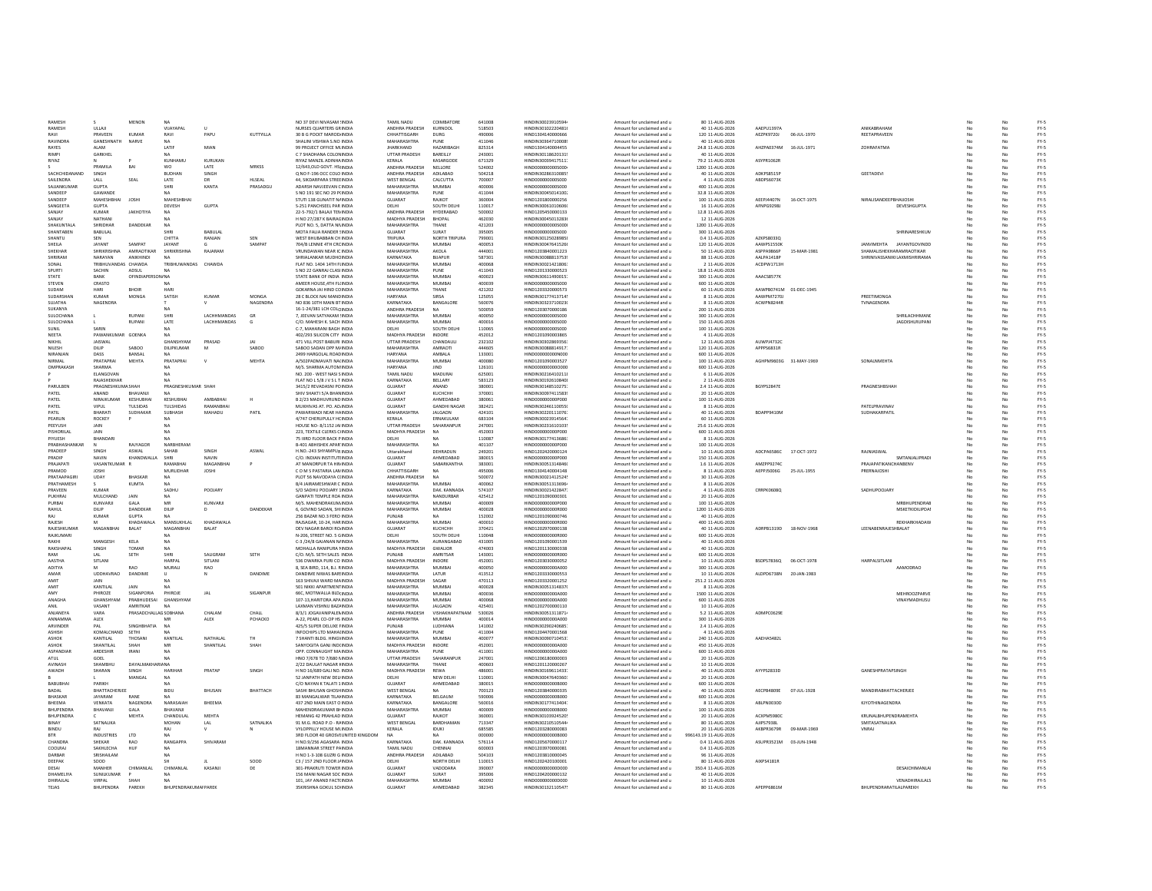| <b>RAMESH</b><br><b>RAMESH</b><br>RAVI |                            |                       |                            |                    |                |                                                     |                               |                     |                  |                                        |                                                          |                                   |                        |             |                                          |           |    |              |
|----------------------------------------|----------------------------|-----------------------|----------------------------|--------------------|----------------|-----------------------------------------------------|-------------------------------|---------------------|------------------|----------------------------------------|----------------------------------------------------------|-----------------------------------|------------------------|-------------|------------------------------------------|-----------|----|--------------|
|                                        |                            | <b>MENON</b>          | NA                         |                    |                | NO 37 DEVI NIVASAM : INDIA                          | TAMIL NADU                    | COIMBATORE          | 641008           | HINDIN30023910594                      | Amount for unclaimed and u                               | 80 11-AUG-2026                    |                        |             |                                          |           |    |              |
|                                        | ULLAIL                     |                       | VIJAYAPAL                  |                    |                | NURSES QUARTERS GRINDIA                             | ANDHRA PRADESH                | KURNOOL             | 518503           | HINDIN30102220481                      | Amount for unclaimed and u                               | 40 11-AUG-2026                    | AAEPU1397A             |             | <b>ANIKARRAHAM</b>                       | No        |    | FY-5         |
|                                        | PRAVEEN                    | KUMAR                 | RAVI                       | PAPU               | KUTTYILLA      | 30 B G POCKT MAROD INDIA                            | CHHATTISGARH                  | DURG                | 490006           | HIND1304140000666                      | Amount for unclaimed and u                               | 120 11-AUG-2026                   | AEZPK9720J             | 06-JUL-1970 | REETAPRAVEEN                             | No        |    | $FY-5$       |
| RAVINDRA                               | GANESHNATH                 | NARVE                 |                            |                    |                | SHALINI VISHWA S.NO INDIA                           | MAHARASHTRA                   | PUNE                | 411046           | HINDIN30364710008                      | Amount for unclaimed and u                               | 40 11-AUG-2026                    |                        |             |                                          |           |    | $FY-5$       |
| RAYES                                  | <b>ALAM</b>                |                       | LATIF                      | MIAN               |                | 99 PROJECT OFFICE MI INDIA                          | <b>IHARKHAND</b>              | HAZARIRAGE          | 825314           | HIND1304140004455                      | Amount for unclaimed and u                               | 24.8 11-AUG-2026                  | AHZPA0374M             | 16-JUL-1971 | ΖΟΗΒΑΕΔΤΜΑ                               | No        |    | $FY-5$       |
| RIMPI                                  | GARKHEL                    |                       |                            |                    |                | C 7 SHADHANA COLON INDIA                            | UTTAR PRADESH                 | BAREILLY            | 243001           | HINDIN301186201319                     | Amount for unclaimed and u                               | 40 11-AUG-2026                    |                        |             |                                          | No        |    | $FY-5$       |
| RIYAZ                                  |                            |                       | KUNHAMU                    | KURUKAN            |                | <b>RIYAZ MANZIL ADINHAINDIA</b>                     | <b>KFRALA</b>                 | KASARGODE           | 671329           | HINDIN30039417511                      | Amount for unclaimed and u                               | 79.2 11-AUG-2026                  | ASYPR1062E             |             |                                          | No        |    | $FY-5$       |
|                                        | PRAMILA                    | RAI                   | <b>WO</b>                  | <b>LATE</b>        | MRKSS          | 12/643 OLD GOVT HSUNDIA                             | ANDHRA PRADESH                | NELLORE             | 524002           | HIND0000000005000                      | Amount for unclaimed and u                               | 1200 11-4UG-2026                  |                        |             |                                          | No        | No | FY-5         |
| SACHCHIDANAND                          | SINGH                      |                       | <b>BUDHAM</b>              | SINGH              |                | Q NO F-196 OCC COLO INDIA                           | ANDHRA PRADESH                | ADILABAD            | 504218           | HINDIN30286310085                      | Amount for unclaimed and u                               | 40 11-AUG-2026                    | ADKPS8515P             |             | GEETADEVI                                | No        | No | $FY-5$       |
| SAILENDRA                              | LALL                       | SEAL                  | LATE                       | DR                 | <b>HLSEAL</b>  | 44. SIKDARPARA STREEINDIA                           | <b>WEST BENGAL</b>            | CALCUTTA            | 700007           | HIND000000000S000                      | Amount for unclaimed and u                               | 4 11-AUG-2026                     | ABDPS6073K             |             |                                          | No        | No | $FY-5$       |
| SAJJANKUMAR                            | GUPTA                      |                       | SHRI                       | KANTA              | PRASADGU       | ADARSH NAVJEEVAN CINDIA                             | MAHARASHTRA                   | MUMBAI              | 400006           | HIND0000000005000                      | Amount for unclaimed and u                               | 400 11-AUG-2026                   |                        |             |                                          |           |    | $FY-5$       |
| SANDEER                                | GAWANDE                    |                       |                            |                    |                | S NO 191 SEC NO 29 PHNDIA                           | MAHARASHTRA                   | PUNE                | 411044           | HINDIN30045014100                      | Amount for unclaimed and u                               | 32.8 11-AUG-2026                  |                        |             |                                          |           |    | $FY-5$       |
|                                        |                            |                       |                            |                    |                |                                                     |                               |                     |                  |                                        |                                                          |                                   |                        |             |                                          |           |    |              |
| SANDEEP                                | MAHESHBHAI                 | JOSHI                 | MAHESHBHAI                 |                    |                | STUTI 138 GUNATIT N/ INDIA                          | GUJARAT                       | RAJKOT              | 360004           | HIND1201800000256                      | Amount for unclaimed and u                               | 100 11-AUG-2026                   | <b>AEEPJ4407N</b>      | 16-OCT-1975 | NIRALISANDEEPBHAIJOSH                    |           |    | $FY-5$       |
| SANGEETA                               | <b>GUPTA</b>               |                       | DEVESH                     | GUPTA              |                | S-251 PANCHSEEL PAR INDIA                           | DELHI                         | SOUTH DELH          | 110017           | HINDIN30061010606                      | Amount for unclaimed and u                               | 16 11-AUG-2026                    | AFNPG9298              |             | DEVESHGUPTA                              | No        |    | $FY-5$       |
| SANJAY                                 | KUMAR                      | ΙΔΚΗΩΤΙΥΔ             |                            |                    |                | 22-5-792/1 BALAJI TEN INDIA                         | ANDHRA PRADESH                | HYDERARAD           | 500002           | HIND1205450000133                      | Amount for unclaimed and u                               | 12.8 11-AUG-2026                  |                        |             |                                          | No        |    | $PV-S$       |
| SANJAY                                 | NATHANI                    |                       |                            |                    |                | H NO 27/287 K BAIRACINDIA                           | MADHYA PRADESH                | BHOPAL              | 462030           | HINDIN30045013283                      | Amount for unclaimed and u                               | 12 11-AUG-2026                    |                        |             |                                          | No        |    | FY-5         |
| SHAKUNTALA                             | SHRIDHAR                   | DANDEKAR              | <b>NA</b>                  |                    |                | PLOT NO. 5. DATTA NINDIA                            | MAHARASHTRA                   | THANE               | 421203           | HIND000000000S000                      | Amount for unclaimed and u                               | 1200 11-AUG-2026                  |                        |             |                                          | No.       | No | $FY-5$       |
| SHANTABEN                              | BABULAL                    |                       | <b>SHRI</b>                | BABULAL            |                | MOTA FALIA RANDER ! INDIA                           | GUJARAT                       | SURAT               | 395005           | HIND0000000005000                      | Amount for unclaimed and u                               | 300 11-AUG-2026                   |                        |             | SHRINARESHKUN                            | No.       |    | $FY-5$       |
| SHANTU                                 | SEN                        |                       | CHITTA                     | RANJAN             | SEN            | WEST BHUBABBAN CH INDIA                             | TRIPURA                       | NORTH TRIPURA       | 799001           | HINDIN30125028985                      | Amount for unclaimed and u                               | 0.4 11-AUG-2026                   | AZKPS8033Q             |             |                                          | No        | No | $FY-5$       |
| SHEILA                                 | JAYANT                     | SAMPAT                | JAYANT                     |                    | SAMPAT         | 704/B LENNIE 4TH CRC INDIA                          | MAHARASHTRA                   | <b>MUMBA</b>        | 400053           | HINDIN30047641526                      | Amount for unclaimed and u                               | 120 11-AUG-2026                   | AAWPS1550K             |             | ANVIMEHTA<br>JAYANTGOVINDE               | No        |    | $FY-5$       |
| SHEKHAF                                | SHRIKRISHNA                | AMRAOTIKAR            | <b>SHRIKRISHN</b>          | RAJARAM            |                | VRUNDAWAN NEAR IC INDIA                             | MAHARASHTRA                   | AKOLA               | 444001           | HIND1203840001223                      | Amount for unclaimed and u                               | 50 11-AUG-2026                    | ASPPA9866P             | 15-MAR-1981 | <b>SHAMALISHEKHARAMRAOTIKAR</b>          | No        |    | FY-5         |
| SHRIRAM                                | NARAYAN                    | <b>ANIKHIND</b>       |                            |                    |                | SHRIALANKAR MUDHC INDIA                             | KARNATAKA                     | <b>BUAPUR</b>       | 587301           | HINDIN30088813753                      | Amount for unclaimed and u                               | 88 11-AUG-2026                    | AALPA1418P             |             | SHRINIVASSANIKI LAXMISHRIRAMA            | No        |    | $FY-5$       |
| SONAL                                  | TRIBHLIVANDAS CHAWDA       |                       | TRIRHI IWANDAS             | CHAWDA             |                | FLAT NO. 1404 14TH FUNDIA                           | MAHARASHTRA                   | MUMBAL              | 400068           | HINDIN30021421806                      | Amount for unclaimed and u                               | 2.11-AUG-2026                     | ACDPW1713H             |             |                                          | No        | No | FY-5         |
|                                        |                            |                       |                            |                    |                |                                                     |                               |                     |                  |                                        |                                                          |                                   |                        |             |                                          |           |    |              |
| SPURTI                                 | SACHIN                     | ADSUL                 | NA                         |                    |                | S NO 22 GANRAJ CLASHNDIA                            | MAHARASHTRA                   | PUNE                | 411043           | HIND1201330000523                      | Amount for unclaimed and u                               | 18.8 11-AUG-2026                  |                        |             |                                          | No        | No | FY-5         |
| STATE                                  | BANK                       | OFINDIAPERSON/ NA     |                            |                    |                | STATE BANK OF INDIA INDIA                           | MAHARASHTRA                   | MUMBAI              | 400023           | HINDIN30611490015                      | Amount for unclaimed and u                               | 300 11-AUG-2026                   | AAACS8577K             |             |                                          | No        | No | FY-5         |
| STEVEN                                 | CRASTO                     |                       |                            |                    |                | AMEER HOUSE, 4TH FU INDIA                           | MAHARASHTRA                   | MUMBAI              | 400039           | HIND0000000005000                      | Amount for unclaimed and u                               | 600 11-AUG-2026                   |                        |             |                                          | No        | No | $FY-5$       |
| SUDAM                                  | HARI                       | <b>BHOIF</b>          | HAR                        |                    |                | GOKARNA JAI HIND CC INDIA                           | MAHARASHTRA                   | THANE               | 421202           | HIND1203320000573                      | Amount for unclaimed and u                               | 60 11-AUG-2026                    | AAWPB0741M 01-DEC-1945 |             |                                          | No        |    | $FY-5$       |
| SUDARSHAM                              | KUMAR                      | MONGA                 | SATISH                     | <b>KUMAR</b>       | MONGA          | 28 C BLOCK NAI MAND INDIA                           | HARYANA                       | SIRSA               | 125055           | HINDIN30177413714                      | Amount for unclaimed and u                               | 8 11-AUG-2026                     | AAWPM7270.             |             | PREETIMONG/                              | No        |    | $FY-5$       |
| <b>SUIATHA</b>                         | <b>NAGENDRA</b>            |                       |                            |                    | NAGENDRA       | NO 836 10TH MAIN BT INDIA                           | KARNATAKA                     | BANGALORE           | 560076           | HINDIN30323710023                      | Amount for unclaimed and u                               | 8 11-AUG-2026                     | ACWPN8244R             |             | TVNAGENDRA                               | No        |    | $FY-5$       |
| SUKANYA                                |                            |                       | <b>NA</b>                  |                    |                | 16-1-24/381 LCH COLC INDIA                          | ANDHRA PRADESH                | NA                  | 500059           | HIND1203070000186                      | Amount for unclaimed and u                               | 200 11-AUG-2026                   |                        |             |                                          | No        | No | $FY-5$       |
| <b>SULOCHANA</b>                       |                            | RUPANI                | SHRI                       | <b>LACHHMANDAS</b> | <b>GR</b>      | 7 IFFVAN SATYAKAM 'INDIA                            | MAHARASHTRA                   | MUMBAL              | 400050           | HIND0000000005000                      | Amount for unclaimed and u                               | 300 11-4UG-2026                   |                        |             | SHRILACHHMAND                            | No        | No | FY-5         |
| SULOCHANA                              |                            | RUPANI                | LATE                       | LACHHMANDAS        | G              | C/O. MAHESH K. SACH INDIA                           | MAHARASHTRA                   | <b>MUMBAI</b>       | 400016           | HIND000000000S000                      | Amount for unclaimed and u                               | 150 11-AUG-2026                   |                        |             | <b>JAGDISHLRUPANI</b>                    | No        | No | $FY-5$       |
| STINIT                                 | SARIN                      |                       |                            |                    |                | C-7. MAHARANI BAGH INDIA                            | DELHI                         | SOUTH DELH          | 110065           | HIND0000000005000                      | Amount for unclaimed and u                               | 100 11-AUG-2026                   |                        |             |                                          | No        | No | FY-5         |
| NEETA                                  | PAWANKUMAR GOENKA          |                       | <b>NA</b>                  |                    |                | 402/293 SILICON CITY INDIA                          | MADHYA PRADESH                | <b>INDORE</b>       | 452012           | HIND1201090003865                      | Amount for unclaimed and u                               | 4 11-AUG-2026                     |                        |             |                                          | No        | No | $FY-5$       |
| NIKHIL                                 | JAISWAL                    |                       | <b>GHANSHYAM</b>           | PRASAD             | JAI            | 471 VILL POST BABURI INDIA                          | <b>UTTAR PRADESH</b>          | CHANDAUL            | 232102           | HINDIN30302869356                      | Amount for unclaimed and u                               | 12 11-AUG-2026                    | <b>AUWPJ47320</b>      |             |                                          |           |    | $FY-5$       |
| NILESH                                 | DILIP                      | SABOO                 | DILIPKUMAR                 |                    | SABOO          | SABOO SADAN OPP M.INDIA                             | MAHARASHTRA                   | AMRAOTI             | 444605           | HINDIN30088814917                      | Amount for unclaimed and u                               | 120 11-AUG-2026                   | APPPS6831R             |             |                                          | No        |    | $FY-5$       |
| NIRANIAN                               | DASS                       | BANSAL                |                            |                    |                | 2499 HARGOLAL ROAD INDIA                            | HARYANA                       | AMBALA              | 133001           | HIND000000000N000                      | Amount for unclaimed and u                               | 600 11-AUG-2026                   |                        |             |                                          | No        | No | $FY-5$       |
| NIRMAL                                 | PRATAPRAL                  |                       | PRATAPRAL                  | $\mathbf v$        | <b>MEHTA</b>   | A/502PADMAVATI NA(INDIA                             | <b>MAHARASHTRA</b>            | MUMBAI              |                  |                                        |                                                          |                                   |                        |             | SONALNMEHTA                              |           |    | $FY-5$       |
| OMPRAKASH                              | SHARMA                     | MEHTA                 |                            |                    |                |                                                     | HARYANA                       |                     | 400080<br>126101 | HIND1201090003527<br>HIND0000000000000 | Amount for unclaimed and u                               | 100 11-AUG-2026                   | AGHPM9603G 31-MAY-1969 |             |                                          | No        |    |              |
|                                        |                            |                       |                            |                    |                | M/S. SHARMA AUTOM INDIA                             |                               | <b>IIND</b>         |                  |                                        | Amount for unclaimed and u                               | 600 11-AUG-2026                   |                        |             |                                          | No        | No | $FY-5$       |
|                                        | <b>FLANGOVAN</b>           |                       |                            |                    |                | NO. 200 - WEST NASLS INDIA                          | <b>TAMIL NADLL</b>            | <b>MADURAL</b>      | 625001           | HINDIN302164102118                     | Amount for unclaimed and u                               | 6.11-AUG-2026                     |                        |             |                                          | No        | No | FY-5         |
|                                        | RAJASHEKHAR                |                       |                            |                    |                | FLAT NOL 5/8 J V S L T INDIA                        | KARNATAKA                     | BELLARY             | 583123           | HINDIN30192610840                      | Amount for unclaimed and u                               | 2 11-AUG-2026                     |                        |             |                                          | No        | No | $FY-5$       |
| PARULBEN                               | PRAGNESHKUMA SHAH          |                       | PRAGNESHKUMAR SHAI         |                    |                | 3415/2 REVADASNI PO INDIA                           | GUJARAT                       | ANAND               | 380001           | HINDIN30148510275                      | Amount for unclaimed and u                               | 2.4 11-AUG-2026                   | BGYPS2847E             |             | PRAGNESHBSHAH                            | No        | No | $FY-5$       |
| PATEL                                  | ANAND                      | BHAVANJI              |                            |                    |                | SHIV SHAKTI 5/A BHAN INDIA                          | GUJARAT                       | KUCHCHH             | 370001           | HINDIN30097411583                      | Amount for unclaimed and u                               | 20 11-AUG-2026                    |                        |             |                                          | No        |    | $FY-5$       |
| PATEL                                  | NIRAJKUMAR                 | KESHUBHA              | KESHUBHA                   | AMBABHA            |                | B 2/23 MADHUVRUND INDIA                             | GUJARAT                       | AHMEDABAD           | 380061           | HIND00000000P000                       | Amount for unclaimed and u                               | 100 11-AUG-2026                   |                        |             |                                          |           |    | $FY-5$       |
| PATEL                                  | VIPUL                      | TULSIDAS              | TULSHIDAS                  | RAMANRHA           |                | MUKHIVAS AT. PO. AD INDIA                           | GUJARAT                       | <b>GANDHI NAGAR</b> | 382421           | HINDIN30246110055                      | Amount for unclaimed and u                               | 8 11-AUG-2026                     |                        |             | PATELPRAVINAL                            |           |    | $FY-5$       |
| PATIL                                  | RHARATI                    | SUDHAKAR              | SURHASH                    | <b>MAHADU</b>      | PATIL          | PAWARWADI NEAR HAINDIA                              | MAHARASHTRA                   | <b>JAI GAON</b>     | 424101           | HINDIN30220111076                      | Amount for unclaimed and u                               | 40 11-AUG-2026                    | RDAPP9410N             |             | SUDHAKARPATI                             | No        | No | $FY-5$       |
| PEARLIN                                | ROCKEY                     |                       |                            |                    |                | 4/747 CHERLIPLILLY HC INDIA                         | <b>KFRALA</b>                 | <b>FRNAKLILAM</b>   | 683104           | HINDIN30023914564                      | Amount for unclaimed and u                               | 60 11-AUG-2026                    |                        |             |                                          | No        | No | $FY-5$       |
| PEEYUSH                                | JAIN                       |                       | <b>NA</b>                  |                    |                | HOUSE NO- 8/1152 JAI INDIA                          | UTTAR PRADESH                 | SAHARANPUR          | 247001           | HINDIN30231610103                      | Amount for unclaimed and u                               | 25.6 11-AUG-2026                  |                        |             |                                          | No        | No | FY-5         |
| PISHORILAL                             | <b>JAIN</b>                |                       | NA                         |                    |                | 223. TEXTILE CLERKS C INDIA                         | MADHYA PRADESH                | NA                  | 452003           | HIND000000000P000                      | Amount for unclaimed and u                               | 600 11-AUG-2026                   |                        |             |                                          | No.       | No | $FY-5$       |
| PIYUESH                                | BHANDAR                    |                       |                            |                    |                | 75 IIIRD FLOOR BACK PINDIA                          | DELHI                         |                     | 110087           | HINDIN30177413686                      | Amount for unclaimed and u                               | 8 11-AUG-2026                     |                        |             |                                          | No.       | No | $FY-5$       |
| PRABHASHANKA                           |                            | RAJYAGOR              | NARBHERAM                  |                    |                | <b>B-401 ABHISHEK APAR INDIA</b>                    | MAHARASHTRA                   | <b>NA</b>           | 401107           | HIND000000000P000                      | Amount for unclaimed and u                               | 100 11-AUG-2026                   |                        |             |                                          | No        | No | $FY-5$       |
| PRADEEP                                |                            |                       | SAHAB                      |                    | ASWAI          | H.NO.-243 SHYAMPUR INDIA                            |                               | DEHRADUM            | 249201           | HIND1202420000124                      | Amount for unclaimed and u                               | 10 11-AUG-2026                    | ADCPA6586C             | 17-OCT-1972 |                                          |           |    | $FY-5$       |
|                                        |                            | ASWAL                 |                            |                    |                |                                                     | Uttarakhand                   |                     |                  |                                        |                                                          |                                   |                        |             | RAJNIASWA                                | No        |    |              |
| PRADIP                                 | NAVIN                      | KHANDWALL             | SHRI                       | NAVIN              |                | C/O. INDIAN INSTITUTI INDIA                         | GUJARAT                       | AHMEDABAD           | 380019           | HIND000000000P000                      | Amount for unclaimed and u                               | 150 11-AUG-2026                   |                        |             | SMTANJALIPRAD                            | No        |    | FY-5         |
| PRAIAPATI                              | VASANTKUMAR                |                       | RAMARHAI                   | MAGANRHAI          |                | AT MANORPLIR TA HIN INDIA                           | GUIARAT                       | SARARKANTHA         | 383001           | HINDIN30051314846                      | Amount for unclaimed and u                               | 1.6 11-AUG-2026                   | AM7PP92740             |             | PRAIAPATIKANCHANRENV                     | No        | No | FY-5         |
| PRAMOD                                 | <b>IOSHI</b>               |                       | <b>MURLIDHAR</b>           | <b>IOSHI</b>       |                | COM SPASTARIA LAN INDIA                             | CHHATTISGARH                  | <b>NA</b>           | 495006           | HIND1304140004148                      | Amount for unclaimed and u                               | 8.11-4UG-2026                     | AFPPISOOSG             | 25-111-1955 | PRERNAIOSHI                              | No        | No | FY-5         |
| PRATAAPAGIRI                           | UDAY                       | BHASKAR               | <b>NA</b>                  |                    |                | PLOT 56 NAVODAYA O INDIA                            | ANDHRA PRADESH                | NA                  | 500072           | HINDIN30021412524                      | Amount for unclaimed and u                               | 30 11-AUG-2026                    |                        |             |                                          | No        | No | FY-5         |
| PRATHAMESH                             |                            | <b>KUMTA</b>          | NA                         |                    |                | B/4 JAIRAMESHWAR C INDIA                            | MAHARASHTRA                   | MUMBAI              | 400062           | HINDIN30051313696                      | Amount for unclaimed and u                               | 8 11-AUG-2026                     |                        |             |                                          | No        | No | FY-5         |
| PRAVEEN                                | KUMAR                      |                       |                            |                    |                | S/O SADHU POOJARY 1INDIA                            | KARNATAKA                     | DAK. KANNADA        | 574107           | HINDIN30021422847                      | Amount for unclaimed and u                               | 4 11-AUG-2026                     | CRRPK0608Q             |             | SADHUPOOJARY                             | No        | No | $FY-5$       |
| PUKHRAJ                                |                            |                       |                            |                    |                |                                                     |                               | NANDURBAR           | 425412           | HIND1201090000301                      | Amount for unclaimed and u                               | 20 11-AUG-2026                    |                        |             |                                          | No        |    | $FY-5$       |
|                                        |                            |                       | SADHU                      | POOJARY            |                |                                                     |                               |                     |                  |                                        |                                                          |                                   |                        |             |                                          |           |    | $FY-5$       |
|                                        | MULCHAND                   | JAIN                  | MR                         |                    |                | <b>GANPATI TEMPLE ROA INDIA</b>                     | MAHARASHTRA<br>MAHARASHTRA    | MUMBAL              |                  |                                        |                                                          |                                   |                        |             | <b>MRRHI IPENDRAF</b>                    |           |    | $FY-5$       |
| PURBAI                                 | KUNVARJI                   | GALA                  |                            | KUNVARJI           |                | M/S. MAHENDRAKUM INDIA                              |                               |                     | 400009           | HIND000000000P000                      | Amount for unclaimed and u                               | 100 11-AUG-2026                   |                        |             |                                          | No        |    |              |
| RAHUL                                  | DILIP                      | DANDEKAR              | DILIP                      |                    | DANDEKAR       | 6, GOVIND SADAN, SHI INDIA                          | MAHARASHTRA                   | MUMBAI              | 400028           | HIND000000000R000                      | Amount for unclaimed and u                               | 1200 11-AUG-2026                  |                        |             | MSKETKIDILIPDAI                          | No        | No |              |
| RAI                                    | KUMAR                      | <b>GLIPTA</b>         |                            |                    |                | 256 BAZAR NO.3 FERO INDIA                           | PUNIAR                        | NA                  | 152002           | HIND1201090000746                      | Amount for unclaimed and u                               | 40 11-AUG-2026                    |                        |             |                                          | No        | No | $FY-5$       |
| <b>RAIFSH</b>                          |                            | KHADAWALA             | MANSUKHLAL                 | KHADAWALA          |                | RAISAGAR 10-24 HARINDIA                             | MAHARASHTRA                   | MUMBAL              | 400010           | HIND000000000R000                      | Amount for unclaimed and u                               | 400 11-4UG-2026                   |                        |             | REKHARKHADAW                             | No        | No | FY-5         |
| RAJESHKUMAR                            | MAGANBHAI                  | BALAT                 | MAGANBHAI                  | BALAT              |                | DEV NAGAR BAROI RO INDIA                            | GUJARAT                       | <b>КUCHCHH</b>      | 370421           | HIND1202970000138                      | Amount for unclaimed and u                               | 40 11-AUG-2026                    | ADRPB1319D             | 18-NOV-1968 | LEENABENRAJESHBALAT                      | No        | No | $FY-5$       |
| RAJKUMARI                              |                            |                       |                            |                    |                | N-206, STREET NO, 5 GINDIA                          | DELHI                         | SOUTH DELHI         | 110048           | HIND000000000R000                      | Amount for unclaimed and u                               | 600 11-AUG-2026                   |                        |             |                                          | No        | No | FY-5         |
| RAKHI                                  | MANGESH                    | KELA                  |                            |                    |                | C-3 /24/8 GAJANAN N/INDIA                           | <b>MAHARASHTRA</b>            | AURANGABAD          | 431005           | HIND1201090001539                      | Amount for unclaimed and u                               | 40 11-AUG-2026                    |                        |             |                                          | No        |    | $FY-5$       |
| RAKSHAPA                               | SINGH                      | TOMAR                 |                            |                    |                | MOHALLA RANIPURA I INDIA                            | MADHYA PRADESH                | GWALIOR             | 474003           | HIND1201130000338                      | Amount for unclaimed and u                               | 40 11-AUG-2026                    |                        |             |                                          |           |    | $FY-5$       |
| RAM                                    | LAL                        | SETH                  | SHRI                       | SALIGRAN           | SETH           | C/O. M/S. SETH SALES INDIA                          | PUNJAB                        | AMRITSAR            | 143001           | HIND00000000R000                       | Amount for unclaimed and u                               | 600 11-AUG-2026                   |                        |             |                                          |           |    | $FY-5$       |
| <b>AASTHA</b>                          | SITLANI                    |                       | HARPAI                     | SITLANI            |                | 536 DWARKA PURI CO INDIA                            | MADHYA PRADESH                | INDORE              | 452001           | HIND1203030000052                      | Amount for unclaimed and u                               | 10 11-AUG-2026                    | BSDPS7836Q             | 06-OCT-1978 | HARPALSITLAN                             | No        |    | $FY-5$       |
| ADITYA                                 |                            | <b>RAO</b>            | MURALI                     | RAO                |                | 8, SEA BIRD, 114, B.J. RINDIA                       | <b>MAHARASHTRA</b>            | <b>MUMBAI</b>       | 400050           | HIND0000000004000                      | Amount for unclaimed and u                               |                                   |                        |             | AAMODRAC                                 | No        |    | $FY-5$       |
| AMAR                                   | UDDHAVRAO                  | <b>DANDIME</b>        | $\mathbf{H}$               | $\mathbf{N}$       | <b>DANDIME</b> | <b>DANDIME NIWAS BAR INDIA</b>                      | MAHARASHTRA                   | <b>LATUR</b>        | 413512           | HIND1203330000553                      | Amount for unclaimed and u                               | 300 11-AUG-2026<br>10 11-AUG-2026 | ALDPD6738N             | 20-JAN-1983 |                                          | No.       | No | $FY-5$       |
| AMIT                                   | <b>JAIN</b>                |                       |                            |                    |                | 163 SHIVAII WARD MAINDIA                            | MADHYA PRADESH                | SAGAR               | 470113           | HIND1203320001252                      | Amount for unclaimed and u                               | 251.2.11-AUG-2026                 |                        |             |                                          | No        | No | FY-5         |
| AMIT                                   | KANTILAL                   | JAIN                  |                            |                    |                | 501 NIKKI APARTMENTINDIA                            | MAHARASHTRA                   | <b>MUMBAI</b>       | 400028           | HINDIN30051314837                      | Amount for unclaimed and u                               | 8 11-AUG-2026                     |                        |             |                                          | No        | No | $FY-5$       |
| AMY                                    | PHIROZE                    | SIGANPORIA            | PHIROJE                    | JAL                | SIGANPUR       | 66C. MOTIWALLA BLDI INDIA                           | MAHARASHTRA                   | MUMBAI              | 400036           | HIND000000000A000                      | Amount for unclaimed and u                               | 1500 11-AUG-2026                  |                        |             | MEHROOZPARVI                             | No        | No | $FY-5$       |
| ANAGHA                                 | GHANSHYAM                  | PRABHUDESAL           | <b>GHANSHYAN</b>           |                    |                | 107-13. HARITORA APAINDIA                           | MAHARASHTRA                   | <b>MUMBA</b>        | 400068           | HIND000000000A000                      |                                                          | 600 11-AUG-2026                   |                        |             | VINAYMADHUSL                             | <b>No</b> |    | $FY-5$       |
|                                        |                            |                       |                            |                    |                |                                                     |                               |                     |                  |                                        | Amount for unclaimed and u                               |                                   |                        |             |                                          |           |    |              |
|                                        | VASAN                      | AMRITKAR              |                            |                    |                | LAXMAN VISHNU BAZ/ INDIA                            | MAHARASHTRA                   | <b>JALGAON</b>      | 425401           | HIND1202700000110                      | Amount for unclaimed and u                               | 10 11-AUG-2026                    |                        |             |                                          | No        |    | FY-5         |
| <b>ANIANEYA</b>                        | VARA                       | PRASADCHALLAG SOBHANA |                            | CHALAM             | CHALL          | 8/3/1 JOGAVANIPALEMINDIA                            | ANDHRA PRADESH                | VISHAKHAPATNAM      | 530026           | HINDIN30051311871                      | Amount for unclaimed and u                               | 5.2 11-AUG-2026                   | ADMPC0629              |             |                                          | No        |    | $FY-5$       |
| <b>ANNAMARA</b>                        | ALEX                       |                       |                            | ALEX               | РСНАСКО        | A-22, PEARL CO-OP HS INDIA                          | MAHARASHTRA                   | <b>MUMBAL</b>       | 400014           | HINDOODOOOOOGOOO                       | Amount for unclaimed and u                               | 300 11-AUG-2026                   |                        |             |                                          | No        |    | $PV-S$       |
| ARVINDER                               | PAL                        | SINGHBHATIA           | <b>NA</b>                  |                    |                | 425/5 SUPER DELUXE FINDIA                           | PUNJAB                        | LUDHIANA            | 141002           | HINDIN30290240685                      | Amount for unclaimed and u                               | 2.4 11-AUG-2026                   |                        |             |                                          | No        | No | FY-5         |
| <b>ASHISH</b>                          | KOMALCHAND                 | SETHI                 | NA                         |                    |                | INFOCHIPS LTD MAHAIINDIA                            | MAHARASHTRA                   | PUNE                | 411004           | HIND1204470001568                      | Amount for unclaimed and u                               | 4 11-AUG-2026                     |                        |             |                                          | No        | No | FY-5         |
| <b>ASHOK</b>                           | KANTILAL                   | THOSANI               | KANTILAL                   | NATHALAL           | TH.            | 7 SHANTI BLDG, HINGVINDIA                           | MAHARASHTRA                   | <b>MUMBAI</b>       | 400077           | HINDIN30090710453                      | Amount for unclaimed and u                               | 240 11-AUG-2026                   | AAFHAS482L             |             |                                          | No        | No | $FY-5$       |
| <b>ASHOK</b>                           | SHANTILAL                  | SHAH                  | MR                         | SHANTILAL          | SHAH           | SANYOGITA GANJ INDIINDIA                            | MADHYA PRADESH                | INDORE              | 452001           | HIND000000000A000                      | Amount for unclaimed and u                               | 450 11-AUG-2026                   |                        |             |                                          | No        | No | $FY-5$       |
| ASPANDIA                               | ARDESHIR                   | <b>IRANI</b>          |                            |                    |                | OPP. CONNAUGHT MAINDIA                              | <b>MAHARASHTRA</b>            | PUNE                | 411001           | HIND000000000A000                      | Amount for unclaimed and u                               | 600 11-AUG-2026                   |                        |             |                                          | No        | No | $FY-5$       |
| <b>ATUL</b>                            | GOEL                       |                       |                            |                    |                | HNO 7/678 TO 7/680 # INDIA                          | <b>UTTAR PRADESH</b>          | SAHARANPU           | 247001           | HIND120618000000                       | Amount for unclaimed and u                               | 20 11-AUG-2026                    |                        |             |                                          |           |    | $FY-5$       |
| <b>AVINASH</b>                         | SHAMRHI                    | <b>DAYALMAKH</b>      | <b>ARIANA</b>              |                    |                | 2/22 DAULAT NAGAR HNDIA                             | MAHARASHTRA                   | THANF               | 400603           | HIND1201120000267                      | Amount for unclaimed and u                               | 10 11-AUG-2026                    |                        |             |                                          | No        |    | $FY-5$       |
| AWADH                                  | SHARAN                     | <b>SINGH</b>          | HARIHAR                    | PRATAP             | SINGH          | H NO 16/689 GALLNO INDIA                            | MADHYA PRADESH                | RFWA                | 486001           | HINDIN30169611433                      | Amount for unclaimed and u                               | 40 11-AUG-2026                    | AVVPS2833D             |             | <b>GANESHPRATAPSINGH</b>                 | No        | No | FY-5         |
|                                        |                            | MANGAL                | <b>NA</b>                  |                    |                | 52 JANPATH NEW DELINDIA                             | DELHI                         | NEW DELHI           | 110001           | HINDIN30047640360                      | Amount for unclaimed and u                               | 20 11-AUG-2026                    |                        |             |                                          | No        | No | $FY-5$       |
|                                        |                            |                       | <b>NA</b>                  |                    |                |                                                     |                               |                     |                  |                                        |                                                          |                                   |                        |             |                                          |           |    |              |
| BABUBHAI                               | PARIKH                     |                       |                            |                    |                | C/O NAYAN K TALATI 1 INDIA                          | GUJARAT                       | AHMEDABAD           | 380015           | HIND000000000B000                      | Amount for unclaimed and u                               | 600 11-AUG-2026                   |                        |             |                                          | No        | No | FY-5         |
| BADAL                                  | BHATTACHERJEE              |                       | BIDU                       | BHUSAN             | BHATTACH       | SASHI BHUSAN GHOSH INDIA                            | <b>WEST BENGAL</b>            | NA                  | 700123           | HIND1203840000335                      | Amount for unclaimed and u                               | 40 11-AUG-2026                    | AECPB4809E             | 07-JUL-1928 | MANDIRABHATTACHERJEE                     | No        | No | FY-5         |
| BHASKAP                                | JAYARAM                    | RANE                  |                            |                    |                | 83 MANGALWAR TILAHNDIA                              | KARNATAKA                     | BELGAUM             | 590006           | HIND000000000B000                      | Amount for unclaimed and u                               | 600 11-AUG-2026                   |                        |             |                                          | No        | No | $FY-5$       |
| BHEEMA                                 | VENKATA                    | NAGENDRA              | NARASAIAH                  | <b>BHEEMA</b>      |                | 437 2ND MAIN EAST O INDIA                           | KARNATAKA                     | BANGALORE           | 560016           | HINDIN30177413404                      | Amount for unclaimed and u                               | 8 11-AUG-2026                     | ABLPN0030D             |             | <b>KJYOTHINAGENDRA</b>                   |           |    | $FY-5$       |
| <b>BHUPENDRA</b>                       | BHAVANJI                   | <b>GALA</b>           | BHAVANJI                   |                    |                | MAHENDRAKUMAR BI INDIA                              | MAHARASHTRA                   | MUMBAI              | 400009           | HIND000000000B000                      | Amount for unclaimed and u                               | 100 11-AUG-2026                   |                        |             |                                          | No        |    | $FY-5$       |
| BHUPENDRA                              |                            | MEHTA                 | CHANDULAL                  | <b>MEHTA</b>       |                | HEMANG 42 PRAHLAD INDIA                             | GUIARAT                       | RAIKOT              | 360001           | HINDIN30103924520                      | Amount for unclaimed and u                               | 20 11-AUG-2026                    | <b>ACXPMS9800</b>      |             | KRUNALBHUPFNDRAMFHTA                     | No        |    | $FY-5$       |
| RINAY                                  | SATNALIKA                  |                       | MOHAN                      | LAL                | SATNALIKA      | 91 M.G. ROAD P.O - RAINDIA                          | WEST RENGAL                   | RARDHAMAN           | 713347           | HINDIN30210510544                      | Amount for unclaimed and u                               | 80 11-AUG-2026                    | AIIPS7938I             |             | SMITASATNALIKA                           | No        | No | $FY-5$       |
| <b>RINDU</b>                           | RAI                        |                       | RAI                        |                    |                | VYLOPPILLY HOUSE MUNDIA                             | <b>KFRALA</b>                 | <b>IDUKI</b>        | 685585           | HIND1203280000083                      | Amount for unclaimed and u                               | 20:11-4UG-2026                    | AKRPR3679R             | 09-MAR-1969 | <b>VNRAI</b>                             | No        | No | EY-5         |
| <b>BTR</b>                             | <b>INDUSTRIES</b>          | LTD                   | NA                         |                    |                | 3RD FLOOR 40 GROSVI UNITED KINGDOM                  | NA                            | <b>NA</b>           | 000000           | HIND000000000B000                      | Amount for unclaimed and u                               | 996143.19 11-AUG-2026             |                        |             |                                          | No        |    | $FY-5$       |
| CHANDRA                                | SHEKAR                     | RAO                   | RANGAPPA                   | SHIVARAM           |                | H NO.9/256 AGASARA INDIA                            | KARNATAKA                     | DAK, KANNADA        | 576114           | HIND1205670000117                      | Amount for unclaimed and u                               | 0.4 11-AUG-2026                   | ASUPR3521M 03-JUN-1948 |             |                                          | No.       |    | FY-5         |
| COOLRAL                                | <b>SAKHLECHA</b>           | HU                    |                            |                    |                | <b>18MANNAR STREET PAINDIA</b>                      | TAMIL NADU                    | CHENNA              | 600003           | HIND1203970000081                      | Amount for unclaimed and u                               | 0.4 11-AUG-2026                   |                        |             |                                          |           |    | $FY-5$       |
|                                        |                            |                       |                            |                    |                |                                                     |                               |                     |                  |                                        |                                                          |                                   |                        |             |                                          |           |    |              |
| DARBAR                                 | SRISHAILAM                 |                       |                            |                    |                | H NO 1-3-108 GUZRI G INDIA                          | ANDHRA PRADESH                | ADILABAD            | 504103           | HIND1203810000049                      | Amount for unclaimed and u                               | 96 11-AUG-2026                    |                        |             |                                          |           |    | $FY-5$       |
| DEEPAK                                 | SOOD                       |                       |                            |                    | SOOD           | C3 / 157 2ND FLOOR J/ INDIA                         | DELHI                         | NORTH DELH          | 110019           | HIND1202420100001                      | Amount for unclaimed and u                               | 80 11-AUG-2026                    | AIXPS4181F             |             |                                          |           |    | $FY-5$       |
| DESAI                                  | <b>MANHER</b>              | CHIMANLAL             | CHIMANLAI                  | KASANJ             | DE             | 301-PRAKRUTI TOWER INDIA                            | GUIARAT                       | VADODARA            | 390007           | HIND0000000000000                      | Amount for unclaimed and u                               | 350.4 11-AUG-2026                 |                        |             | DESAICHIMANLA                            | No        |    | $FY-5$       |
| DHAMFI IYA                             | SUNILKUMAR                 |                       |                            |                    |                | 156 MANI NAGAR SOCINDIA                             | GUIARAT                       | SURAT               | 395006           | HIND1204200000132                      | Amount for unclaimed and u                               | 40 11-AUG-2026                    |                        |             |                                          | No        |    | FY-5         |
| DHIRAJLAL<br>TEJAS                     | VIRPAL<br><b>BHUPENDRA</b> | SHAH<br>PARFKH        | <b>BHUPENDRAKUMAFPAREK</b> |                    |                | 101 JAY ANAND FACTUNDIA<br>35KRISHNA GOKUL SO INDIA | MAHARASHTRA<br><b>GUJARAT</b> | MUMBAL<br>AHMEDABAD | 400092<br>382345 | HIND0000000000000<br>HINDIN30132110547 | Amount for unclaimed and u<br>Amount for unclaimed and u | 10-11-4UG-2026<br>80 11-AUG-2026  | APFPP6861M             |             | VENADHIRAJLALS<br>BHUPENDRARATILALPAREKH | No.<br>No |    | FY-5<br>FY-5 |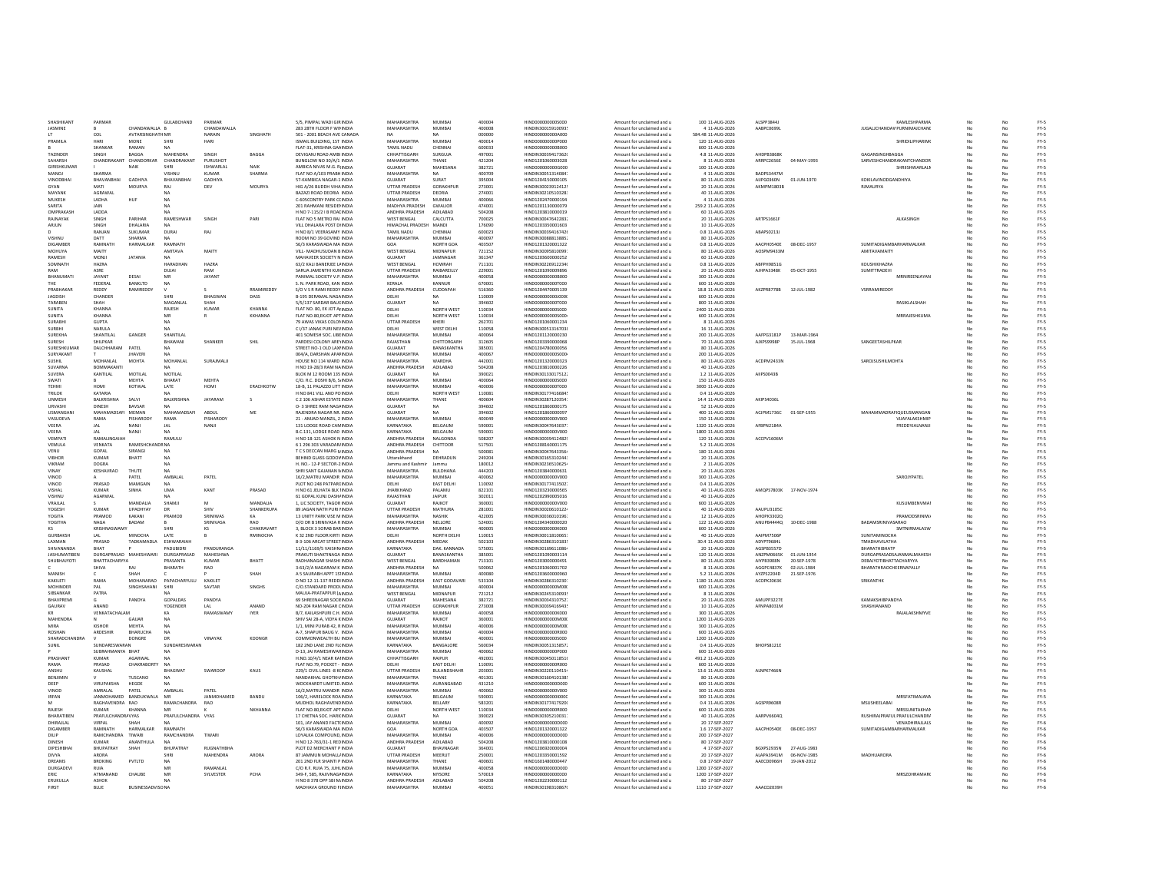| SHASHIKANT            | PARMAR                      |                         | <b>GULARCHAND</b>             | PARMAR            |                | 5/5 PIMPAL WADI GIRINDIA                                | MAHARASHTRA                   | MUMBAL                    | 400004           | HIND0000000005000                      | Amount for unclaimed and u                               | 100 11-4UG-2026                    | ALSPP38441             |             | KAMI FSHPARMA                      |    |          |                  |
|-----------------------|-----------------------------|-------------------------|-------------------------------|-------------------|----------------|---------------------------------------------------------|-------------------------------|---------------------------|------------------|----------------------------------------|----------------------------------------------------------|------------------------------------|------------------------|-------------|------------------------------------|----|----------|------------------|
| <b>IASMINE</b>        |                             | CHANDAWALLA R           |                               | CHANDAWALLA       |                | 283 28TH FLOOR F WILINDIA                               | MAHARASHTRA                   | MUMBAL                    | 400008           | HINDIN30015910093                      | Amount for unclaimed and u                               | 4-11-AUG-2026                      | AARPCD699L             |             | <b>ILIGALICHANDAWPURNIMAICHANE</b> | No |          | FY-5             |
|                       | COL                         | <b>AVTARSINGHATH MR</b> |                               | NARAIN            | SINGHATH       | 501 - 2001 BEACH AVE CANADA                             |                               |                           | 000000           | HIND000000000A000                      | Amount for unclaimed and u                               | 584.48 11-AUG-2026                 |                        |             |                                    | No |          | FY-5             |
| PRAMILA               | <b>HARI</b>                 | <b>MONE</b>             |                               | <b>HARI</b>       |                | ISMAIL BUILDING, 1ST INDIA                              | MAHARASHTRA                   | <b>MUMBA</b>              | 400014           | HIND000000000P000                      | Amount for unclaimed and u                               | 120 11-AUG-2026                    |                        |             | SHRIDILIPHARIM                     | No |          | $FY-S$           |
|                       | SHANKAR                     | RAMAN                   |                               |                   |                | FLAT-31, KRISHNA GAA INDIA                              | TAMIL NADU                    | CHENNA                    | 600033           | HIND000000000B000                      | Amount for unclaimed and u                               | 600 11-AUG-2026                    |                        |             |                                    | No |          | FY-5             |
| TAZINDER              | SINGH                       | <b>BAGGA</b>            | MAHENDRA                      | SING <sub>b</sub> | BAGGA          | DEVIGANJ ROAD AMBI INDIJ                                | CHHATTISGARI                  | <b>SURGUJA</b>            | 497001           | HINDIN30039417362                      | Amount for unclaimed and u                               | 4.8 11-AUG-2026                    | <b>AHDPB3868</b>       |             | GAGANSINGHBAGGA                    |    |          | $FY-5$           |
| SAHARSH               | CHANDRAKAN                  | CHANDORKAR              | CHANDRAKANT                   | PURUSHOT          |                | BUNGLOW NO 30/A/1 INDIA                                 | MAHARASHTRA                   | THANE                     | 421204           | HIND1201060003028                      | Amount for unclaimed and u                               | 8 11-AUG-2026                      | ARRPC2656E             | 04-MAY-1993 | SARVESHCHANDRAKANTCHANDOI          | No |          | FY-5             |
| <b>GIRISHKUMAR</b>    |                             | <b>NAIK</b>             |                               | ISHWARI AI        | <b>NAIK</b>    | AMBICA NIVAS M.G. R INDIA                               | GUIARAT                       | MAHESANA                  | 382721           | HIND0000000006000                      | Amount for unclaimed and u                               | 100 11-AUG-2026                    |                        |             | SHRIISHWARLALN                     | No |          | FY-5             |
| MANOL                 | SHARMA                      |                         | VISHNIJ                       | KUMAR             | SHARMA         | FLAT NO A/103 PRABH INDIA                               | MAHARASHTRA                   | <b>NA</b>                 | 400709           | HINDIN30051314084                      | Amount for unclaimed and u                               | 4 11-4 16-2026                     | BADPS3447M             |             |                                    | No |          | FY-5<br>FY-5     |
| <b>VINODBHA</b>       | BHAVANBHAI                  | <b>GADHIYA</b>          | BHAVANBHAI                    | GADHIYA           |                | 57-KAMBICA NAGAR-1 INDIA                                | GUJARAT                       | SURAT                     | 395004           | HIND1204150000105                      | Amount for unclaimed and u                               | 80 11-AUG-2026                     | AUPG0360N              | 01-JUN-1970 | KOKILAVINODGANDHIYA                | No | No       |                  |
| GYAN                  | MATI                        | MOURYA                  | RAI                           | DEV               | MOURYA         | HIG A/26 BUDDH VIHA INDIA                               | <b>UTTAR PRADESH</b>          | GORAKHPUR                 | 273001           | HINDIN30023912412                      | Amount for unclaimed and u                               | 20 11-AUG-2026                     | <b>AKMPM1803B</b>      |             | RJMAURYA                           | No | No       | FY-5             |
| MAYANK                | AGRAWAL                     |                         | NA.                           |                   |                | BAZAZI ROAD DEORIA INDIA                                | UTTAR PRADESH                 | DEORIA                    | 274001           | HINDIN30210510328                      | Amount for unclaimed and u                               | 40 11-AUG-2026                     |                        |             |                                    | No | No       | $FY-S$           |
| MUKESH                | LADHA                       | HUF                     |                               |                   |                | C-60SCONTRY PARK CLINDIA                                | MAHARASHTRA                   | <b>MUMBA</b>              | 400066           | HIND1202470000194                      | Amount for unclaimed and u                               | 4 11-AUG-2026                      |                        |             |                                    |    |          | FY-5             |
| SARITA                |                             |                         |                               |                   |                | 201 RAHMANI RESIDEI INDIA                               | MADHYA PRADESH                | <b>GWALIOR</b>            | 474001           | HIND1201130000079                      | Amount for unclaimed and u                               | 259.2 11-AUG-2026                  |                        |             |                                    |    |          | FY-5             |
| OMPRAKASH<br>RAINAYAK | LADDA<br><b>SINGH</b>       | PARIHAR                 | RAMESHWAR                     | SINGH             | PARI           | H NO 7-115/2   B ROALINDIA<br>FLAT NO 5 METRO RAI INDIA | ANDHRA PRADESH<br>WEST RENGAL | ADILABAD<br>CALCUTTA      | 504208<br>700025 | HIND120381000001<br>HINDIN30047642283  | Amount for unclaimed and u<br>Amount for unclaimed and u | 60 11-AUG-2026<br>20:11-AUG-2026   | ARTPS1661              |             | <b>ALKASINGH</b>                   | No | No       | FY-5<br>FY-5     |
| ARILIN                | <b>SINGH</b>                | DHALARIA                | <b>NA</b>                     |                   |                | VILL DHALARA POST DUNDIA                                | HIMACHAI PRADESH MANDI        |                           | 176090           | HIND1203350001603                      | Amount for unclaimed and u                               | 10-11-AUG-2026                     |                        |             |                                    | No | No       | FY-5             |
|                       | RANJAN                      | <b>SUKUMAR</b>          | <b>DURAI</b>                  | RAJ               |                | H NO 8/1 VEERASAMY INDIA                                | <b>TAMIL NADU</b>             | CHENNAL                   | 600023           | HINDIN30039416742(                     | Amount for unclaimed and u                               | 0.8 11-AUG-2026                    | ABAPS0213J             |             |                                    | No | No       | FY-5             |
| VISHNU                | DATT                        | SHARMA                  | NA                            |                   |                | ROOM NO 39 GOVIND INDIA                                 | MAHARASHTRA                   | <b>MUMBAI</b>             | 400097           | HINDIN30088813885                      | Amount for unclaimed and u                               | 80 11-AUG-2026                     |                        |             |                                    | No | No       | FY-5             |
| DIGAMBER              | RAMNATH                     | HARMALKAR               | RAMNATH                       |                   |                | 56/3 KARASWADA MA INDIA                                 | GOA                           | NORTH GOA                 | 403507           | HIND1201320001322                      | Amount for unclaimed and u                               | 0.8 11-AUG-2026                    | AACPHOSADE             | 08-DEC-1957 | SUMITADIGAMRARHARMALKAR            | No | No       | $FY-S$           |
| <b>MOHUYA</b>         | MAITY                       |                         | AMITAVA                       | MAITY             |                | VILL- MADHUSUDAN BINDIA                                 | <b>WEST BENGAL</b>            | MIDNAPUR                  | 721152           | HINDIN30095810099                      | Amount for unclaimed and u                               | 80 11-AUG-2026                     | AOSPM9433M             |             | AMITAVAMAITY                       | No | No       | FY-5             |
| RAMESH                | MONJI                       | <b>JATANIA</b>          |                               |                   |                | MAHAVEER SOCIETY N INDIA                                | GUJARAT                       | JAMNAGAR                  | 361347           | HIND1203600000252                      | Amount for unclaimed and u                               | 60 11-AUG-2026                     |                        |             |                                    |    |          | FY-5             |
| <b>SOMMATH</b>        | <b>HA70A</b>                |                         | HARADHAN                      | HA7RA             |                | 63/2 KALI BANERJEE L/ INDIA                             | WEST RENGAL                   | HOMPAH                    | 711101           | HINDIN30226912234                      | Amount for unclaimed and u                               | 0.8 11-AUG-2026                    | AREPH9851G             |             | KOLISHIKHAZRA                      | No |          | $FY-5$           |
| RAM                   | ASRE                        |                         | DUIAL                         | RAM               |                | SARUA JAMENTHI KUN INDIA                                | <b>LITTAR PRADESH</b>         | RAIRARFILLY               | 229001           | HIND1201090009896                      | Amount for unclaimed and u                               | 20 11-AUG-2026                     | AJHPA3348K             | 05-007-1955 | <b>SUMITTRADEVI</b>                | No | No       | $FY-S$           |
| RHANUMATI             | <b>JAYANT</b>               | DESAL                   | MR                            | <b>IAYANT</b>     |                | PANIMAL SOCIETY V.P. INDIA                              | MAHARASHTRA                   | <b>MUMBAL</b>             | 400058           | HIND000000000R000                      | Amount for unclaimed and u                               | 300 11-4UG-2026                    |                        |             | MRNIRFFNIAYAN                      | No | No       | $FY-S$           |
| THE                   | FEDERAL                     | BANKLTD                 | <b>NA</b>                     |                   |                | S. N. PARK ROAD, KAN INDIA                              | KERALA                        | KANNUR                    | 670001           | HIND000000000T000                      | Amount for unclaimed and u                               | 600 11-AUG-2026                    |                        |             |                                    | No | No       | FY-5             |
| PRABHAKAR             | REDDY                       | RAMIREDDY               |                               |                   | RRAMIREDDY     | S/O V S R RAMI REDDY INDIA                              | ANDHRA PRADESH                | CUDDAPAH                  | 516360           | HIND1204470005139                      | Amount for unclaimed and u                               | 18.8 11-AUG-2026                   | AKZPR8778B             | 12-JUL-1982 | VSRRAMIREDDY                       | No | No       | FY-5             |
| JAGDISH               | CHANDER                     |                         | SHRI                          | BHAGWAN           | DASS           | B-195 DERAMAL NAGAINDIA                                 | DELHI                         | NΔ                        | 110009           | HIND000000000000                       | Amount for unclaimed and u                               | 600 11-AUG-2026                    |                        |             |                                    | No | No       | FY-5             |
| TARABEN               | SHAH                        |                         | MAGANLAI                      | SHAH              |                | 5/5/137 SARDAR BAUCINDIA                                | <b>GUJARAT</b>                |                           | 394602           | HIND000000000T000                      | Amount for unclaimed and u                               | 800 11-AUG-2026                    |                        |             | RASIKLALSHAH                       |    |          | $FY-S$           |
| SUNITA                | KHANNA                      |                         | RAJESH                        | KUMAF             | KHANNA         | FLAT NO. 80, EK JOT AHNDIA                              | DELHI                         | NORTH WEST                | 110034           | HIND000000000S000                      | Amount for unclaimed and u                               | 2400 11-AUG-2026                   |                        |             |                                    | No |          | FY-5             |
| SUNITA                | KHANNA                      |                         | MR                            |                   | <b>KKHANNA</b> | FLAT NO.80, EKJOT APTINDIA                              | DELHI                         | NORTH WEST                | 110034           | HIND0000000005000                      | Amount for unclaimed and u                               | 600 11-AUG-2026                    |                        |             | <b>MRRAJESHKUM/</b>                | No |          | $FY-S$           |
| SURARHI               | <b>GUPTA</b>                |                         | NA                            |                   |                | 79 AWAS VIKAS COLONINDIA                                | UTTAR PRADESH                 | KHERI                     | 262701           | HIND1201060001234                      | Amount for unclaimed and u                               | 8 11-AUG-2026                      |                        |             |                                    | No | No       | $FY-5$           |
| SURRHI                | <b>NARLIA</b>               |                         |                               |                   |                | C1/37 JANAK PURI NEVINDIA                               | <b>DELHI</b>                  | WEST DELHI                | 110058           | HINDIN30051316703                      | Amount for unclaimed and u                               | 16 11-AUG-2026                     |                        |             |                                    |    |          | $FY-S$           |
| SURFKHA               | SHANTILAL                   | GANGER                  | SHANTILAI                     |                   |                | 401 SOMESH SOC. LIBEINDIA                               | MAHARASHTRA                   | MUMRAL                    | 400064           | HIND1201120000230                      | Amount for unclaimed and u                               | 200 11-4UG-2026                    | AAFPG3181P             | 13-MAR-1964 |                                    | No | No       | FY-5<br>FY-5     |
| SURESH                | SHILPKAR                    |                         | BHAWANI                       | SHANKER           | SHIL           | PARDESI COLONY ARE INDIA                                | RAJASTHAN                     | CHITTORGARH               | 312605           | HIND1203390000068                      | Amount for unclaimed and u                               | 70 11-AUG-2026                     | AJXPS9998P             | 15-JUL-1968 | SANGEETASHILPKAR                   | No | No       |                  |
| SURESHKUMAR           | DALCHHARAM                  | PATEL                   |                               |                   |                | STREET NO-1 OLD LAXI INDIA                              | GUJARAT                       | <b>BANASKANTHA</b>        | 385001           | HIND1204780000056                      | Amount for unclaimed and u                               | 80 11-AUG-2026                     |                        |             |                                    | No |          | FY-5             |
| SURYAKANT             |                             | <b>JHAVER</b>           |                               |                   |                | 004/A. DARSHAN APAFINDIA                                | MAHARASHTRA                   | <b>MUMBA</b>              | 400067           | HIND000000000S000                      | Amount for unclaimed and u                               | 200 11-AUG-2026                    |                        |             |                                    | No |          | FY-5             |
|                       | MOHANLAL                    | MOHTA                   | MOHANLAL                      | SURAJMALJI        |                | HOUSE NO 114 WARD INDIA                                 | MAHARASHTRA                   | <b>WARDHA</b>             | 442001           | HIND1201320000323                      | Amount for unclaimed and u                               | 80 11-AUG-2026                     | ACDPM2433f             |             | SAROJSUSHILMOHTA                   |    |          | $FY-5$           |
| <b>SUVARNA</b>        | BOMMAKANT                   |                         |                               |                   |                | H NO 19-28/3 RAM NAINDIA                                | ANDHRA PRADESH                | ADILABAD                  | 504208           | HIND1203810000226                      | Amount for unclaimed and u                               | 40 11-AUG-2026                     |                        |             |                                    | No |          | FY-5             |
| SUVERA                | KANTILAL                    | MOTILAL                 | MOTH AL                       |                   |                | BLOK M 12 ROOM 135 INDIA                                | GUIARAT                       |                           | 390021           | HINDIN30133017512                      | Amount for unclaimed and u                               | 1.2 11-AUG-2026                    | AIIPS0043B             |             |                                    |    |          | $FY-5$           |
| SWATI                 |                             | MEHTA                   | BHARAT                        | <b>MEHTA</b>      |                | C/O. R.C. DOSHI B/6, S INDIA                            | MAHARASHTRA                   | <b>MUMBA</b>              | 400064           | HIND0000000005000                      | Amount for unclaimed and u                               | 150 11-AUG-2026                    |                        |             |                                    | No | No       | FY-5             |
| TEHMI                 | HOMI                        | KOTWAL                  | LATE                          | HOMI              | ERACHKOTW      | 18-B, 11 PALAZZO LITT INDIA                             | MAHARASHTRA                   | <b>MUMBAI</b>             | 400006           | HIND000000000T000                      | Amount for unclaimed and u                               | 3000 11-AUG-2026                   |                        |             |                                    | No | No       | FY-5<br>$FY-S$   |
| <b>TRILOK</b>         | KATARIA                     | SALVI                   |                               |                   |                | H NO 841 VILL AND POINDIA<br>C 2 106 ASHAR ESTATE INDIA | DELHI<br>MAHARASHTRA          | NORTH WEST                | 110081<br>400604 | HINDIN30177416684                      | Amount for unclaimed and u                               | 0.4 11-AUG-2026                    | AKIPS4036L             |             |                                    |    | No       | $FY-S$           |
| UNMESH<br>URVASHI     | BALKRISHNA<br><b>DINESH</b> | BAVSAR                  | BALKRISHNA<br><b>NA</b>       | <b>JAYARAM</b>    | -S             | O- 3 SHREE RAM NAG/ INDIA                               | GUJARAT                       | THANE<br><b>NA</b>        | 394602           | HINDIN30287120354<br>HIND1201860000175 | Amount for unclaimed and u                               | 14.4 11-AUG-2026<br>52 11-AUG-2026 |                        |             |                                    | No | No       | FY-5             |
| USMANGAL              | MAHAMAD                     | MEMAN                   | <b>MAHAMADSA</b>              | ABDUL             | ME             | RAJENDRA NAGAR NR. INDIA                                | GUJARAT                       |                           | 394602           | HIND1201860000097                      | Amount for unclaimed and u<br>Amount for unclaimed and u | 400 11-AUG-2026                    | ACJPM1736C             | 01-SEP-1955 | <b>MAHAMMADRAFIQUEUSMANGAN</b>     | No |          | $FY-5$           |
| VASUDEVA              | RAMA                        | <b>PISHARODY</b>        | RAMA                          | <b>PISHARODY</b>  |                | 21 - AMJAD MANZIL, 2 INDIA                              | <b>MAHARASHTRA</b>            | <b>MUMBA</b>              | 400049           | HIND000000000V000                      | Amount for unclaimed and u                               | 150 11-AUG-2026                    |                        |             | VIJAYALAKSHMI                      |    |          |                  |
| VFFRA                 | <b>LAL</b>                  | NANIL                   | IAI                           | NANII             |                | 131 LODGE ROAD CAN INDIA                                | KARNATAKA                     | <b>BELGALIM</b>           | 590001           | HINDIN30047643037                      | Amount for unclaimed and u                               | 1320 11-4UG-2026                   | AFRPN2184A             |             | FREDDYJAI NANJI                    | No | No       | FY-5<br>FY-5     |
| VEERA                 | <b>IAI</b>                  | NANIL                   | N/A                           |                   |                | B.C.131 LODGE ROAD INDIA                                | KARNATAKA                     | <b>BELGALIM</b>           | 590001           | HIND0000000000V000                     | Amount for unclaimed and u                               | 1800 11-4UG-2026                   |                        |             |                                    | No | No       | FY-5             |
| VEMPATI               | RAMALINGAIAH                |                         | RAMULU                        |                   |                | H NO 18-121 ASHOK N INDIA                               | ANDHRA PRADESH                | NALGONDA                  | 508207           | HINDIN30039412482                      | Amount for unclaimed and u                               | 120 11-AUG-2026                    | ACCPV1606N             |             |                                    | No | No       | FY-5             |
| VEMULA                | VENKATA                     | RAMESHCHANDR NA         |                               |                   |                | 6 1 296 303 VARADAR INDIA                               | ANDHRA PRADESH                | CHITTOOR                  | 517501           | HIND1208160001175                      | Amount for unclaimed and u                               | 5.2 11-AUG-2026                    |                        |             |                                    | No | No       | $FY-S$           |
| VENU                  | GOPAL                       | SIRANGI                 | <b>NA</b>                     |                   |                | T C S DECCAN MARG N INDIA                               | ANDHRA PRADESH                | <b>NA</b>                 | 500081           | HINDIN30047643356                      | Amount for unclaimed and u                               | 180 11-AUG-2026                    |                        |             |                                    | No | No       | FY-5             |
| <b>VIBHOR</b>         | <b>KUMAR</b>                | BHATT                   |                               |                   |                | BEHIND GLASS GODOV INDIA                                | Uttarakhand                   | DEHRADUN                  | 249204           | HINDIN30165310244                      | Amount for unclaimed and u                               | 20 11-AUG-2026                     |                        |             |                                    | No | No       | FY-5             |
| VIKRAM                | DOGRA                       |                         |                               |                   |                | H. NO.- 12-P SECTOR-2 INDIA                             | Jammu and Kashmi              |                           | 180012           | HINDIN30236510625                      | Amount for unclaimed and u                               | 2 11-AUG-2026                      |                        |             |                                    |    |          | $FY-S$           |
| VINAY                 | KESHAVRAC                   | THUTE                   | <b>NA</b>                     |                   |                | SHRI SANT GAJANAN NINDIA                                | MAHARASHTRA                   | BULDHANA                  | 444203           | HIND1203840000631                      | Amount for unclaimed and u                               | 20 11-AUG-2026                     |                        |             |                                    | No | No       | $FY-5$           |
| VINOD                 |                             | PATFI                   | <b>AMRAIA</b>                 | PATEL             |                | 16/2.MATRU MANDIR INDIA                                 | MAHARASHTRA                   | MUMRAL                    | 400062           | HIND0000000000V000                     | Amount for unclaimed and u                               | 300 11-AUG-2026                    |                        |             | SAROJYPATE                         | No | No       | $FY-S$           |
| VINOD                 | PRASAD                      | MAMGAIN                 | <b>NA</b>                     |                   |                | PLOT NO 248 PATPARCINDIA                                | <b>DELHI</b>                  | <b>FAST DELHI</b>         | 110092           | HINDIN30177413502                      | Amount for unclaimed and u                               | 0.4.11-4UG-2026                    |                        |             |                                    | No | No       | $FY-S$           |
| VISHAL                | <b>KUMAR</b>                | SINHA                   | <b>UMA</b>                    | KANT              | PRASAD         | H NO 61 JELHATA BLK INDIA                               | <b>JHARKHAND</b>              | PALAMU                    | 822101           | HIND1203230000565                      | Amount for unclaimed and u                               | 40 11-AUG-2026                     | AMOPS7803K 17-NOV-1974 |             |                                    | No | No       | $FY-S$           |
| VISHNU                | AGARWAL                     |                         | <b>NA</b>                     |                   |                | 61 GOPAL KUNJ DASH/ INDIA                               | RAJASTHAN                     | <b>JAIPUR</b>             | 302011           | HIND1202990005016                      | Amount for unclaimed and u                               | 40 11-AUG-2026                     |                        |             |                                    | No | No       | FY-5             |
| VRAJLAI               |                             | MANDALIA                | SHAMJ                         |                   | MANDALIA       | 1. LIC SOCIETY, TAGOR INDIA                             | GUJARAT                       | RAJKOT                    | 360001           | HIND000000000V000                      | Amount for unclaimed and u                               | 600 11-AUG-2026                    |                        |             | KUSUMBENVMA                        | No | No       | $FY-S$           |
| YOGESH                | KUMAR                       | UPADHYAY                |                               | SHIV              | SHANKERUPA     | 89 JAGAN NATH PURI IINDIJ                               | UTTAR PRADESH                 | <b>MATHURA</b>            | 281001           | HINDIN30020610122                      | Amount for unclaimed and u                               | 40 11-AUG-2026                     | AAUPU31050             |             |                                    |    |          | $FY-5$           |
| YOGITA                | PRAMOD                      | KAKANI                  | PRAMOE                        | SRINIWAS          | KA             | 13 UNITY PARK VISE M INDIA                              | MAHARASHTRA                   | NASHIK                    | 422005           | HINDIN30036010196                      | Amount for unclaimed and u                               | 12 11-AUG-2026                     | <b>AHOPK3302C</b>      |             | PRAMODSRINIW                       | No |          | FY-5             |
| YOGITHA               | <b>NAGA</b>                 | BADAM                   |                               | <b>SRINIVASA</b>  | <b>RAO</b>     | D/O DR B SRINIVASA R INDIA                              | ANDHRA PRADESH                | NELLORE                   | 524001           | HIND1204340000020                      | Amount for unclaimed and u                               | 122 11-AUG-2026                    | ANUPB4444Q             | 10-DEC-1988 | <b>BADAMSRINIVASARAO</b>           |    |          | $FY-S$           |
| KS                    | KRISHNASWAMY                |                         | SHRI                          | KS                | CHAKRAVART     | 3, BLOCK 3 SORAB BAR INDIA                              | MAHARASHTRA                   | MUMBAL                    | 400005           | HIND000000000K000                      | Amount for unclaimed and u                               | 600 11-AUG-2026                    |                        |             | SMTNIRMALASV                       | No | No       | $FY-S$           |
| <b>GURRAKSH</b>       | $\mathbf{A}$                | MINOCHA                 | <b>LATE</b>                   |                   | RMINOCHA       | K 32 2ND FLOOR KIRTLINDIA                               | <b>DELHI</b>                  | NORTH DELHI               | 110015           | HINDIN30011810065                      | Amount for unclaimed and u                               | 40-11-AUG-2026                     | AAIPM7506P             |             | SUNITAMINOCHA                      | No | No       | FY-5<br>FY-5     |
| LAXMAN                | PRASAD                      | TADKAMADLA              | ESHWARAIAH                    |                   |                | 8-3-106 ARCAT STREET INDIA                              | ANDHRA PRADESH                | <b>MEDAK</b>              | 502103           | HINDIN30286310183                      | Amount for unclaimed and u                               | 30.4 11-AUG-2026                   | ADYPT9684L             |             | TMADHAVILATHA                      | No | No       |                  |
| SHIVANANDA            | BHAT                        |                         | PADUBIDRI                     | PANDURANGA        |                | 11/11/1169/5 VAISHN INDIA                               | KARNATAKA                     | DAK, KANNADA              | 575001           | HINDIN30169611086                      | Amount for unclaimed and u                               | 20 11-AUG-2026                     | AGSPB3557D             |             | ВНАВАТНІВНАТР                      | No | No       | $FY-S$           |
| <b>JASHUMATIBEN</b>   | DURGAPRASAD MAHESHWARI      |                         | DURGAPRASAD                   | MAHESHWA          |                | PRAKUTI SHAKTINAGA INDIA                                | GUJARAT                       | <b>BANASKANTHA</b>        | 385001           | HIND1201090003114                      | Amount for unclaimed and u                               | 120 11-AUG-2026                    | ANZPM0665K             | 01-JUN-1954 | <b>DURGAPRASADSAJANMALMAHESH</b>   | No | No       | FY-5             |
| SHUBHAJYOTI           | <b>BHATTACHARYYA</b>        |                         | PRASANTA                      | KUMAR             | BHATT          | RADHANAGAR SHASHI INDIA                                 | <b>WEST BENGAL</b>            | BARDHAMAN                 | 713101           | HIND1203000000491                      | Amount for unclaimed and u                               | 80 11-AUG-2026                     | AIYPB3908N             | 20-SEP-1978 | DEBAJYOTIBHATTACHARYYA             | No |          | FY-5             |
|                       | SHIVA                       |                         | BHARATH                       | RAO               |                | 3-63/2/A NAGARAM K INDIA                                | ANDHRA PRADESH                |                           | 500062           | HIND1201060001702                      | Amount for unclaimed and u                               | 8 11-AUG-2026                      | AGGPC4837K             | 02-JUL-1984 | BHARATHRAOCHEERNAPALLY             |    |          | $FY-5$           |
| MANISH                |                             | SHAH                    |                               |                   | SHAH           | A 5 SAURABH APPT 1S' INDIA                              | MAHARASHTRA                   | <b>MUMBA</b>              | 400080           | HIND1203600000960                      | Amount for unclaimed and u                               | 5.2 11-AUG-2026                    | AYZPS2204D             | 21-SEP-1976 |                                    |    |          | FY-5             |
| <b>KAKILETI</b>       | RAMA                        | <b>MOHANARAO</b>        | PAPACHARYULU                  | <b>KAKILET</b>    |                | D NO 12-11-137 REDDHNDIA                                | ANDHRA PRADESH                | <b>FAST GODAVARI</b>      | 533104           | HINDIN20296210230                      | Amount for unclaimed and u                               | 1180 11-AUG-2026                   | ACOPK2063K             |             | SRIKANTHR                          |    |          | $FY-S$<br>$FY-S$ |
| MOHINDER<br>SIBSANKAR | PAL<br>PATRA                | SINGHSAHANI             | SHRI<br>NΔ                    | SAVTAR            | SINGHS         | C/O.STANDARD PRODUNDIA<br>MAUJA-PRATAPPUR (AINDIA       | MAHARASHTRA<br>WEST BENGAL    | <b>MUMBAI</b><br>MIDNAPUR | 400004<br>721212 | HIND000000000M00<br>HINDIN30245310093  | Amount for unclaimed and u<br>Amount for unclaimed and u | 600 11-AUG-2026<br>8 11-AUG-2026   |                        |             |                                    | No | No<br>No | FY-5             |
| BHAVPREM              | $\mathcal{L}$               | PANDYA                  | GOPALDAS                      | PANDYA            |                | 69 SHREENAGAR SOCIEINDIA                                | GUJARAT                       | MAHESANA                  | 382721           | HINDIN30034310752                      | Amount for unclaimed and u                               | 20 11-AUG-2026                     | AMUPP3227F             |             | KAMAKSHIRPANDYA                    | No | No       | $FY-S$           |
| GAURAV                | ANAND                       |                         | YOGENDER                      | LAL               | ANAND          | NO-204 RAM NAGAR CINDIA                                 | UTTAR PRADESH                 | GORAKHPUR                 | 273008           | HINDIN30039416943                      |                                                          | 10 11-AUG-2026                     | AFNPA8031M             |             | SHASHIANAND                        | No | No       | FY-5             |
|                       | VENKATACHALAI               |                         | KΑ                            | <b>RAMASWAM</b>   | <b>IYER</b>    | B/7, KAILASHPURI C.H. INDIA                             | MAHARASHTRA                   | MUMBAI                    | 400058           | HIND000000000K000                      | Amount for unclaimed and u<br>Amount for unclaimed and u | 300 11-AUG-2026                    |                        |             | RAJALAKSHMYVE                      |    |          | FY-5             |
| MAHENDRA              |                             | GAJJAP                  |                               |                   |                | SHIV SAI 28-A, VIDYA KINDIA                             | GUJARAT                       | RAJKOT                    | 360001           | HIND000000000M00                       | Amount for unclaimed and u                               | 1200 11-AUG-2026                   |                        |             |                                    |    |          | $FY-5$           |
| MIRA                  | KISHOR                      | <b>MFHTA</b>            | NA                            |                   |                | 1/1. MINI PURAB 42. RINDIA                              | MAHARASHTRA                   | MUMBA                     | 100006           | HIND000000000M00                       | Amount for unclaimed and u                               | 300 11-AUG-2026                    |                        |             |                                    |    |          | $FY-S$           |
| ROSHAN                | <b>ARDESHIR</b>             | RHARLICHA               | <b>NA</b>                     |                   |                | <b>A-7 SHAPLIR RALIG V INDIA</b>                        | MAHARASHTRA                   | MUMBAL                    | 400004           | HIND000000000R000                      | Amount for unclaimed and u                               | 600 11-4UG-2026                    |                        |             |                                    | No | No       | $FY-S$           |
| SHARADCHANDRA         |                             | DONGRE                  | D <sub>R</sub>                | VINAYAK           | KDONGR         | COMMONWEALTH BLL INDIA                                  | MAHARASHTRA                   | MUMRAL                    | 400001           | HIND0000000005000                      | Amount for unclaimed and u                               | 1200 11-4UG-2026                   |                        |             |                                    | No | No       | FY-5             |
| SUNIL                 | SUNDARESWARAN               |                         | SUNDARESWARAN                 |                   |                | 182 2ND LANE 2ND FL(INDIA                               | KARNATAKA                     | BANGALORE                 | 560034           | HINDIN30051315857                      | Amount for unclaimed and u                               | 0.4 11-AUG-2026                    | BHOPS8121E             |             |                                    | No | No       | FY-5             |
|                       | SURRAHMANYA RHAT            |                         |                               |                   |                | D-13, JAI RAMESHWAF INDIA                               | MAHARASHTRA                   | MUMBAI                    | 400062           | HIND000000000P000                      | Amount for unclaimed and u                               | 600 11-AUG-2026                    |                        |             |                                    | No | No       | $FY-S$           |
| PRASHAN               | <b>KUMAR</b>                | AGARWAI                 |                               |                   |                | H.NO.10/4/1 NEAR KA INDIA                               | CHHATTISGARH                  | RAIPUR                    | 492001           | HINDIN30045011851                      | Amount for unclaimed and u                               | 491.2 11-AUG-2026                  |                        |             |                                    | No | No       | $FY-S$           |
| RAMA                  | PRASAD                      | CHAKRABORT              |                               |                   |                | FLAT NO.79, POCKET - INDIA                              |                               | <b>EAST DELHI</b>         | 11009:           | HIND000000000R000                      | Amount for unclaimed and u                               | 600 11-AUG-2026                    |                        |             |                                    | No |          | $FY-S$           |
| <b>ANSHLI</b>         | KAUSHAI                     |                         | <b>BHAGWAT</b>                | SWAROOP           | KAUS           | 229/1 CIVIL LINES -8 K(INDIA                            | UTTAR PRADESH                 | BULANDSHAHR               | 203001           | HINDIN30220110415                      | Amount for unclaimed and u                               | 13.6 11-AUG-2026                   | ALNPK7466N             |             |                                    |    |          | $FY-S$           |
| <b>RENJIMIN</b>       |                             | TUSCANO                 | NA                            |                   |                | NANDAKHAL GHOTKH INDIA                                  | MAHARASHTRA                   | THANE                     | 401301           | HINDIN30160410138                      | Amount for unclaimed and u                               | 80 11-AUG-2026                     |                        |             |                                    | No | No       | $FY-S$           |
| <b>DEEP</b>           | <b>VIRLIPAKSHA</b>          | HEGDE                   | M/                            |                   |                | WOCKHARDT LIMITED INDIA                                 | MAHARASHTRA                   | <b>AURANGARAD</b>         | 431210           | HIND0000000000000                      | Amount for unclaimed and u                               | 600 11-AUG-2026                    |                        |             |                                    |    | No       | $FY-S$           |
| VINOD                 | AMRAI AI                    | PATFI                   | AMRALAI                       | PATFI             |                | 16/2 MATRU MANDIR INDIA                                 | MAHARASHTRA                   | <b>MUMBAL</b>             | 400062           | HIND0000000000V000                     | Amount for unclaimed and u                               | 300 11-4UG-2026                    |                        |             |                                    | No | No       | FY-5             |
| <b>IRFAN</b>          | JANMOHAMED BANDUKWALA       |                         | MR                            | JANMOHAMED        | BANDU          | 106/2. HARELOCK ROA INDIA                               | KARNATAKA                     | BELGAUM                   | 590001           | HIND0000000000000                      | Amount for unclaimed and u                               | 300 11-AUG-2026                    |                        |             | MRSFATIMAJANN                      | No | No       | FY-5             |
|                       | RAGHAVENDRA RAO             |                         | RAMACHANDRA                   | RAO               |                | MUDHOL RAGHAVENE INDIA                                  | KARNATAKA                     | BELLARY                   | 583201           | HINDIN30177417920                      | Amount for unclaimed and u                               | 0.4 11-AUG-2026                    | AGSPR9608R             |             | MSUSHEELABAI                       | No | No       | $FY-S$           |
| RAJESH                | KUMAR                       | KHANNA                  |                               |                   | NKHANNA        | FLAT NO.80.EKJOT APT INDIA                              | DELHI                         | NORTH WEST                | 110034           | HIND00000000R000                       | Amount for unclaimed and u                               | 600 11-AUG-2026                    |                        |             | MRSSUNITAKHAI                      | No |          | FY-5             |
| <b>BHARATIBEN</b>     | PRAFULCHANDRAVYAS           |                         | PRAFULCHANDRA VYAS            |                   |                | 17 CHETNA SOC. HARKINDIA                                | GUJARAT                       |                           | 390023           | HINDIN30305210031                      | Amount for unclaimed and u                               | 40 11-AUG-2026                     | AARPV6604Q             |             | RUSHIRAJPRAFUL PRAFULCHANDR        |    |          | $FY-5$           |
| DHIRAJLAL             | VIRPAL                      | SHAH                    |                               |                   |                | 101, JAY ANAND FACT(INDIA                               | MAHARASHTRA                   | MUMBAI                    | 400092           | HIND000000000D000                      | Amount for unclaimed and u                               | 20 17-SEP-2027                     |                        |             | VENADHIRAJLALS                     | No |          | $FY-6$           |
| DIGAMBER              | RAMNATH                     | HARMALKAR               | <b><i><u>PANAMATH</u></i></b> |                   |                | 56/3 KARASWADA MA INDIA                                 | GOA                           | NORTH GOA                 | 403507           | HIND1201320001322                      | Amount for unclaimed and u                               | 1.6 17-SEP-2027                    | AACPHOSADE             | 08-DEC-1957 | SUMITADIGAMBARHARMALKAR            | No |          | $FY-6$           |
| DILIP                 | RAMCHANDRA                  | TIWARI                  | RAMCHANDRA                    | TIWARI            |                | LOYALKA COMPOUND. INDIA                                 | MAHARASHTRA                   | MUMBAL                    | 400006           | HIND0000000000000                      | Amount for unclaimed and u                               | 200 17-SEP-2027                    |                        |             |                                    | No |          | $FY-6$           |
| <b>DINESH</b>         | KUMAR                       | ANANTHULA               | <b>NA</b>                     |                   |                | H NO 12-763/31-1 RED INDIA                              | ANDHRA PRADESH                | <b>ADILARAD</b>           | 504208           | HIND1203810000108                      | Amount for unclaimed and u                               | 80 17-SEP-2027                     |                        |             |                                    |    |          | FY-6<br>FY-6     |
| DIPESHBHA             | BHUPATRAY                   | SHAH                    | BHUPATRAY                     | RUGNATHRHA        |                | PLOT D2 MERCHANT P INDIA                                | GUJARAT                       | BHAVNAGAR                 | 364001           | HIND1206920000004                      | Amount for unclaimed and u                               | 4 17-SEP-2027                      | BGXPS2935N             | 27-AUG-1983 |                                    |    |          |                  |
| <b>DIVYA</b>          | <b>ARORA</b>                |                         |                               | <b>MAHENDRA</b>   | ARORA          | 87 JAMMUN MOHALL/INDIA                                  | UTTAR PRADESH                 | MEERUT                    | 250001           | HIND1203350001592                      | Amount for unclaimed and u                               | 20 17-SEP-2027                     | ALAPA3941M             | 06-NOV-1985 | MADHUARORA                         | No |          | $FY-6$           |
| DREAMS                | <b>BROKING</b>              | PVTLTD                  |                               |                   |                | 201 2ND FLR SHANTI P INDIA                              | MAHARASHTRA                   | THANE                     | 400601           | HIND1601480000447                      | Amount for unclaimed and u                               | 0.8 17-SEP-2027                    | AAECD0966H             | 19-JAN-2012 |                                    |    |          | $FY-6$           |
| DURGADEVI             | RUIA                        |                         |                               | RAMANLA           |                | C/O R.F. RUIA 75, JUHUNDIA                              | MAHARASHTRA                   | MUMBA                     | 400058           | HIND000000000D000                      | Amount for unclaimed and u                               | 1200 17-SEP-2027                   |                        |             |                                    |    |          | $FY-6$           |
|                       | ATMANAND                    | CHAUBE                  | MR                            | SYLVESTER         | PCHA           | 349-F, 585, RAJIVNAG/ INDIA                             | KARNATAKA<br>ANDHRA PRADESH   | MYSORE                    | 570019           | HIND000000000E000                      | Amount for unclaimed and u                               | 1200 17-SEP-2027                   |                        |             | MRSZOHRAMARO                       |    |          | $FY-6$           |
| ERUKULLA              | <b>ASHOK</b><br><b>BLUE</b> | <b>BUSINESSADVISONA</b> |                               |                   |                | H NO 8 378 OPP SBI M INDIA<br>MADHAVA GROUND FUNDIA     | MAHARASHTRA                   | ADILABAD<br>MUMRAL        | 504208<br>100051 | HIND1202230000112<br>HINDIN30198310867 | Amount for unclaimed and u<br>Amount for unclaimed and u | 80 17-SEP-2027<br>1110 17-SEP-2027 | AAACD2039H             |             |                                    |    |          | $FY-6$<br>$PV-6$ |
| <b>EIDST</b>          |                             |                         |                               |                   |                |                                                         |                               |                           |                  |                                        |                                                          |                                    |                        |             |                                    |    |          |                  |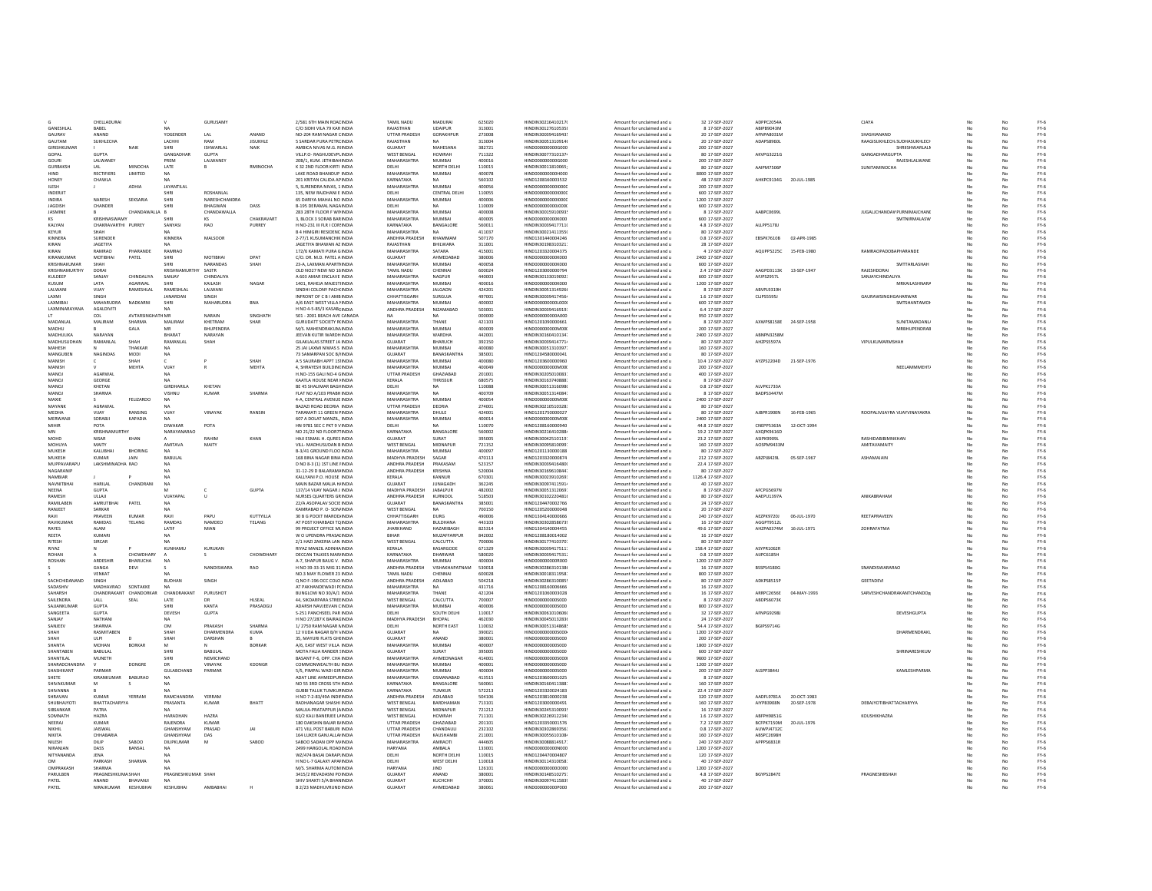|                      | CHELLADURAI         |                         |                    | <b>GURUSAMY</b>  |                  | 2/581 6TH MAIN ROAI INDIA         | <b>TAMIL NADU</b>              | MADURA                      | 625020 | HINDIN30216410217                             | Amount for unclaimed and u                               | 32 17-SEP-2027     | ADPPC2054A             |             | CJAYA                              |    |          | $FY-6$ |
|----------------------|---------------------|-------------------------|--------------------|------------------|------------------|-----------------------------------|--------------------------------|-----------------------------|--------|-----------------------------------------------|----------------------------------------------------------|--------------------|------------------------|-------------|------------------------------------|----|----------|--------|
| GANESHLAI            | BABEL               |                         |                    |                  |                  | C/O SIDHI VILA 79 KAR INDIA       | RAJASTHAN                      | UDAIPUR                     | 313001 | HINDIN30127610535                             | Amount for unclaimed and u                               | 8 17-SEP-2027      | ABIPB9043M             |             |                                    |    |          | $FY-6$ |
| GAURAV               | ANAND               |                         | YOGENDER           | LAL              | ANAND            | NO-204 RAM NAGAR CINDIA           | UTTAR PRADESH                  | GORAKHPUR                   | 273008 | HINDIN30039416943                             | mount for unclaimed and u                                | 20 17-SEP-2027     | AFNPA8031M             |             | SHASHIANANE                        |    |          | $FY-6$ |
| <b>GALITAM</b>       | SUKHLECHA           |                         | <b>LACHHL</b>      | RAM              | <b>JISHKHLE</b>  | 5 SARDAR PURA PETROINDIA          | RAIASTHAN                      | <b>NA</b>                   | 313004 | HINDIN30051310914                             | Amount for unclaimed and u                               | 20 17-559-2027     | <b>ADAPSR960L</b>      |             | RAAGISUKHLECH/SUDHASUKHLECH        |    | No       | $FY-6$ |
| <b>GIRISHKUMAR</b>   |                     | <b>NAIL</b>             | SHRI               | ISHWARI AI       | <b>NAIK</b>      | AMBICA NIVAS M G. RUNDIA          | GUIARAT                        | MAHESANA                    | 382721 | HIND0000000006000                             | Amount for unclaimed and u                               | 200 17-5FP-2027    |                        |             | SHRIISHWARI ALM                    | No | No       | FY-6   |
| GOPAL                | <b>GUPTA</b>        |                         | GANGADHAR          | <b>GUPTA</b>     |                  | VILLP.O- RAGHUDEVPLINDIA          | <b>WEST BENGAL</b>             | HOWRAH                      | 711322 | HINDIN30077310137                             | Amount for unclaimed and u                               | 80 17-SEP-2027     | AKVPG3221G             |             | GANGADHARGUPTA                     | No | No       | FY-6   |
| GOURI                | LALWANEY            |                         | PREM               | LALWANEY         |                  | 20B/1, KUM, JETHIBAH INDIA        | MAHARASHTRA                    | MUMBAI                      | 400016 | HIND000000000G000                             | Amount for unclaimed and u                               | 200 17-SEP-2027    |                        |             | RAJESHLALWANE                      | No | No       | $FY-6$ |
| GURBAKSH             | LAL                 | MINOCHA                 | LATE               |                  | RMINOCHA         | K 32 2ND FLOOR KIRTI INDIA        | DELHI                          | NORTH DELHI                 | 110015 | HINDIN30011810065                             | Amount for unclaimed and u                               | 80 17-SEP-2027     | AAIPM7506F             |             | SUNITAMINOCHA                      |    | No       | $FY-6$ |
|                      | RECTIFIERS          | <b>LIMITED</b>          |                    |                  |                  | LAKE ROAD BHANDUP INDIA           | MAHARASHTRA                    |                             | 400078 | HIND000000000H000                             |                                                          |                    |                        |             |                                    |    |          |        |
| HIND<br>HONEY        |                     |                         | NA                 |                  |                  | 201 KRITAN CALIDA AF INDIA        | KARNATAKA                      | MUMBAI                      | 560102 | HIND1208160003532                             | Amount for unclaimed and u                               | 8000 17-SEP-2027   | AHKPC9134G 20-JUL-1985 |             |                                    |    | No<br>No | $FY-6$ |
|                      | CHAWLA              |                         |                    |                  |                  |                                   |                                |                             |        |                                               | Amount for unclaimed and u                               | 48 17-SEP-2027     |                        |             |                                    |    |          | $FY-6$ |
| <b>ILESH</b>         |                     | ADHIA                   | JAYANTILAL         |                  |                  | 5, SURENDRA NIVAS, 1 INDIA        | <b>MAHARASHTRA</b>             | MUMBAL                      | 400056 | HIND0000000000000                             | Amount for unclaimed and u                               | 200 17-SEP-2027    |                        |             |                                    |    | No       | $FY-6$ |
| <b>INDERIT</b>       |                     |                         | <b>CHIDI</b>       | <b>ROSHANLAL</b> |                  | 135 NEW RAIDHANI F INDIA          | <b>DELHI</b>                   | CENTRAL DELHI               | 110055 | HIND0000000000000                             | Amount for unclaimed and u                               | 600 17-5FP-2027    |                        |             |                                    |    | No       | $FY-6$ |
| <b>INDIRA</b>        | <b>NARFSH</b>       | SEKSARIA                | SHRI               | NARESHCHANDRA    |                  | 65 DARIYA MAHAL NO INDIA          | MAHARASHTRA                    | MUMBAL                      | 400006 | HIND0000000000000                             | Amount for unclaimed and u                               | 1200 17-5FP-2027   |                        |             |                                    |    | No       | FY-6   |
| JAGDISH              | CHANDER             |                         | SHRI               | BHAGWAN          | DASS             | B-195 DERAMAL NAGA INDIA          | DELHI                          | <b>NA</b>                   | 110009 | HIND000000000000                              | Amount for unclaimed and u                               | 600 17-SEP-2027    |                        |             |                                    |    | No       | FY-6   |
| JASMINE              |                     | CHANDAWALLA B           |                    | CHANDAWALLA      |                  | 283 28TH FLOOR F WILINDIA         | <b>MAHARASHTRA</b>             | MUMBAI                      | 400008 | HINDIN30015910093                             | Amount for unclaimed and u                               | 8 17-SEP-2027      | AABPC0699L             |             | <b>JUGALICHANDAWPURNIMAJCHAND</b>  | No | No       | $FY-6$ |
| KS                   | KRISHNASWAM         |                         |                    | KS               | <b>CHAKRAVAR</b> | 3. BLOCK 3 SORAB BAR INDIA        | <b>MAHARASHTRA</b>             | MUMBAI                      | 400005 | HIND000000000K00                              | Amount for unclaimed and u                               | 600 17-SEP-2027    |                        |             | SMTNIRMALASW                       |    | No       | $FY-6$ |
| KALYAN               |                     | CHAKRAVARTHI PURREY     | SANYASI            | RAO              | PURREY           | H NO-231 III FLR I COR INDIA      | KARNATAKA                      | BANGALORE                   | 560011 | HINDIN30039417711                             | mount for unclaimed and u                                | 4.8 17-SEP-2027    | ALLPP5178J             |             |                                    |    | N        | $FY-6$ |
|                      |                     |                         |                    |                  |                  |                                   | <b>MAHARASHTRA</b>             | <b>NA</b>                   |        |                                               |                                                          |                    |                        |             |                                    |    |          |        |
| KEYUR                | <b>SHAI</b>         |                         |                    |                  |                  | <b>B 4 HIMGIRI RESIDENC INDIA</b> |                                | <b>KHAMMAAM</b>             | 411037 | HINDIN30021411355                             | Amount for unclaimed and u                               | 80 17-SEP-2027     |                        |             |                                    |    | No       | $FY-6$ |
| KINNERA              | SURENDER            |                         | KINNERA            | MALSOOR          |                  | 2-77/1 KUSUMANCHIK INDIA          | ANDHRA PRADESH                 |                             | 507170 | HIND1301440004246                             | Amount for unclaimed and u                               | 0.8 17-SEP-2027    | EBSPK7610B             | 02-APR-1985 |                                    |    | No       | $FY-6$ |
| KIRAN                | <b>IAGETIVA</b>     |                         |                    |                  |                  | JAGETIYA BHAWAN AZ INDIA          | RAIASTHAN                      | <b>RHII WARA</b>            | 311001 | HINDIN30198310321                             | Amount for unclaimed and u                               | 28 17-SEP-2027     |                        |             |                                    |    | No       | $FY-6$ |
| KIRAN                | RAMRAO              | PHARANDE                | RAMRAO             |                  |                  | 172/6 KAMATI PURA GINDIA          | MAHARASHTRA                    | SATARA                      | 415001 | HIND1203320004375                             | Amount for unclaimed and u                               | 4 17-SEP-2027      | AQUPP5225C             | 15-FFB-1980 | <b><i>RAMRAOPADORAPHARANDE</i></b> |    | No       | FY-6   |
| KIRANKUMAR           | MOTIBHAI            | PATEL                   | SHRI               | MOTIBHAI         | DPAT             | C/O. DR. M.D. PATEL A INDIA       | GUJARAT                        | AHMEDABAD                   | 380006 | HIND000000000K000                             | Amount for unclaimed and u                               | 2400 17-SEP-2027   |                        |             |                                    |    | No       | $FY-6$ |
| KRISHNAKUMAR         | SHAH                |                         | SHRI               | <b>NARANDAS</b>  | SHAH             | 23-A. LAXMAN APARTI INDIA         | <b>MAHARASHTRA</b>             | MUMBAI                      | 400058 | HIND000000000K000                             | Amount for unclaimed and u                               | 600 17-SEP-2027    |                        |             | <b>SMTTARLASHAH</b>                |    | No       | $FY-6$ |
| KRISHNAMURTHY        | DORAI               |                         | KRISHNAMURTH       | SASTR            |                  | OLD NO27 NEW NO 16 INDIA          | TAMIL NADU                     | CHENNA                      | 600024 | HIND120300000079                              | Amount for unclaimed and u                               | 2.4 17-SEP-2027    | AAGPD3113K             | 13-SEP-1947 | RAJESHDORA                         |    | No       | $FY-6$ |
| KULDEEP              | SANJAY              | CHINDALIYA              | <b>SANJAY</b>      | CHINDALIYA       |                  | A 603 AMAR ENCLAVE INDIA          | MAHARASHTRA                    | NAGPUR                      | 440003 | HINDIN30133019092                             | Amount for unclaimed and u                               | 600 17-SEP-2027    | AFJPS2957L             |             | <b>SANJAYCHINDALIYA</b>            |    | No       | $FY-6$ |
| KUSUM                | LATA                | AGARWAL                 |                    | KAILASH          | NAGAR            | 1401, RAHEJA MAJEST INDIA         | MAHARASHTRA                    | <b>MUMBAI</b>               | 400016 | HIND000000000K000                             | mount for unclaimed and u                                | 1200 17-SEP-2027   |                        |             | <b>MRKAILASHNARA</b>               |    | No       | $FY-6$ |
| LALWANI              | VIIAY               | <b>RAMESHLAL</b>        | RAMESHLAL          | LALWANI          |                  | SINDHI COLONY PACH(INDIA          | MAHARASHTRA                    | <b>JAI GAON</b>             | 424201 | HINDIN30051314926                             |                                                          | 8 17-SEP-2027      | ARVPL9319              |             |                                    |    | No       | $FY-6$ |
|                      |                     |                         |                    |                  |                  |                                   |                                |                             |        |                                               | Amount for unclaimed and u                               |                    |                        |             |                                    |    |          |        |
| <b>LAXMI</b>         | SINGH               |                         | <b>IANARDAN</b>    | <b>SINGH</b>     |                  | INFRONT OF C B   AMB INDIA        | CHHATTISGARH                   | SURGUIA                     | 497001 | HINDIN30039417456                             | Amount for unclaimed and u                               | 1.6.17-5FP-2027    | CLIPS5595J             |             | <b>GALIRAWSINGHGAHARWAR</b>        |    | No       | $FY-6$ |
| LAXMIBAL             | MAHARUDRA           | NADKARNI                | SHRI               | MAHARUDRA        | <b>BNA</b>       | A/6 EAST WEST VILLA HNDIA         | MAHARASHTRA                    | MUMBAI                      | 400002 | HIND00000000L000                              | Amount for unclaimed and u                               | 600 17-SEP-2027    |                        |             | SMTSHANTAMO                        |    | No       | $FY-6$ |
| LAXMINARAYANA        | AGALDIVITI          |                         |                    |                  |                  | H NO 4-5-85/3 KASABCINDIA         | ANDHRA PRADESH                 | NIZAMABAD                   | 503001 | HINDIN30039416919                             | Amount for unclaimed and u                               | 6.4 17-SEP-2027    |                        |             |                                    |    | No       | $FY-6$ |
|                      | COL                 | <b>AVTARSINGHATH MR</b> |                    | NARAIN           | SINGHATH         | 501 - 2001 BEACH AVE CANADA       |                                |                             | 000000 | HIND000000000A000                             | Amount for unclaimed and u                               | 950 17-SEP-2027    |                        |             |                                    |    | No       | $FY-6$ |
| MADANLAL             | MALIRAM             | SHARMA                  | MALIRAM            | KHETRAM          | SHAR             | <b>GURUDATT SOCIETY RUNDIA</b>    | MAHARASHTRA                    | THANE                       | 421103 | HIND1201090000661                             | Amount for unclaimed and u                               | 8 17-SEP-2027      | AXWPS8158E             | 24-SEP-1958 | SUNITAMADANL                       |    | No       | $FY-6$ |
| MADHU                |                     | GALA                    |                    | <b>BHUPENDRA</b> |                  | M/S. MAHENDRAKUM INDIA            | MAHARASHTRA                    | MUMBAI                      | 400009 | HIND00000000M00                               | mount for unclaimed and u                                | 200 17-SEP-2027    |                        |             | MRBHUPENDRAE                       |    |          | $FY-6$ |
| <b>MADHULIKA</b>     | NARAYAN             |                         | BHARAT             | NARAYAN          |                  | JEEVAN KUTIR WARDH INDIA          | MAHARASHTRA                    | <b>WARDHA</b>               | 442001 | HINDIN30160410134                             | Amount for unclaimed and u                               | 2400 17-SEP-2027   | ABNPN3258N             |             |                                    |    | No       | $FY-6$ |
| <b>MADHLISLIDHAN</b> | RAMANI AI           | SHAH                    | RAMANI AI          | SHAH             |                  | GILAKI ALAS STREET IA INDIA       | GUIARAT                        | RHARLICH                    | 392150 | HINDIN30039414771                             | Amount for unclaimed and u                               | 80 17-5FP-2027     | <b>AH7PSSS97A</b>      |             | <b>VIPULKUMARMSHAH</b>             | No | No       | FY-6   |
| MAHESH               |                     | THAKKAR                 | NA                 |                  |                  | 25 JAI LAXMI NIWAS S INDIA        | <b>MAHARASHTRA</b>             | MUMBAI                      | 400080 | HINDIN30051310397                             | Amount for unclaimed and u                               | 160 17-SEP-2027    |                        |             |                                    | No | No       | $FY-6$ |
| MANGUBEN             | NAGINDAS            | <b>MODI</b>             | <b>NA</b>          |                  |                  | 73 SAMARPAN SOC B/HNDIA           | GUJARAT                        | BANASKANTHA                 | 385001 | HIND1204580000041                             | Amount for unclaimed and u                               | 80 17-SEP-2027     |                        |             |                                    |    | No       | $FY-6$ |
|                      |                     |                         |                    |                  |                  |                                   | <b>MAHARASHTRA</b>             |                             |        |                                               |                                                          |                    |                        |             |                                    |    |          | $FY-6$ |
| MANISH               |                     | SHAH                    |                    |                  | SHAH             | A 5 SAURABH APPT 1S' INDIA        |                                | MUMBAI                      | 400080 | HIND1203600000960                             | Amount for unclaimed and u                               | 10.4 17-SEP-2027   | AYZPS2204D             | 21-SEP-1976 |                                    |    | No       |        |
| MANISH               |                     | MEHTA                   | VIJAY              |                  | MEHTA            | 4, SHRAYESH BUILDING INDIA        | MAHARASHTRA                    | <b>MUMBAI</b>               | 400049 | HIND00000000M00                               | Amount for unclaimed and u                               | 200 17-SEP-2027    |                        |             | NEELAMMMEHTA                       |    | No       | $FY-6$ |
| MANOJ                | AGARWAL             |                         |                    |                  |                  | H.NO-155 GALI NO-4 GINDIA         | UTTAR PRADESH                  | GHAZIABAD                   | 201001 | HINDIN30205010083                             | Amount for unclaimed and u                               | 400 17-SEP-2027    |                        |             |                                    |    | No       | $FY-6$ |
| MANOJ                | GEORGE              |                         |                    |                  |                  | KAATLA HOUSE NEAR I INDIA         | KERALA                         | THRISSUR                    | 680575 | HINDIN30163740888                             | Amount for unclaimed and u                               | 8 17-SEP-2027      |                        |             |                                    |    | No       | $FY-6$ |
| MANOL                | KHFTAN              |                         | <b>GIRDHARILA</b>  | KHETAN           |                  | RE 45 SHALIMAR RAGHINDIA          | <b>DELHI</b>                   | NA                          | 110088 | HINDIN30051316098                             | Amount for unclaimed and u                               | 0.8 17-SEP-2027    | ALVPK1733A             |             |                                    |    | No       | $FY-6$ |
| MANOL                | SHARMA              |                         | <b>UISHNIJ</b>     | KUMAR            | SHARMA           | FLAT NO A/103 PRABH INDIA         | MAHARASHTRA                    | NA                          | 400709 | HINDIN30051314084                             | Amount for unclaimed and u                               | 8 17-SEP-2027      | BADPS3447M             |             |                                    |    | No       | FY-6   |
| MAXIE                |                     | FELIZARDO               | NA                 |                  |                  | 4-A. CENTRAL AVENUE INDIA         | MAHARASHTRA                    | <b>MUMBAI</b>               | 400054 | HIND000000000M00                              | Amount for unclaimed and u                               | 2400 17-SEP-2027   |                        |             |                                    |    | No       | $FY-6$ |
| MAYANK               | AGRAWAL             |                         | <b>NA</b>          |                  |                  | BAZAZI ROAD DEORIA INDIA          | <b>UTTAR PRADESH</b>           | DEORIA                      | 274001 | HINDIN30210510328                             | Amount for unclaimed and u                               | 80 17-SEP-2027     |                        |             |                                    |    | No       | $FY-6$ |
| MEDHA                | VIJAY               | RANSING                 | VIJAY              | VINAYAK          | RANSIN           | TARAMATI 11 GREEN FINDIA          | MAHARASHTRA                    | DHULE                       | 424001 | HIND1201750000027                             | Amount for unclaimed and u                               | 80 17-SEP-2027     | AJBPR1900N             | 16-FFB-1965 | ROOPALIVIJAYRA VIJAYVINAYAKRA      | No | No       | $FY-6$ |
| MERWANJI             | SORABJI             | KAPADIA                 | <b>NA</b>          |                  |                  | 607 A DOLAT MANZIL, INDIA         | MAHARASHTRA                    | MUMBAI                      | 400014 | HIND000000000M00                              | Amount for unclaimed and u                               | 2400 17-SEP-2027   |                        |             |                                    |    | No       | $FY-6$ |
| MIHIR                | POTA                |                         | DIWAKAR            | POTA             |                  | HN 9781 SEC C PKT 9 VINDIA        | DELHI                          |                             | 110070 | HIND1208160000940                             | mount for unclaimed and u                                | 44.8 17-SEP-2027   | CNEPP5363A             | 12-OCT-1994 |                                    |    | No       | $FY-6$ |
|                      | KRISHNAMLIRTHY      |                         | NARAYANARAO        |                  |                  | NO 21/22 ND FLOOR71 INDIA         | KARNATAKA                      | <b>BANGALORE</b>            | 560002 | HINDIN30216410288                             | Amount for unclaimed and u                               | 19.2 17-SEP-2027   | AXOPK9616D             |             |                                    |    | No       | $FY-6$ |
| MOHD                 | <b>NISAR</b>        | KHAN                    |                    | RAHIM            | KHAN             | HAJI ESMAIL H. QURES INDIA        | GUIARAT                        | SURAT                       | 395005 | HINDIN30042510119                             | Amount for unclaimed and u                               | 23.2 17-SEP-2027   | <b>ASIPK9909</b>       |             | RASHIDARIRIMNKHAN                  |    | No       | $FY-6$ |
| <b>MOHLIVA</b>       | MAITY               |                         | ΑΜΙΤΑΛΑ            | MAITY            |                  | VILL- MADHLISLIDAN RINDIA         | WEST RENGAL                    | MIDNAPLIR                   | 721152 | HINDIN30095810099                             | Amount for unclaimed and u                               | 160 17-SEP-2027    | AOSPM9433M             |             | ΔΜΙΤΑΥΔΜΑΙΤΥ                       |    | No       | FY-6   |
| MUKESH               | KALUBHAI            | <b>BHORING</b>          | <b>NA</b>          |                  |                  | B-3/41 GROUND FLOO INDIA          | MAHARASHTRA                    | MUMBAI                      | 400097 | HIND1201130000188                             | Amount for unclaimed and u                               | 80 17-SEP-2027     |                        |             |                                    | No | No       | $FY-6$ |
| MUKESH               | <b>KUMAR</b>        | <b>JAIN</b>             | BABULAL            |                  |                  | 168 BINA NAGAR BINA INDIA         | MADHYA PRADESH                 | SAGAR                       | 470113 | HIND1203320000874                             | Amount for unclaimed and u                               | 212 17-SEP-2027    | ABZPJ8429L             | 05-SEP-1967 | ASHAMAJAIN                         | No | No       | FY-6   |
| MUPPAVARAPU          | LAKSHMINADHA RAO    |                         | <b>NA</b>          |                  |                  | D NO 8-3 (1) 1ST LINE HNDIA       | ANDHRA PRADESH                 | PRAKASAM                    | 523157 | HINDIN30039416480                             | Amount for unclaimed and u                               | 22.4 17-SEP-2027   |                        |             |                                    |    | No       | $FY-6$ |
|                      |                     |                         |                    |                  |                  |                                   |                                |                             |        |                                               |                                                          |                    |                        |             |                                    |    |          |        |
| NAGARANIF            |                     |                         |                    |                  |                  | 31-12-29 D BALARAM/ INDIA         | ANDHRA PRADESH                 | KRISHNA                     | 520004 | HINDIN30169610844                             | Amount for unclaimed and u                               | 80 17-SEP-2027     |                        |             |                                    |    | No       | $FY-6$ |
| NAMBIAR              |                     |                         |                    |                  |                  | KALLYANI P.O. HOUSE INDIA         | KERALA                         | KANNUR                      | 670301 | HINDIN30023910269                             | mount for unclaimed and u                                | 1126.4 17-SEP-2027 |                        |             |                                    |    | No       | $FY-6$ |
| NAVNITRHAL           | HARILAL             | CHANDRANI               | <b>NA</b>          |                  |                  | MAIN BAZAR MALIA HJINDIA          | GUJARAT                        | <b>JUNAGADH</b>             | 362245 | HINDIN30097411591                             | Amount for unclaimed and u                               | 40 17-SEP-2027     |                        |             |                                    |    | No       | $FY-6$ |
| <b>NFFNA</b>         | <b>GUPTA</b>        |                         |                    |                  | GUPTA            | 137/14 VUAY NAGAR J INDIA         | MADHYA PRADESH                 | <b>JARALPUR</b>             | 482002 | HINDIN30051312069                             | Amount for unclaimed and u                               | 8 17-SEP-2027      | AFCPG5697M             |             |                                    |    | No       | $FY-6$ |
| RAMESH               | ULLAU               |                         | VIIAYAPAI          | $\mathbf{u}$     |                  | NURSES OUARTERS GRINDIA           | ANDHRA PRADESH                 | KURNOOL                     | 518503 | HINDIN30102220481                             | Amount for unclaimed and u                               | 80 17-5FP-2027     | AAFPLI13974            |             | <b>ANIKARRAHAM</b>                 |    | No       | FY-6   |
| RAMILABEN            | <b>AMRUTBHAI</b>    | PATEL                   | <b>NA</b>          |                  |                  | 22/A ASOPALAV SOCIE INDIA         | <b>GUIARAT</b>                 | BANASKANTHA                 | 385001 | HIND1204470002766                             | Amount for unclaimed and u                               | 24 17-SEP-2027     |                        |             |                                    |    | No       | $FY-6$ |
| RANJEET              | SARKAR              |                         |                    |                  |                  | KAMRABAD P. O- SON INDIA          | <b>WEST BENGAL</b>             | <b>NA</b>                   | 700150 | HIND1205200000048                             | Amount for unclaimed and u                               | 20 17-SEP-2027     |                        |             |                                    |    | No       | $FY-6$ |
| RAVI                 | PRAVEEN             | <b>KUMAR</b>            | RAVI               | PAPU             | KUTTYILLA        | 30 B G POCKT MAROD INDIA          | CHHATTISGARH                   | DURG                        | 490006 | HIND130414000066                              | Amount for unclaimed and u                               | 240 17-SEP-2027    | AEZPK9720J             | 06-JUL-1970 | REETAPRAVEEN                       |    | No       | $FY-6$ |
| RAVIKUMA             | RAMDAS              | TELANG                  | RAMDAS             | NAMDEO           | TELANG           | AT POST KHARBADI TO INDIA         | MAHARASHTRA                    | <b>BULDHANA</b>             | 443103 | HINDIN30302858673                             | Amount for unclaimed and u                               | 16 17-SEP-2027     | AGGPT9512L             |             |                                    |    | No       | $FY-6$ |
| RAYES                | ALAM                |                         | LATIF              | MIAN             |                  | 99 PROJECT OFFICE MI INDIA        | <b>JHARKHAND</b>               | HAZARIBAGH                  | 825314 | HIND1304140004455                             | mount for unclaimed and u                                | 49.6 17-SEP-2027   | AHZPA0374M             | 16-JUL-1971 | ZOHRAFATM/                         |    | No       | $FY-6$ |
| REFTA                | KUMARI              |                         | NA                 |                  |                  | W O UPENDRA PRASALINDIA           | <b>QIMAD</b>                   | MI IZAFFARPUR               | 842002 | HIND1208180014002                             |                                                          | 16 17-SEP-2027     |                        |             |                                    |    | No       |        |
|                      |                     |                         |                    |                  |                  |                                   |                                |                             |        |                                               | Amount for unclaimed and u                               |                    |                        |             |                                    |    |          | $FY-6$ |
| RITESH               | SIRCAR              |                         | <b>NA</b>          |                  |                  | 2/1 HAZI ZAKERIA LAN INDIA        | <b>WEST BENGAL</b>             | CALCUTTA                    | 700006 | HINDIN30177410370                             | Amount for unclaimed and u                               | 80 17-SEP-2027     |                        |             |                                    |    | No       | $FY-6$ |
| RIYAZ                | N                   |                         | KUNHAMU            | KURUKAN          |                  | RIYAZ MANZIL ADINHA INDIA         | KERALA                         | KASARGODE                   | 671329 | HINDIN30039417511                             | Amount for unclaimed and u                               | 158.4 17-SEP-2027  | ASYPR1062R             |             |                                    | No | No       | $FY-6$ |
| <b>ROHAN</b>         |                     | CHOWDHARY               |                    |                  | CHOWDHARY        | DECCAN TALKIES MAR INDIA          | KARNATAKA                      | DHARWAR                     | 580020 | HINDIN30039417531                             | Amount for unclaimed and u                               | 0.8 17-SEP-2027    | AUPC6185H              |             |                                    |    | No       | $FY-6$ |
| ROSHAN               | ARDESHIR            | BHARUCHA                | <b>NA</b>          |                  |                  | A-7, SHAPUR BAUG V. INDIA         | MAHARASHTRA                    | <b>MUMBAI</b>               | 400004 | HIND000000000R000                             | Amount for unclaimed and u                               | 1200 17-SEP-2027   |                        |             |                                    |    | No       | $FY-6$ |
|                      | GANGA               | DEVI                    |                    | NANDISWARA       | RAO              | H NO 39-33-15 MIG 31 INDIA        | ANDHRA PRADESH                 | VISHAKHAPATNAM              | 530018 | HINDIN30286310138                             | Amount for unclaimed and u                               | 16 17-SEP-2027     | <b>BSSPS4180G</b>      |             | SNANDISWARARAO                     |    | No       | $FY-6$ |
|                      | VENKAT              |                         |                    |                  |                  | NO.3 MAY FLOWER 23 INDIA          | TAMIL NADU                     | CHENNA                      | 600028 | HINDIN30018311958                             | Amount for unclaimed and u                               | 800 17-SEP-2027    |                        |             |                                    |    | No       | $FY-6$ |
| SACHCHIDANANI        | SINGH               |                         | <b>BUDHAM</b>      | SINGH            |                  | Q NO F-196 OCC COLO INDIA         | ANDHRA PRADESH                 | ADILABAD                    | 504218 | HINDIN30286310085                             | mount for unclaimed and u                                | 80 17-SEP-2027     | ADKPS8515P             |             | GEETADEVI                          |    |          | $FY-6$ |
| SADASHIN             |                     | MADHAVRAO SONTAKKE      | MA.                |                  |                  | ΑΤ ΡΑΚΗΔΝΩΕΨΑΩΙ ΡΗΝΩΙΑ            | MAHARASHTRA                    | NA                          | 431716 | HIND1208160006666                             | Amount for unclaimed and u                               | 16 17-5FP-2027     |                        |             |                                    |    | No       | $FY-6$ |
| SAHARSH              |                     | CHANDRAKANT CHANDORKAR  | CHANDRAKANT        | PURUSHOT         |                  | BUNGLOW NO 30/A/1 INDIA           | MAHARASHTRA                    | THANE                       | 421204 | HIND1201060003028                             | Amount for unclaimed and u                               | 16 17-SEP-2027     | ARRPC2656E             | 04-MAY-1993 | SARVESHCHANDRAKANTCHANDOR          | No | No       | $FY-6$ |
| SAILENDRA            | LALL                | SEAL                    | LATE               |                  | HLSEAL           | 44. SIKDARPARA STREE INDIA        | <b>WEST BENGAL</b>             | CALCUTTA                    | 700007 | HIND000000000S000                             | Amount for unclaimed and u                               | 8 17-SEP-2027      | ABDPS6073K             |             |                                    |    | No       | $FY-6$ |
| SAJJANKUMAR          | <b>GUPTA</b>        |                         | <b>SHRI</b>        | KANTA            | PRASADGU         | ADARSH NAVJEEVAN CINDIA           | MAHARASHTRA                    | MUMBAL                      | 400006 | HIND000000000S000                             | Amount for unclaimed and u                               | 800 17-SEP-2027    |                        |             |                                    |    | No       | $FY-6$ |
| SANGEETA             | <b>GUPTA</b>        |                         | DEVESH             | GUPTA            |                  | S-251 PANCHSEEL PAR INDIA         | DELHI                          | SOUTH DELHI                 | 110017 | HINDIN30061010606                             | Amount for unclaimed and u                               | 32 17-SEP-2027     | AFNPG9298J             |             | DEVESHGUPTA                        |    | No       | $FY-6$ |
|                      |                     |                         |                    |                  |                  |                                   |                                |                             | 462030 |                                               |                                                          | 24 17-SEP-2027     |                        |             |                                    |    | No       |        |
| SANJAY               | NATHANI<br>SHARMA   |                         | OM                 | PRAKASH          | <b>SHAPMA</b>    | H NO 27/287 K BAIRACINDIA         | MADHYA PRADESH<br><b>DELHI</b> | <b>BHOPAL</b><br>NORTH EAST |        | HINDIN30045013283<br><b>HINDIN30051314868</b> | Amount for unclaimed and u                               |                    |                        |             |                                    |    |          | $FY-6$ |
| SANJEEV              |                     |                         |                    |                  |                  | 1/2750 RAM NAGAR NINDIA           |                                |                             | 110032 |                                               | Amount for unclaimed and u                               | 54.4 17-SEP-2027   | BGIPS9714G             |             |                                    |    | No       | $FY-6$ |
| SHAH                 | RASMITABEN          |                         | SHAH               | DHARMENDRA       | KUMA             | 12 VUDA NAGAR B/H \ INDIA         | GUIARAT                        | <b>NA</b>                   | 390021 | HIND000000000S000                             | Amount for unclaimed and u                               | 1200 17-SEP-2027   |                        |             | DHARMENDRAKI                       |    | No       | $FY-6$ |
| SHAH                 | LIL PL              |                         | SHAH               | <b>DARSHAN</b>   |                  | 35 MAYURLELATS GHUNDIA            | GUIARAT                        | ANAND                       | 380001 | HIND0000000005000                             | Amount for unclaimed and u                               | 200 17-5FP-2027    |                        |             |                                    |    | No       | FY-6   |
| SHANTA               | MOHAN               | <b>BORKAR</b>           | M                  |                  | <b>BORKAR</b>    | A/6 FAST WEST VILLA INDIA         | MAHARASHTRA                    | MUMBAL                      | 400007 | HIND000000005000                              | Amount for unclaimed and u                               | 1800 17-5FP-2027   |                        |             |                                    |    | No       | FY-6   |
| SHANTABEN            | <b>BABULAL</b>      |                         | SHRI               | <b>BABULAL</b>   |                  | MOTA FALIA RANDER ! INDIA         | GUJARAT                        | SURAT                       | 395005 | HIND000000000S000                             | Amount for unclaimed and u                               | 600 17-SEP-2027    |                        |             | SHRINARESHKUM                      | No | No       | $FY-6$ |
| SHANTILAL            | MUNETH              |                         | SHRI               | NEMICHAND        |                  | BASANT F-6, OPP, CHA INDIA        | <b>MAHARASHTRA</b>             | AHMEDNAGAR                  | 414001 | HIND000000000S000                             | Amount for unclaimed and u                               | 9600 17-SEP-2027   |                        |             |                                    |    | No       | $FY-6$ |
| <b>SHARADCHANDR</b>  |                     | <b>DONGRE</b>           | DR                 | VINAYAK          | KDONGR           | COMMONWEALTH BU INDIA             | MAHARASHTRA                    | MUMBAI                      | 400001 | HIND00000000500                               | Amount for unclaimed and u                               | 1200 17-SEP-2027   |                        |             |                                    |    | No       | $FY-6$ |
| SHASHIKANT           | PARMAR              |                         | GULABCHAND         | PARMAR           |                  | 5/5, PIMPAL WADI GIRINDIA         | MAHARASHTRA                    | <b>MUMBAI</b>               | 400004 | HIND000000000500                              | mount for unclaimed and u                                | 200 17-SEP-2027    | ALSPP3844              |             | <b>KAMLESHPARMA</b>                |    | No       | $FY-6$ |
| SHETE                | KIRANKUMAR          | BABURAO                 | <b>NA</b>          |                  |                  | ADAT LINE AHMEDPUF INDIA          | MAHARASHTRA                    | OSMANABAD                   | 413515 | HIND1203600001025                             | Amount for unclaimed and u                               | 8 17-SEP-2027      |                        |             |                                    |    | No       | $FY-6$ |
| SHIVAKUMAR           | M                   |                         |                    |                  |                  | NO 55 3RD CROSS 5TH INDIA         | KARNATAKA                      | BANGALORE                   | 560061 | HINDIN30160411388                             | Amount for unclaimed and u                               | 160 17-SEP-2027    |                        |             |                                    |    | No       | $FY-6$ |
| SHIVANNA             |                     |                         |                    |                  |                  | GURRI TALLIK TUMKULINDIA          | KARNATAKA                      | TUMKUR                      | 572213 | HIND1203320024183                             | Amount for unclaimed and u                               | 22 4 17-SEP-2027   |                        |             |                                    |    | No       | $FY-6$ |
| SHRAVAN              | KUMAR               | YFRRAM                  | RAMCHANDRA         | <b>YFRRAM</b>    |                  | H NO 7-2-83/49A INDILINDIA        | ANDHRA PRADESH                 | ADILARAD                    | 504106 | HIND1203810000238                             | Amount for unclaimed and u                               | 320 17-SEP-2027    | AADEL9781A             | 20-007-1983 |                                    |    | No       | FY-6   |
| SHUBHAJYOT           | BHATTACHARYYA       |                         | PRASANTA           | <b>KUMAR</b>     | BHATT            | RADHANAGAR SHASHI INDIA           | <b>WEST BENGAL</b>             | BARDHAMAN                   | 713101 | HIND120300000049                              | Amount for unclaimed and u                               | 160 17-SEP-2027    | AIYPB3908N             | 20-SEP-1978 | DEBAJYOTIBHATTACHARYYA             |    | No       | $FY-6$ |
| SIBSANKAR            | PATRA               |                         |                    |                  |                  | MAUJA-PRATAPPUR (AINDIA           | <b>WEST BENGAL</b>             | <b>MIDNAPUR</b>             | 721212 | HINDIN30245310093                             |                                                          | 16 17-SEP-2027     |                        |             |                                    |    | No       | $FY-6$ |
| SOMNATH              | <b>HAZRA</b>        |                         | HARADHAN           | HAZRA            |                  | 63/2 KALI BANERJEE L/ INDIA       | <b>WEST BENGAL</b>             | <b>HOWRAH</b>               |        | HINDIN30226912234                             | Amount for unclaimed and u<br>Amount for unclaimed and u | 1.6 17-SEP-2027    | <b>ABFPH98510</b>      |             | <b>KOUSHIKHAZRA</b>                |    |          | $FY-6$ |
|                      |                     |                         |                    |                  |                  |                                   |                                |                             | 711101 |                                               |                                                          |                    |                        |             |                                    |    | No       |        |
| NEERAJ               | KUMAF               |                         | RAJENDRA           | KUMAF            |                  | 180 DAKSHIN BAJAR B. INDIA        | UTTAR PRADESH                  | GHAZIABAD                   | 201101 | HIND120335000157                              | mount for unclaimed and u                                | 7.2 17-SEP-2027    | BCFPK7150M             | 20-JUL-1976 |                                    |    | No       | $FY-6$ |
| NIKHIL               | <b>JAISWAL</b>      |                         | GHANSHYAM          | PRASAD           | JAI              | 471 VILL POST BABURI INDIA        | UTTAR PRADESH                  | CHANDALILL                  | 232102 | HINDIN30302869356                             | mount for unclaimed and u                                | 0.8 17-SEP-2027    | AUWPJ47320             |             |                                    |    | No       | $FY-6$ |
| <b>NIKITA</b>        | CHHABARIA           |                         | <b>GHANSHVAM</b>   | DAS              |                  | 164 LUKER GANJ ALLAHNDIA          | UTTAR PRADESH                  | KAUSHAMBI                   | 211001 | HINDIN30055610108                             | Amount for unclaimed and u                               | 160 17-SEP-2027    | ABSPC2698H             |             |                                    |    | No       | $FY-6$ |
| <b>NILESH</b>        | <b>DILIP</b>        | SAROO                   | DILIPKLIMAR        | M                | SAROO            | SAROO SADAN OPP MJ INDIA          | MAHARASHTRA                    | AMRAOTI                     | 444605 | HINDIN30088814917                             | Amount for unclaimed and u                               | 240 17-5FP-2027    | APPPS6831R             |             |                                    |    | No       | $FY-6$ |
| NIRANJAN             | DASS                | BANSAL                  | <b>NA</b>          |                  |                  | 2499 HARGOLAL ROAC INDIA          | HARYANA                        | AMBALA                      | 133001 | HIND000000000N000                             | Amount for unclaimed and u                               | 1200 17-SEP-2027   |                        |             |                                    |    | No       | $FY-6$ |
| NITYANANDA           | <b>JENA</b>         |                         |                    |                  |                  | WZ/474 BASAI DARAPHNDIA           | DELHI                          | NORTH DELHI                 | 110015 | HIND1204470004807                             | Amount for unclaimed and u                               | 120 17-SEP-2027    |                        |             |                                    |    | No       | $FY-6$ |
| OM                   | PARKASH             | SHARMA                  |                    |                  |                  | H NO L-7 GALAXY APAHNDIA          | DELHI                          | <b>WEST DELHI</b>           | 110018 | HINDIN30114310058                             | Amount for unclaimed and u                               | 40 17-SEP-2027     |                        |             |                                    |    | No       | $FY-6$ |
| OMPRAKASH            | SHARMA              |                         |                    |                  |                  | M/S. SHARMA AUTOM INDIA           | <b>HARYANA</b>                 | <b>JIND</b>                 | 126101 | HIND000000000000                              | Amount for unclaimed and u                               | 1200 17-SEP-2027   |                        |             |                                    |    |          | $FY-6$ |
| PARULBEN             |                     | PRAGNESHKUMA SHAH       | PRAGNESHKUMAR SHAH |                  |                  | 3415/2 REVADASNI POINDIA          | GUJARAT                        | ANAND                       | 380001 | HINDIN30148510279                             | mount for unclaimed and u                                | 4.8 17-SEP-2027    | BGYPS28478             |             | PRAGNESHBSHA                       |    |          | $FY-$  |
|                      |                     |                         |                    |                  |                  | SHIV SHAKTI 5/A BHAN INDIA        | GUJARAT                        | <b>КUCHCHH</b>              | 370001 | HINDIN30097411583                             | Amount for unclaimed and u                               | 40 17-SEP-2027     |                        |             |                                    |    |          | $FY-6$ |
|                      |                     |                         |                    |                  |                  |                                   |                                |                             |        |                                               |                                                          |                    |                        |             |                                    |    |          |        |
| PATEL<br>PATFI       | ANAND<br>NIRAIKUMAR | BHAVANJI<br>KESHLIRHAL  | <b>KESHLIRHAL</b>  | AMRARHAI         |                  | <b>B 2/23 MADHLIVRUND INDIA</b>   | GUIARAT                        | AHMEDARAD                   | 380061 | HIND000000000P000                             | Amount for unclaimed and u                               | 200 17-5FP-2027    |                        |             |                                    |    |          | FY-6   |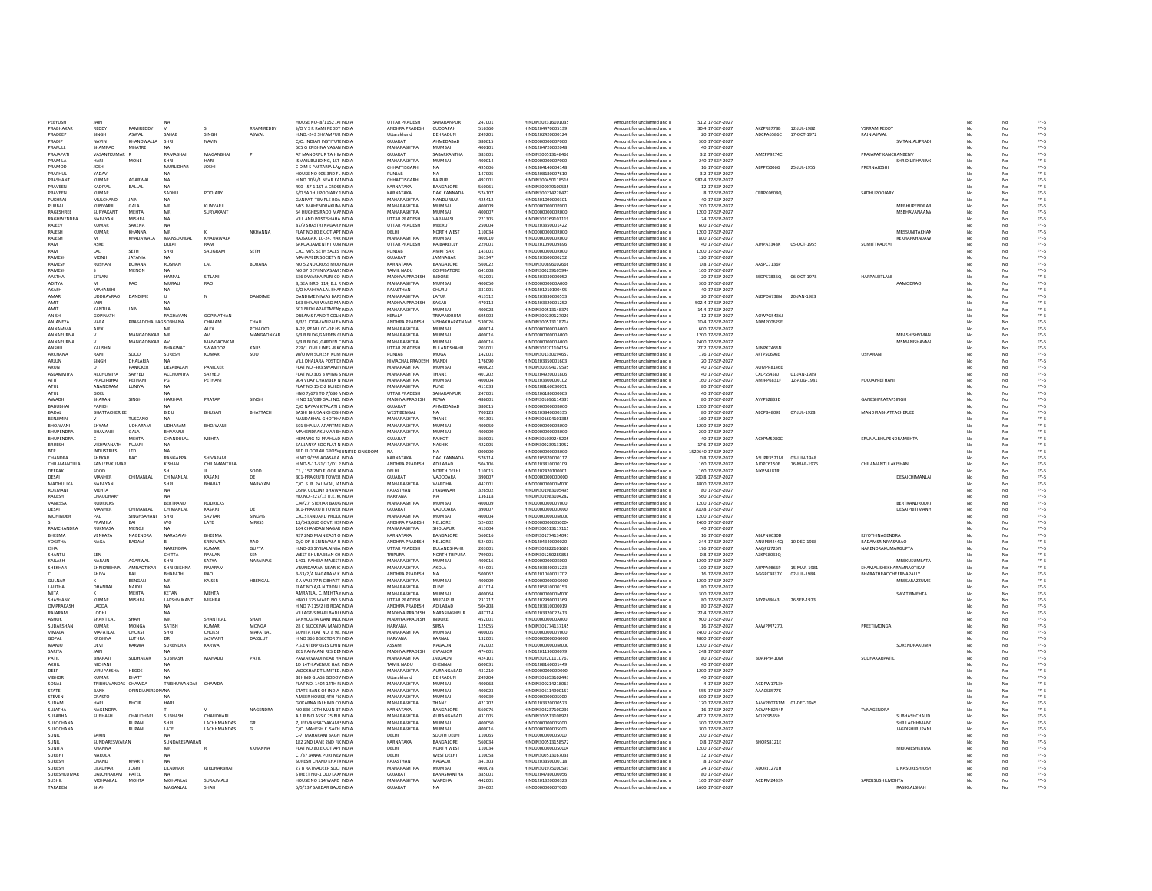| PEEYUSH                       | <b>JAIN</b>            |                          | N <sub>a</sub>             |                   |                  | HOUSE NO-8/1152 JAHNDIA                                  | UTTAR PRADESH                        | SAHARANPUR                      | 247001           | HINDIN30231610103                             | Amount for unclaimed and u                               | 51.2 17-SEP-2027                    |                        |              |                             |                       |                      |          | $FY-6$           |
|-------------------------------|------------------------|--------------------------|----------------------------|-------------------|------------------|----------------------------------------------------------|--------------------------------------|---------------------------------|------------------|-----------------------------------------------|----------------------------------------------------------|-------------------------------------|------------------------|--------------|-----------------------------|-----------------------|----------------------|----------|------------------|
| PRABHAKAE                     | REDDY                  | RAMIREDDY                | $\mathbf{v}$               |                   | RRAMIREDDY       | S/O V S R RAMI REDDY INDIA                               | ANDHRA PRADESH                       | CUDDAPAH                        | 516360           | HIND1204470005139                             | Amount for unclaimed and u                               | 30.4 17-SEP-2027                    | AKZPR8778B             | 12-JUL-1982  | <b><i>VSRRAMIREDDY</i></b>  |                       |                      | No       | $FY-6$           |
| PRADEEP                       | SINGH                  | ASWAL                    | SAHAB                      | SINGH             | ASWAL            | H.NO.-243 SHYAMPUR INDIA                                 | Uttarakhand                          | DEHRADUN                        | 249201           | HIND1202420000124                             | Amount for unclaimed and u                               | 20 17-SEP-2027                      | ADCPA6586C             | 17-OCT-1972  | RAJNIASWAL                  |                       | No                   | No       | $FY-6$           |
| PRADIP<br>PRAFILLI            | NAVIN<br>SHAMRAO       | KHANDWALLA<br>MHATRE     | SHR<br><b>NA</b>           | NAVIN             |                  | C/O. INDIAN INSTITUTI INDI                               | GUJARAT<br>MAHARASHTRA               | AHMEDABAD<br><b>MUMBAI</b>      | 380019<br>400101 | 1IND00000000P000<br>HIND1204720002048         | Amount for unclaimed and u                               | 300 17-SEP-2027<br>40 17-SEP-2027   |                        |              |                             | SMTANJALIPRAD         |                      | No       | $FY-6$           |
| PRAIAPAT                      | VASANTKUMAR            |                          | RAMABHA                    | MAGANRHA          |                  | 505 G KRISHNA VASAN INDIA<br>AT MANORPUR TA HIN INDIA    | GUIARAT                              | SARARKANTHA                     | 383001           | HINDIN30051314846                             | Amount for unclaimed and u<br>Amount for unclaimed and u | 3.2 17-SEP-2027                     | AMZPP9274C             |              | PRAJAPATIKANCHANBENV        |                       | No                   |          | $FY-6$<br>$FY-6$ |
| PRAMILA                       | HARI                   | <b>MONE</b>              | SHRI                       | <b>HARI</b>       |                  | ISMAIL BUILDING, 1ST INDIA                               | MAHARASHTRA                          | MUMBAL                          | 400014           | HIND000000000P000                             | Amount for unclaimed and u                               | 240 17-SEP-2027                     |                        |              |                             | <b>SHRIDILIPHARIM</b> | No                   | No       | $FY-6$           |
| PRAMOD                        | <b>IOSHI</b>           |                          | MURUDHAR                   | <b>IOSHI</b>      |                  | COM SPASTARIA LAN INDIA                                  | CHHATTISGARH                         | NA                              | 495006           | HIND1304140004148                             | Amount for unclaimed and u                               | 16 17-SEP-2027                      | AFPPISOOSG             | 25-1111-1955 | PRERNAIOSHI                 |                       | No                   | No       | $FY-6$           |
| PRAPHUL                       | YADAV                  |                          |                            |                   |                  | HOUSE NO 905 3RD FL INDIA                                | PUNJAB                               | NA                              | 147005           | HIND1208180007610                             | Amount for unclaimed and u                               | 3.2 17-SEP-2027                     |                        |              |                             |                       | No                   | No       | $FY-6$           |
| <b>PRASHAN</b>                | <b>KUMAR</b>           | AGARWAL                  | <b>NA</b>                  |                   |                  | H.NO.10/4/1 NEAR KAI INDIA                               | CHHATTISGARH                         | RAIPUR                          | 492001           | HINDIN30045011851                             | Amount for unclaimed and u                               | 982.4 17-SEP-2027                   |                        |              |                             |                       | No                   | No       | $FY-6$           |
| PRAVEEN                       | KADIYALI               | BALLAL                   |                            |                   |                  | 490 - 57 1 1ST A CROSSINDIA                              | KARNATAKA                            | BANGALORE                       | 560061           | HINDIN30007910053                             | Amount for unclaimed and u                               | 12 17-SEP-2027                      |                        |              |                             |                       |                      |          | $FY-6$           |
| PRAVEEN                       | KUMAR                  |                          | SADHU                      | POOJARY           |                  | S/O SADHU POOJARY 1INDI                                  | KARNATAKA                            | DAK, KANNADA                    | 574107           | HINDIN30021422847                             | Amount for unclaimed and u                               | 8 17-SEP-2027                       | <b>CRRPK0608Q</b>      |              | SADHUPOOJAR1                |                       |                      |          | $FY-6$           |
| <b>PUKHRA</b><br>PLIRRAL      | MULCHAND<br>KUNVARIL   | JAIN<br>GALA             | MR                         | KUNVARU           |                  | GANPATI TEMPLE ROA INDI<br>M/S. MAHENDRAKUM INDIA        | MAHARASHTRA<br>MAHARASHTRA           | NANDURBAR<br><b>MUMBAI</b>      | 425412<br>400009 | HIND1201090000301<br>HIND000000000P000        | Amount for unclaimed and u                               | 40 17-SEP-2027<br>200 17-SEP-2027   |                        |              |                             | <b>MRRHLIPFNDRAF</b>  | Nr                   |          | $FY-6$           |
| RAGESHREE                     | SURYAKANT              | <b>MEHTA</b>             | MR                         | SURYAKANT         |                  | 54 HUGHES RAOD MAI INDIA                                 | MAHARASHTRA                          | MUMRAL                          | 400007           | HIND000000008000                              | Amount for unclaimed and u<br>Amount for unclaimed and u | 1200 17-SEP-2027                    |                        |              |                             | <b>MSBHAVANAAM/</b>   | Nr                   |          | $FY-6$<br>$FY-6$ |
| RAGHWENDRA                    | NARAYAN                | MISHRA                   | <b>NA</b>                  |                   |                  | VILL AND POST SHAHA INDIA                                | UTTAR PRADESH                        | VARANASI                        | 221305           | HINDIN302269101119                            | Amount for unclaimed and u                               | 24 17-SEP-2027                      |                        |              |                             |                       |                      | No       | $FY-6$           |
| RAJEEV                        | <b>KUMAR</b>           | SAXENA                   | <b>NA</b>                  |                   |                  | 87/9 SHASTRI NAGAR I INDIA                               | <b>UTTAR PRADESH</b>                 | MEERUT                          | 250004           | HIND1203350001422                             | Amount for unclaimed and u                               | 600 17-SEP-2027                     |                        |              |                             |                       | No                   | No       | $FY-6$           |
| RAJESH                        | KUMAR                  | KHANNA                   | MR                         |                   | NKHANNA          | FLAT NO.80, EKJOT APTINDIA                               | DELHI                                | NORTH WEST                      | 110034           | HIND000000000R000                             | Amount for unclaimed and u                               | 1200 17-SEP-2027                    |                        |              |                             | MRSSUNITAKHAI         | No                   | No       | $FY-6$           |
| RAJESH                        | M                      | KHADAWALA                | MANSUKHLAI                 | KHADAWALA         |                  | RAJSAGAR, 10-24, HARINDIA                                | MAHARASHTRA                          | MUMBAI                          | 400010           | HIND000000000R000                             | Amount for unclaimed and u                               | 800 17-SEP-2027                     |                        |              |                             | REKHARKHADAW          | No                   | No       | $FY-6$           |
| RAM                           | ASRE                   |                          | DUJAI                      |                   |                  | SARUA JAMENTHI KUN INDIA                                 | UTTAR PRADESH                        | RAIBAREILLY                     | 229001           | HIND1201090009896                             | Amount for unclaimed and u                               | 40 17-SEP-2027                      | AJHPA3348K             | 05-OCT-1955  | <b>SUMITTRADEV</b>          |                       |                      | No       | $FY-6$           |
| RAM                           | LAL                    | SETH                     |                            | SALIGRAN          | SETH             | C/O. M/S. SETH SALES INDIA                               | PUNJAB                               | AMRITSAR                        | 143001           | HIND00000000R000                              | Amount for unclaimed and u                               | 1200 17-SEP-2027                    |                        |              |                             |                       |                      | No       | $FY-6$           |
| <b>RAMES</b><br><b>RAMESH</b> | MONJ<br>ROSHAN         | <b>JATANIA</b><br>RORANA | ROSHAN                     | LAL               | RORANA           | MAHAVEER SOCIETY N INDIA<br>NO 5 2ND CROSS MODINDIA      | <b>GUJARAT</b><br>KARNATAKA          | JAMNAGAR<br><b>BANGALORE</b>    | 361347<br>560022 | HIND1203600000252<br>HINDIN30089610266        | Amount for unclaimed and u<br>Amount for unclaimed and u | 120 17-SEP-2027<br>0.8.17-SEP-2027  | AASPC7136P             |              |                             |                       | No                   | No       | $FY-6$<br>$FY-6$ |
| RAMESH                        |                        | <b>MENON</b>             | <b>NA</b>                  |                   |                  | NO 37 DEVI NIVASAM : INDIA                               | TAMIL NADU                           | COIMBATORE                      | 641008           | HINDIN30023910594                             | Amount for unclaimed and u                               | 160 17-SEP-2027                     |                        |              |                             |                       | No                   | No       | $FY-6$           |
| <b>AASTHA</b>                 | SITLANI                |                          | HARPAL                     | SITLANI           |                  | 536 DWARKA PURI CO INDIA                                 | MADHYA PRADESH                       | INDORE                          | 452001           | HIND1203030000052                             | Amount for unclaimed and u                               | 20 17-SEP-2027                      | BSDPS7836Q             | 06-OCT-1978  | <b>HARPALSITLANI</b>        |                       | No                   | No       | $FY-6$           |
| ADITYA                        | M                      | RAO                      | MURALI                     | RAO               |                  | 8. SEA BIRD, 114, B.J. RINDIA                            | <b>MAHARASHTRA</b>                   | <b>MUMBAI</b>                   | 400050           | HIND000000000A000                             | Amount for unclaimed and u                               | 300 17-SEP-2027                     |                        |              | AAMODRAO                    |                       | No                   | No       | $FY-6$           |
| AKASH                         | MAHARSH                |                          | <b>NA</b>                  |                   |                  | S/O KANHIYA LAL SHAHNDIA                                 | RAJASTHAN                            | CHURU                           | 331001           | HIND1201210100495                             | Amount for unclaimed and u                               | 40 17-SEP-2027                      |                        |              |                             |                       |                      | No       | $FY-6$           |
| AMAR                          | <b>UDDHAVRAO</b>       | DANDIME                  | $\cup$                     | N                 | DANDIME          | DANDIME NIWAS BAR! INDIA                                 | <b>MAHARASHTRA</b>                   | LATUR                           | 413512           | HIND1203330000553                             | Amount for unclaimed and u                               | 20 17-SEP-2027                      | ALDPD6738N             | 20-JAN-1983  |                             |                       |                      | No       | $FY-6$           |
| AMIT                          |                        |                          |                            |                   |                  | 163 SHIVAJI WARD MA INDI                                 | MADHYA PRADESH                       | SAGAR                           | 470113           | HIND1203320001252                             | Amount for unclaimed and u                               | 502.4 17-SEP-2027                   |                        |              |                             |                       |                      |          | $FY-6$           |
| AMIT                          | KANTILAL               | JAIN                     |                            |                   |                  | 501 NIKKI APARTMENTINDIA                                 | MAHARASHTRA                          | MUMBAI                          | 400028           | HINDIN30051314837                             | Amount for unclaimed and u                               | 14.4 17-SEP-2027                    |                        |              |                             |                       | No                   | No       | $FY-6$           |
| <b>ANISH</b>                  | <b>GOPINATH</b>        |                          | RAGHAVAN                   | <b>GOPINATHAN</b> |                  | DREAMS PANDIT COLNINDIA                                  | <b>KFRALA</b>                        | TRIVANDRUM                      | 695003           | HINDIN30023912702                             | Amount for unclaimed and u                               | 12 17-SEP-2027                      | AOWPGS436              |              |                             |                       | No                   | No       | $FY-6$           |
| ANIANEYA<br>ANNAMMA           | VARA<br>ALEX           | PRASADCHALLAG SORHANA    | MR                         | CHALAM<br>ALEX    | CHALL<br>PCHACKO | 8/3/1 IOGAVANIPALEMINDIA<br>A-22, PEARL CO-OP HS INDIA   | ANDHRA PRADESH<br><b>MAHARASHTRA</b> | VISHAKHAPATNAM<br><b>MUMBAI</b> | 530026<br>400014 | HINDIN30051311871<br>HIND000000000A000        | Amount for unclaimed and u<br>Amount for unclaimed and u | 10.4.17-SEP-2027<br>600 17-SEP-2027 | ADMPC0629E             |              |                             |                       | N <sub>c</sub><br>No | No<br>No | $FY-6$<br>$FY-6$ |
| ANNAPURNA                     |                        | MANGAONKAR MR            |                            | AV                | MANGAONKAR       | S/3 B BLDG.GARDEN C INDIA                                | MAHARASHTRA                          | <b>MUMBAI</b>                   | 400016           | HIND000000000A000                             | Amount for unclaimed and u                               | 1200 17-SEP-2027                    |                        |              |                             | MRASHISHVMAN          | No                   | No       | $FY-6$           |
| ANNAPURNA                     |                        | MANGAONKAR AV            |                            | MANGAONKAR        |                  | S/3 B BLDG., GARDEN CINDIA                               | MAHARASHTRA                          | MUMBAI                          | 400016           | HIND000000000A000                             | Amount for unclaimed and u                               | 2400 17-SEP-2027                    |                        |              |                             | <b>MSMANISHAVM</b>    | No                   | No       | $FY-6$           |
| ANSHU                         | KAUSHAL                |                          | <b>BHAGWA</b>              | SWAROOK           | KAUS             | 229/1 CIVIL LINES -8 K(IND)                              | UTTAR PRADESH                        | BULANDSHAHR                     | 203001           | HINDIN30220110415                             | Amount for unclaimed and u                               | 27.2 17-SEP-2027                    | ALNPK7466N             |              |                             |                       |                      |          | $FY-6$           |
| <b>ARCHANA</b>                | RANI                   | SOOD                     | SURESH                     | KUMAR             | soo              | W/O MR SURESH KUMINDIA                                   | PUNJAB                               | MOG/                            | 142001           | HINDIN30133019465                             | Amount for unclaimed and u                               | 176 17-SEP-2027                     | AFTPS0696E             |              | USHARANI                    |                       | No                   |          | $FY-6$           |
| ARJUN                         | SINGH                  | DHALARIA                 | NA                         |                   |                  | VILL DHALARA POST DI INDIA                               | HIMACHAL PRADESH MANDI               |                                 | 176090           | HIND1203350001603                             | Amount for unclaimed and u                               | 20 17-SEP-2027                      |                        |              |                             |                       | N.                   |          | $FY-6$           |
| ARUN                          |                        | PANICKER                 | DESABALAN                  | PANICKER          |                  | FLAT NO -403 SWAMI 'INDIA                                | MAHARASHTRA                          | MUMBAI                          | 400022           | HINDIN30039417959                             | Amount for unclaimed and u                               | 40 17-SEP-2027                      | AOMPPR146F             |              |                             |                       |                      |          | $FY-6$           |
| ASI AMMIYA                    | <b>ACCHUMIYA</b>       | SAYYED                   | <b>ACCHI IMIYA</b>         | SAYYED            |                  | FLAT NO 306 B WING SINDIA                                | MAHARASHTRA                          | THANF                           | 401202           | HIND1204920001806                             | Amount for unclaimed and u                               | 40 17-SEP-2027                      | CXLPSS4SRL             | 01-IAN-1989  |                             |                       | Nr                   | No       | $FY-6$           |
| ATIT                          | PRADIPBHAI             | PETHANI                  | PG                         | PETHANI           |                  | 904 VIJAY CHAMBER N INDIA                                | MAHARASHTRA                          | <b>MUMBAI</b>                   | 400004           | HIND1203300000102                             | Amount for unclaimed and u                               | 160 17-SEP-2027                     | AMJPP6831F             | 12-AUG-1981  | POOJAPPETHAN                |                       | No                   | No       | $FY-6$           |
| ATUL                          | ANANDRAM               | LUNIYA                   | NA                         |                   |                  | FLAT NO.15 C-2 BUILDI INDIA                              | MAHARASHTRA                          | PUNE                            | 411033           | HIND1208160030051                             | Amount for unclaimed and u                               | 80 17-SEP-2027                      |                        |              |                             |                       |                      | No       | $FY-6$           |
| ATUL                          | GOEL                   |                          |                            |                   |                  | HNO 7/678 TO 7/680 M NDIA                                | <b>UTTAR PRADESH</b>                 | SAHARANPUR                      | 247001           | HIND1206180000003                             | Amount for unclaimed and u                               | 40 17-SEP-2027                      |                        |              |                             |                       |                      |          | $FY-6$           |
| AWADH                         | SHARAN                 | SINGH                    | HARIHAR                    | PRATAP            | SINGH            | H NO 16/689 GALI NO. INDIA                               | MADHYA PRADESH                       | REWA                            | 486001           | HINDIN30169611433                             | Amount for unclaimed and u                               | 80 17-SEP-2027                      | AYYPS2833D             |              | GANESHPRATAPSINGH           |                       |                      | No       | $FY-6$           |
| BABUBHA                       | PARIKH                 |                          |                            |                   |                  | C/O NAYAN K TALATI 1 INDI                                | GUJARAT                              | AHMEDABAD<br>NA                 | 380015           | HIND00000000B000                              | Amount for unclaimed and u                               | 1200 17-SEP-2027                    | AECPB4809E             |              | <b>MANDIRABHATTACHERJEE</b> |                       |                      |          | $PV-$            |
| BADAL<br><b>RENJIMIN</b>      | BHATTACHERJEE          | TUSCANO                  | BIDU                       | <b>BHUSAM</b>     | BHATTACH         | SASHI BHUSAN GHOSH INDIA<br>NANDAKHAL GHOTKH INDIA       | <b>WEST BENGAL</b><br>MAHARASHTRA    | THANF                           | 700123<br>401301 | HIND1203840000339<br>HINDIN30160410138        | Amount for unclaimed and u<br>Amount for unclaimed and u | 80 17-SEP-2027<br>160 17-SEP-2027   |                        | 07-JUL-1928  |                             |                       |                      |          | $FY-6$<br>$FY-6$ |
| BHOJWANI                      | SHYAM                  | UDHARAM                  | UDHARAM                    | BHOJWANI          |                  | 501 SHAILIA APARTME INDIA                                | MAHARASHTRA                          | <b>MUMBAI</b>                   | 400050           | HIND000000000B000                             | Amount for unclaimed and u                               | 1200 17-SEP-2027                    |                        |              |                             |                       | Nr                   | No       | $FY-6$           |
| BHUPENDRA                     | BHAVANJI               | GALA                     | BHAVANJI                   |                   |                  | MAHENDRAKUMAR BHNDIA                                     | MAHARASHTRA                          | <b>MUMBAI</b>                   | 400009           | HIND000000000B000                             | Amount for unclaimed and u                               | 200 17-SEP-2027                     |                        |              |                             |                       | No                   | No       | $FY-6$           |
| BHUPENDRA                     |                        | MEHTA                    | CHANDULAL                  | MEHTA             |                  | HEMANG 42 PRAHLAD INDIA                                  | GUJARAT                              | RAJKOT                          | 360001           | HINDIN30103924520                             | Amount for unclaimed and u                               | 40 17-SEP-2027                      | ACXPM5980C             |              | KRUNALBHUPENDRAMEHTA        |                       | No                   | No       | $FY-6$           |
| BRUESH                        | VISHWANATH             | PUJARI                   | <b>NA</b>                  |                   |                  | SAUJANYA SOC FLAT N INDIA                                | MAHARASHTRA                          | NASHIK                          | 422005           | HINDIN300239131952                            | Amount for unclaimed and u                               | 17.6 17-SEP-2027                    |                        |              |                             |                       |                      | No       | $FY-6$           |
| <b>BTR</b>                    | INDUSTRIES             | LTD                      |                            |                   |                  | 3RD FLOOR 40 GROSVI UNITED KINGDOM                       | <b>NA</b>                            |                                 | 000000           | HIND000000000B000                             | Amount for unclaimed and u                               | 1520640 17-SEP-2027                 |                        |              |                             |                       |                      | No       | $FY-6$           |
| CHANDRA                       | <b>HEKAR</b>           | <b>RAO</b>               | RANGAPPA                   | SHIVARAM          |                  | H NO.9/256 AGASARA INDIA                                 | KARNATAKA                            | DAK, KANNADA                    | 576114           | HIND1205670000117                             | Amount for unclaimed and u                               | 0.8 17-SEP-2027                     | ASUPR3521M             | 03-JUN-1948  |                             |                       |                      |          | $FY-6$           |
|                               |                        |                          |                            |                   |                  |                                                          |                                      |                                 |                  |                                               |                                                          |                                     |                        |              |                             |                       |                      |          |                  |
| CHILAMANTULA                  | SANJEEVKUMAR           |                          | KISHAN                     | CHILAMANTULA      |                  | H NO-5-11-51/11/D1 PINDIA                                | ANDHRA PRADESH                       | ADILABAD                        | 504106           | HIND1203810000109                             | Amount for unclaimed and                                 | 160 17-SEP-2027                     | AJDPC6150B             | 16-MAR-1975  | CHILAMANTULAKISHAN          |                       | Nr                   |          | $FY-6$           |
| DEEPAK                        | soon                   |                          |                            |                   | SOOD             | C3 / 157 2ND FLOOR J/ INDIA                              | <b>DELHI</b>                         | NORTH DELHI                     | 110015           | HIND1202420100001                             | Amount for unclaimed and u                               | 160 17-SEP-2027                     | AIXPS4181R             |              |                             |                       | Nr                   | No       | $FY-6$           |
| DESAL                         | MANHER                 | CHIMANI AI               | CHIMANI AL                 | KASANII           | DE               | 301-PRAKRUTI TOWER INDIA                                 | GUIARAT                              | VADODARA                        | 390007           | HIND0000000000000                             | Amount for unclaimed and u                               | 700 8 17-SEP-2027                   |                        |              |                             | DESAICHIMANI AI       | No                   | No       | $PV-6$           |
| MADHULIKA                     | NARAYAN                |                          | SHRI                       | BHARAT            | NARAYAN          | C/O. S. R. PALIWAL, JA INDIA                             | MAHARASHTRA                          | <b>WARDHA</b>                   | 442001           | HIND000000000M000                             | Amount for unclaimed and u                               | 4800 17-SEP-2027                    |                        |              |                             |                       | No                   | No       | $FY-6$           |
| RUKMANI                       | <b>MEHTA</b>           |                          | <b>NA</b>                  |                   |                  | USHA COLONY BHAWA INDIA                                  | RAJASTHAN                            | <b>JHALAWAR</b>                 | 326502           | HINDIN30198310549                             | Amount for unclaimed and u                               | 80 17-SEP-2027                      |                        |              |                             |                       | No                   | No       | $FY-6$           |
| RAKESH                        | CHAUDHARY              |                          |                            |                   |                  | HO.NO.-227/13 U.E. KUNDIA                                | HARYANA                              | NA                              | 136118           | HINDIN30198310428                             | Amount for unclaimed and u                               | 560 17-SEP-2027                     |                        |              |                             |                       | No                   | No       | $FY-6$           |
| VANESSA                       | RODRICKS               |                          | BERTRAND                   | RODRICKS          |                  | C/4/27, STERIAR BAUG INDI                                | MAHARASHTRA                          | MUMBAI                          | 400009           | HIND000000000V000                             | Amount for unclaimed and u                               | 1200 17-SEP-2027                    |                        |              |                             | BERTRANDRODR          |                      |          | $FY-6$           |
| DESAI                         | MANHER                 | CHIMANLAI                | CHIMANLAL                  | KASANJI           | DE               | 301-PRAKRUTI TOWER INDI                                  | GUJARAT                              | VADODARA                        | 390007           | HIND000000000D000                             | Amount for unclaimed and u                               | 700.8 17-SEP-2027                   |                        |              |                             | DESAIPRITIMANI        | No                   |          | $FY-6$           |
| MOHINDER                      | PAI<br>PRAMILA         | SINGHSAHAN<br>RAI        | SHRI<br>wo.                | SAVTAR            | SINGHS           | C/O.STANDARD PRODUNDIA                                   | MAHARASHTRA<br>ANDHRA PRADESH        | <b>MUMBAI</b><br>NELLORE        | 400004<br>524002 | HIND000000000M00<br>HIND0000000005000         | Amount for unclaimed and u                               | 1200 17-SEP-2027                    |                        |              |                             |                       | Nr                   |          | $FY-6$           |
| <b>RAMCHANDRA</b>             | RUKMASA                | MENGIL                   | <b>NA</b>                  | LATE              | MRKSS            | 12/643, OLD GOVT. HSI INDIA<br>104 CHANDAN NAGAR INDIA   | MAHARASHTRA                          | SHOLAPLIR                       | 413004           | HINDIN30051311711                             | Amount for unclaimed and u                               | 2400 17-SEP-2027<br>40 17-SEP-2027  |                        |              |                             |                       |                      |          | $FY-6$<br>$FY-6$ |
| <b>RHFFMA</b>                 | VENKATA                | NAGENDRA                 | NARASAIAH                  | <b>RHFFMA</b>     |                  | 437 2ND MAIN FAST O INDIA                                | KARNATAKA                            | <b>BANGALORE</b>                | 560016           | HINDIN30177413404                             | Amount for unclaimed and u<br>Amount for unclaimed and u | 16 17-SEP-2027                      | ABLPN0030D             |              | KIYOTHINAGENDRA             |                       | No                   | No       | $PV-6$           |
| YOGITHA                       | NAGA                   | BADAM                    |                            | SRINIVASA         | RAO              | D/O DR B SRINIVASA R INDIA                               | ANDHRA PRADESH                       | NELLORE                         | 524001           | HIND1204340000020                             | Amount for unclaimed and u                               | 244 17-SEP-2027                     | ANUPB4444Q             | 10-DEC-1988  | BADAMSRINIVASARAO           |                       | No                   | No       | $FY-6$           |
| <b>ISHA</b>                   |                        |                          | NARENDRA                   | <b>KUMAR</b>      | <b>GUPTA</b>     | H.NO-23 SIVILALAINSA INDIA                               | UTTAR PRADESH                        | BULANDSHAHR                     | 203001           | HINDIN30282210162                             | Amount for unclaimed and u                               | 176 17-SEP-2027                     | AAQPI2725N             |              | NARENDRAKUMARGUPTA          |                       |                      | No       | $FY-6$           |
| SHANTU                        | SEN                    |                          | CHITTA                     | RANJAN            | SEN              | WEST BHUBABBAN CH INDIA                                  | TRIPURA                              | NORTH TRIPURA                   | 799001           | HINDIN30125028985                             | Amount for unclaimed and u                               | 0.8 17-SEP-2027                     | AZKPS8033Q             |              |                             |                       |                      |          | $FY-6$           |
| <b>KAILAS</b>                 | NARAIN                 | AGARWAI                  |                            | SATYA             | NARAINAC         | 1401, RAHEJA MAJESTI INDI                                | MAHARASHTRA                          | MUMBAI                          | 400016           | HIND000000000K000                             | Amount for unclaimed and u                               | 1200 17-SEP-2027                    |                        |              |                             | MRSKUSUMLATA          |                      |          | $FY-6$           |
| SHEKHAR                       | SHRIKRISHN             | AMRAOTIKAR               | SHRIKRISHNA                | RAJARAM           |                  | VRUNDAWAN NEAR IC INDI                                   | MAHARASHTRA                          | AKOLA                           | 444001           | HIND1203840001223                             | Amount for unclaimed and u                               | 100 17-SEP-2027                     | ASPPARAGAP             | 15-MAR-1981  | SHAMALISHEKHARAMRAOTIKAR    |                       |                      |          | $FY-6$           |
|                               | SHIVA                  | RAI                      | RHARATH                    | RAO               |                  | 3-63/2/A NAGARAM K INDIA                                 | ANDHRA PRADESH                       | <b>NA</b>                       | 500062           | HIND1201060001702                             | Amount for unclaimed and u                               | 16 17-SEP-2027                      | AGGPC4837K             | 02-JUL-1984  | BHARATHRAOCHEERNAPALLY      |                       |                      |          | $FY-6$           |
| <b>GUINAR</b><br>LALITHA      | DHANRAL                | <b>RENGALI</b><br>NAIDU  | MR<br><b>NA</b>            | KAISER            | HBENGAL          | Z A VASI 77 R C BHATT INDIA<br>FLAT NO A/4 NITRON LINDIA | MAHARASHTRA<br>MAHARASHTRA           | MUMRAL<br>PUNE                  | 400009<br>411014 | HIND0000000006000<br>HIND1205810000153        | Amount for unclaimed and u<br>Amount for unclaimed and u | 1200 17-SEP-2027<br>80 17-SEP-2027  |                        |              |                             | MRSSARAZZLIMK         | No<br>No             | No       | $FY-6$<br>$FY-6$ |
| MITA                          |                        | <b>MEHTA</b>             | KETAN                      | MEHTA             |                  | AMRATLAL C. MEHTA I INDIA                                | MAHARASHTRA                          | MUMRAL                          | 400064           | HIND000000000M00                              | Amount for unclaimed and u                               | 300 17-SEP-2027                     |                        |              |                             | SWATIRMFHTA           | No                   | No       | $FY-6$           |
| SHASHANK                      | KUMAR                  | MISHRA                   | <b>LAKSHMIKANT</b>         | MISHRA            |                  | HNO I 375 WARD NO 5 INDIA                                | UTTAR PRADESH                        | MIRZAPUR                        | 231217           | HIND1202990003369                             | Amount for unclaimed and u                               | 80 17-SEP-2027                      | AFYPM8643L             | 26-SEP-1973  |                             |                       |                      | No       | $FY-6$           |
| OMPRAKASH                     | LADDA                  |                          | <b>NA</b>                  |                   |                  | H NO 7-115/2   B ROALINDIA                               | ANDHRA PRADESH                       | ADILABAD                        | 504208           | HIND1203810000019                             | Amount for unclaimed and u                               | 80 17-SEP-2027                      |                        |              |                             |                       |                      | No       | $FY-6$           |
| RAJARAM                       | LODH                   |                          |                            |                   |                  | VILLAGE-SIMARI BADI INDI                                 | MADHYA PRADESH                       | NARASINGHPUR                    | 487114           | HIND1203320022413                             | Amount for unclaimed and u                               | 22.4 17-SEP-2027                    |                        |              |                             |                       |                      |          | $FY-6$           |
| ASHOK                         | <b>HANTILAL</b>        | SHAH                     | MR                         | SHANTILAI         | SHAH             | SANYOGITA GANJ INDI INDI                                 | MADHYA PRADESH                       | INDORE                          | 452001           | HIND000000000A00                              | Amount for unclaimed and u                               | 900 17-SEP-2027                     |                        |              |                             |                       |                      |          | $FY-6$           |
| SUDARSHAN                     | KUMAR                  | MONGA                    | SATISH                     | KUMAR             | MONGA            | 28 C BLOCK NAI MANC INDIA                                | HARYANA                              | <b>SIRSA</b>                    | 125055           | HINDIN30177413714                             | Amount for unclaimed and u                               | 16 17-SEP-2027                      | AAWPM7270              |              | PREETIMONG                  |                       | No                   | No       | $FY-6$           |
| <b>VIMALA</b>                 | MAFATI AL              | CHOKSL                   | SHRI                       | CHOKSL            | MAFATI AL        | SUNITA FLAT NO. 8.98 INDIA                               | MAHARASHTRA                          | MUMBAL                          | 400005           | HIND000000000V000                             | Amount for unclaimed and u                               | 2400 17-5FP-2027                    |                        |              |                             |                       |                      | No       | FY-6             |
| GOPAL                         | KRISHNA                | LUTHRA                   | DR                         | JASWANT           | DASSLUT          | H NO 366 B SECTOR 7 INDIA                                | HARYANA                              | KARNAL                          | 132001           | HIND000000000G000                             | Amount for unclaimed and u                               | 4800 17-SEP-2027                    |                        |              |                             |                       | No                   | No       | $FY-6$           |
| MANJU<br>SARITA               | DEVI<br><b>JAIN</b>    | <b>KARWA</b>             | SURENDRA                   | KARWA             |                  | P.S.ENTERPRISES DHIN INDIA                               | ASSAM                                | <b>NAGAON</b>                   | 782002           | HIND000000000M000                             | Amount for unclaimed and u                               | 1200 17-SEP-2027                    |                        |              |                             | <b>SURENDRAKUMA</b>   | No<br>No             | No       | $FY-6$           |
|                               |                        |                          |                            |                   |                  | 201 RAHMANI RESIDEI INDIA                                | MADHYA PRADESH                       | GWALIOR                         | 474001           | HIND1201130000079                             | Amount for unclaimed and u                               | 248 17-SEP-2027                     |                        |              |                             |                       |                      | No       | $FY-6$           |
| PATIL<br>AKHI                 | BHARATI<br>NICHANI     | SUDHAKAF                 | SUBHASH                    | MAHADU            | PATIL            | PAWARWADI NEAR HAINDIA<br>1D 14TH AVENUE HAR INDIA       | <b>MAHARASHTRA</b><br>TAMIL NADU     | <b>JALGAON</b><br>CHENNAL       | 424101<br>600031 | HINDIN30220111076<br>HIND1208160001449        | Amount for unclaimed and u<br>Amount for unclaimed and u | 80 17-SEP-2027<br>40 17-SEP-2027    | BDAPP9410M             |              | SUDHAKARPATI                |                       |                      | No       | $FY-6$           |
| DEED                          | <b>VIRUPAKSHA</b>      | HEGDE                    | <b>NA</b>                  |                   |                  | WOCKHARDT LIMITED. INDIA                                 | MAHARASHTRA                          | AURANGARAD                      | 431210           | <b>HINDOOOOOOOOOOOO</b>                       | Amount for unclaimed and u                               | 1200 17-SEP-2027                    |                        |              |                             |                       | Nr                   | No       | $FY-6$<br>$FY-6$ |
| VIBHOR                        | KUMAR                  | BHATT                    |                            |                   |                  | BEHIND GLASS GODOV INDIA                                 | Uttarakhand                          | DEHRADUN                        | 249204           | HINDIN30165310244                             | Amount for unclaimed and u                               | 40 17-SEP-2027                      |                        |              |                             |                       | No                   | No       | $FY-6$           |
| SONAL                         | TRIBHLIVANDAS CHAWDA   |                          | TRIRHI IWANDAS CHAWDA      |                   |                  | FLAT NO. 1404 14TH FIINDIA                               | MAHARASHTRA                          | MUMBAL                          | 400068           | HINDIN30021421806                             | Amount for unclaimed and u                               | 4 17-SEP-2027                       | ACDPW1713H             |              |                             |                       | No                   | No       | $FY-6$           |
| <b>STATE</b>                  | RANK                   | OFINDIAPERSON/ NA        |                            |                   |                  | STATE BANK OF INDIA INDIA                                | MAHARASHTRA                          | MUMBAL                          | 400023           | HINDIN30611490015                             | Amount for unclaimed and u                               | SSS 17-SEP-2027                     | AAACS8577K             |              |                             |                       | N <sub>L</sub>       | No       | $FY-6$           |
| STEVEN                        | CRASTO                 |                          | <b>NA</b>                  |                   |                  | AMEER HOUSE.4TH FUINDIA                                  | MAHARASHTRA                          | <b>MUMBAI</b>                   | 400039           | HIND0000000005000                             | Amount for unclaimed and u                               | 600 17-SEP-2027                     |                        |              |                             |                       | No                   | No       | $FY-6$           |
| SUDAM                         | <b>HARI</b>            | <b>BHOIR</b>             | HARI                       |                   |                  | GOKARNA JAI HIND CC INDIA                                | MAHARASHTRA                          | THANE                           | 421202           | HIND1203320000573                             | Amount for unclaimed and u                               | 120 17-SEP-2027                     | AAWPB0741M 01-DEC-1945 |              |                             |                       |                      | No       | $FY-6$           |
| <b>SUJATHA</b>                | NAGENDRA               |                          |                            |                   | NAGENDRA         | NO 836 10TH MAIN BT INDIA                                | KARNATAKA                            | BANGALORE                       | 560076           | HINDIN30323710023                             | Amount for unclaimed and u                               | 16 17-SEP-2027                      | ACWPN8244F             |              | TVNAGENDRA                  |                       |                      | No       | $FY-6$           |
| SULABHA                       | SUBHASH                | CHAUDHAR                 | SUBHASH                    | CHAUDHARI         |                  | A 1 R B CLASSIC 25 BULINDI                               | MAHARASHTRA                          | AURANGABAD                      | 431005           | HINDIN30051310892                             | Amount for unclaimed and u                               | 47.2 17-SEP-2027                    | ACJPC9535H             |              |                             | SUBHASHCHAUD          |                      |          | $FY-$            |
| SULOCHANA                     |                        | RUPANI                   |                            | LACHHMANDAS       | GR               | 7, JEEVAN SATYAKAM : INDIA                               | MAHARASHTRA                          | <b>MUMBAI</b>                   | 400050           | HIND0000000005000                             | Amount for unclaimed and u                               | 300 17-SEP-2027                     |                        |              |                             | SHRILACHHMANI         | No                   |          | $FY-6$           |
| SULOCHANA                     |                        | RUPANI                   | LATE                       | LACHHMANDAS       |                  | C/O, MAHESH K, SACH INDIA                                | MAHARASHTRA                          | MUMBAL                          | 400016           | HIND000000000S000                             | Amount for unclaimed and u                               | 300 17-SEP-2027                     |                        |              |                             | <b>JAGDISHLRUPAN</b>  | N.                   |          | $FY-6$           |
| SUNIL<br>SUNIL                | SARIN<br>SUNDARESWARAN |                          | <b>NA</b><br>SUNDARESWARAN |                   |                  | C-7 MAHARANI RAGH INDIA<br>182 2ND LANE 2ND FLUNDIA      | DELHI                                | SOUTH DELHI<br><b>BANGALORE</b> | 110065<br>560034 | HIND0000000005000<br><b>HINDIN30051315857</b> | Amount for unclaimed and u<br>Amount for unclaimed and u | 200 17-SEP-2027<br>0.8.17-SEP-2027  | RHOPSR121F             |              |                             |                       |                      | No       | $FY-6$<br>$PV-6$ |
| <b>SUNITA</b>                 | KHANNA                 |                          | MR                         |                   | KKHANNA          | FLAT NO.80.EKJOT APT INDIA                               | KARNATAKA<br>DELHI                   | NORTH WEST                      | 110034           | HIND0000000005000                             | Amount for unclaimed and u                               | 1200 17-SEP-2027                    |                        |              |                             | MRRAJESHKUMA          | No                   | No       | $FY-6$           |
| SURBH                         | NARULA                 |                          | <b>NA</b>                  |                   |                  | C1/37 JANAK PURI NEVINDIA                                | DELHI                                | WEST DELHI                      | 110058           | HINDIN30051316703                             | Amount for unclaimed and u                               | 32 17-SEP-2027                      |                        |              |                             |                       |                      | No       |                  |
| SURESH                        | CHAND                  | KHART                    |                            |                   |                  | SURESH CHAND KHATFINDIA                                  | RAJASTHAN                            | NAGAUR                          | 341303           | HIND1203350000118                             | Amount for unclaimed and u                               | 8 17-SEP-2027                       |                        |              |                             |                       |                      |          | $FY-6$<br>$FY-6$ |
| <b>SURES</b>                  | LILADHAR               | <b>JOSHI</b>             | LILADHAF                   | <b>GIRDHARBHA</b> |                  | 27 B RATNADEEP SOCI INDIA                                | MAHARASHTRA                          | MUMBAI                          | 400078           | HINDIN30197510059                             | Amount for unclaimed and u                               | 24 17-SEP-2027                      | ADOPJ1271H             |              |                             | <b>LINASURESHJOSH</b> |                      |          | $FY-6$           |
| SURESHKUMAR                   | DALCHHARAM             | PATEL                    |                            |                   |                  | STREET NO-1 OLD LAXIINDIA                                | GUJARAT                              | <b>BANASKANTHA</b>              | 385001           | HIND1204780000056                             | Amount for unclaimed and u                               | 80 17-SEP-2027                      |                        |              |                             |                       |                      |          | $FY-$            |
| SUSHIL<br>TARAREN             | MOHANLAL<br><b>HAH</b> | MOHTA                    | MOHANLA<br>MAGANLAL        | SURAJMALI         |                  | HOUSE NO 114 WARD INDIA<br>5/5/137 SARDAR RALK INDIA     | MAHARASHTRA<br>GUIARAT               | WARDHA<br><b>NA</b>             | 442001<br>394602 | HIND1201320000323<br>HIND000000000T000        | Amount for unclaimed and u<br>Amount for unclaimed and u | 160 17-SEP-2027<br>1600 17-5FP-2027 | ACDPM2433M             |              | SAROJSUSHILMOHTA            | RASIKI ALSHAH         |                      |          | $FY-6$<br>$PV-6$ |